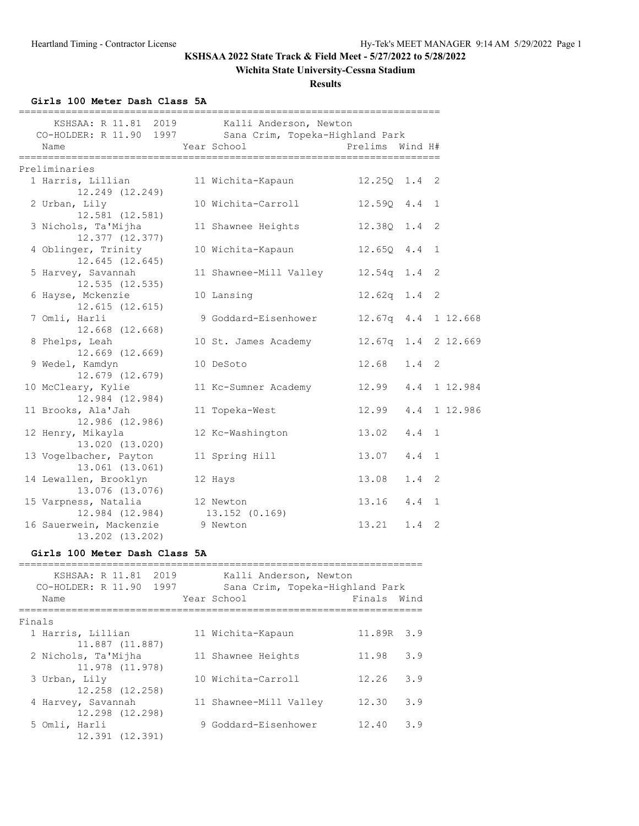# **Wichita State University-Cessna Stadium**

**Results**

## **Girls 100 Meter Dash Class 5A**

| ===================================<br>CO-HOLDER: R 11.90 1997 Sana Crim, Topeka-Highland Park<br>Name | ====================================<br>KSHSAA: R 11.81 2019 Kalli Anderson, Newton<br>Year School | Prelims Wind H#       |               |                |
|--------------------------------------------------------------------------------------------------------|----------------------------------------------------------------------------------------------------|-----------------------|---------------|----------------|
| Preliminaries                                                                                          |                                                                                                    |                       |               |                |
| 1 Harris, Lillian                                                                                      | 11 Wichita-Kapaun                                                                                  | $12.250$ $1.4$ 2      |               |                |
| 12.249 (12.249)                                                                                        |                                                                                                    |                       |               |                |
| 2 Urban, Lily<br>12.581 (12.581)                                                                       | 10 Wichita-Carroll                                                                                 | 12.590 4.4 1          |               |                |
| 3 Nichols, Ta'Mijha                                                                                    | 11 Shawnee Heights                                                                                 | 12.38Q 1.4            |               | 2              |
| 12.377 (12.377)                                                                                        |                                                                                                    |                       |               |                |
| 4 Oblinger, Trinity                                                                                    | 10 Wichita-Kapaun                                                                                  | 12.6504.4             |               | 1              |
| $12.645$ $(12.645)$                                                                                    |                                                                                                    |                       |               |                |
| 5 Harvey, Savannah<br>12.535 (12.535)                                                                  | 11 Shawnee-Mill Valley                                                                             | 12.54q 1.4            |               | 2              |
| 6 Hayse, Mckenzie                                                                                      | 10 Lansing                                                                                         | 12.62q 1.4 2          |               |                |
| 12.615(12.615)                                                                                         |                                                                                                    |                       |               |                |
| 7 Omli, Harli                                                                                          | 9 Goddard-Eisenhower                                                                               | 12.67q 4.4 1 12.668   |               |                |
| 12.668 (12.668)                                                                                        |                                                                                                    |                       |               |                |
| 8 Phelps, Leah                                                                                         | 10 St. James Academy                                                                               | 12.67q 1.4 2 12.669   |               |                |
| 12.669 (12.669)<br>9 Wedel, Kamdyn                                                                     | 10 DeSoto                                                                                          | $12.68$ $1.4$ 2       |               |                |
| $12.679$ $(12.679)$                                                                                    |                                                                                                    |                       |               |                |
| 10 McCleary, Kylie                                                                                     | 11 Kc-Sumner Academy                                                                               | 12.99  4.4  1  12.984 |               |                |
| 12.984 (12.984)                                                                                        |                                                                                                    |                       |               |                |
| 11 Brooks, Ala'Jah                                                                                     | 11 Topeka-West                                                                                     | 12.99 4.4 1 12.986    |               |                |
| 12.986 (12.986)<br>12 Henry, Mikayla                                                                   | 12 Kc-Washington                                                                                   | 13.02  4.4  1         |               |                |
| 13.020 (13.020)                                                                                        |                                                                                                    |                       |               |                |
| 13 Vogelbacher, Payton                                                                                 | 11 Spring Hill                                                                                     | 13.07 4.4             |               | 1              |
| 13.061 (13.061)                                                                                        |                                                                                                    |                       |               |                |
| 14 Lewallen, Brooklyn                                                                                  | 12 Hays                                                                                            | 13.08                 | $1.4 \quad 2$ |                |
| 13.076 (13.076)<br>15 Varpness, Natalia                                                                | 12 Newton                                                                                          | $13.16$ $4.4$         |               | $\mathbf{1}$   |
| 12.984 (12.984) 13.152 (0.169)                                                                         |                                                                                                    |                       |               |                |
| 16 Sauerwein, Mackenzie<br>13.202 (13.202)                                                             | 9 Newton                                                                                           | 13.21                 | 1.4           | $\overline{2}$ |
| $\cdots$                                                                                               |                                                                                                    |                       |               |                |

#### **Girls 100 Meter Dash Class 5A**

| 2019<br>KSHSAA: R 11.81<br>1997<br>CO-HOLDER: R 11.90<br>Name |  | Kalli Anderson, Newton<br>Sana Crim, Topeka-Highland Park<br>Year School | Finals Wind |     |  |  |  |
|---------------------------------------------------------------|--|--------------------------------------------------------------------------|-------------|-----|--|--|--|
| Finals                                                        |  |                                                                          |             |     |  |  |  |
| 1 Harris, Lillian                                             |  | 11 Wichita-Kapaun                                                        | 11.89R 3.9  |     |  |  |  |
| 11.887 (11.887)                                               |  |                                                                          |             |     |  |  |  |
| 2 Nichols, Ta'Mijha                                           |  | 11 Shawnee Heights                                                       | 11.98       | 3.9 |  |  |  |
| 11.978 (11.978)                                               |  |                                                                          |             |     |  |  |  |
| 3 Urban, Lily                                                 |  | 10 Wichita-Carroll                                                       | 12.26       | 3.9 |  |  |  |
| 12.258 (12.258)                                               |  |                                                                          |             |     |  |  |  |
| 4 Harvey, Savannah                                            |  | 11 Shawnee-Mill Valley                                                   | 12.30       | 3.9 |  |  |  |
| 12.298 (12.298)                                               |  |                                                                          |             |     |  |  |  |
| 5 Omli, Harli                                                 |  | 9 Goddard-Eisenhower                                                     | 12.40       | 3.9 |  |  |  |
| 12.391 (12.391)                                               |  |                                                                          |             |     |  |  |  |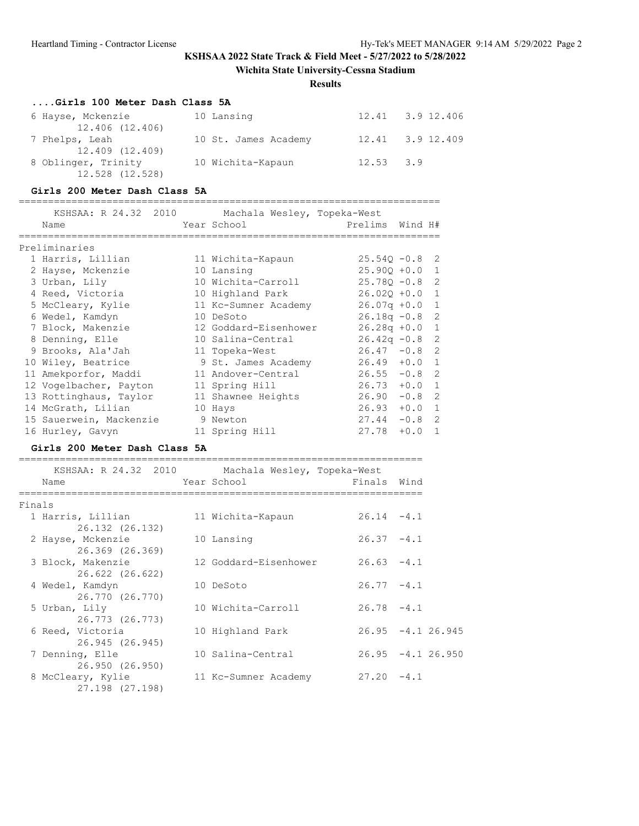**Wichita State University-Cessna Stadium**

**Results**

### **....Girls 100 Meter Dash Class 5A**

| 6 Hayse, Mckenzie   | 10 Lansing           |               | 12.41 3.9 12.406 |
|---------------------|----------------------|---------------|------------------|
| 12.406 (12.406)     |                      |               |                  |
| 7 Phelps, Leah      | 10 St. James Academy |               | 12.41 3.9 12.409 |
| 12.409 (12.409)     |                      |               |                  |
| 8 Oblinger, Trinity | 10 Wichita-Kapaun    | $12.53$ $3.9$ |                  |
| 12.528 (12.528)     |                      |               |                  |

### **Girls 200 Meter Dash Class 5A**

========================================================================

| KSHSAA: R 24.32 2010    | Machala Wesley, Topeka-West |                  |          |  |
|-------------------------|-----------------------------|------------------|----------|--|
| Name                    | Year School                 | Prelims Wind H#  |          |  |
| Preliminaries           |                             |                  |          |  |
| 1 Harris, Lillian       | 11 Wichita-Kapaun           | $25.540 - 0.8$ 2 |          |  |
| 2 Hayse, Mckenzie       | 10 Lansing                  | $25.900 + 0.0 1$ |          |  |
| 3 Urban, Lily           | 10 Wichita-Carroll          | $25.780 - 0.8$ 2 |          |  |
| 4 Reed, Victoria        | 10 Highland Park            | $26.020 + 0.0 1$ |          |  |
| 5 McCleary, Kylie       | 11 Kc-Sumner Academy        | $26.07q + 0.0$ 1 |          |  |
| 6 Wedel, Kamdyn         | 10 DeSoto                   | $26.18q - 0.8$ 2 |          |  |
| 7 Block, Makenzie       | 12 Goddard-Eisenhower       | $26.28q + 0.0$ 1 |          |  |
| 8 Denning, Elle         | 10 Salina-Central           | $26.42q - 0.8$ 2 |          |  |
| 9 Brooks, Ala'Jah       | 11 Topeka-West              | $26.47 - 0.8$ 2  |          |  |
| 10 Wiley, Beatrice      | 9 St. James Academy         | $26.49 + 0.0 1$  |          |  |
| 11 Amekporfor, Maddi    | 11 Andover-Central          | $26.55 - 0.8$ 2  |          |  |
| 12 Vogelbacher, Payton  | 11 Spring Hill              | $26.73 + 0.0 1$  |          |  |
| 13 Rottinghaus, Taylor  | 11 Shawnee Heights          | $26.90 -0.8$ 2   |          |  |
| 14 McGrath, Lilian      | 10 Hays                     | $26.93 + 0.0 1$  |          |  |
| 15 Sauerwein, Mackenzie | 9 Newton                    | $27.44 -0.8$ 2   |          |  |
| 16 Hurley, Gavyn        | 11 Spring Hill              | 27.78            | $+0.0$ 1 |  |

### **Girls 200 Meter Dash Class 5A**

| KSHSAA: R 24.32 2010                 | Machala Wesley, Topeka-West |               |                      |
|--------------------------------------|-----------------------------|---------------|----------------------|
| Name                                 | Year School                 | Finals Wind   |                      |
| Finals                               |                             |               |                      |
| 1 Harris, Lillian<br>26.132 (26.132) | 11 Wichita-Kapaun           | $26.14 -4.1$  |                      |
| 2 Hayse, Mckenzie<br>26.369 (26.369) | 10 Lansing                  | $26.37 - 4.1$ |                      |
| 3 Block, Makenzie<br>26.622 (26.622) | 12 Goddard-Eisenhower       | $26.63 - 4.1$ |                      |
| 4 Wedel, Kamdyn<br>26.770 (26.770)   | 10 DeSoto                   | $26.77 - 4.1$ |                      |
| 5 Urban, Lily<br>26.773 (26.773)     | 10 Wichita-Carroll          | $26.78 - 4.1$ |                      |
| 6 Reed, Victoria<br>26.945 (26.945)  | 10 Highland Park            |               | $26.95 - 4.1 26.945$ |
| 7 Denning, Elle<br>26.950 (26.950)   | 10 Salina-Central           |               | $26.95 - 4.126.950$  |
| 8 McCleary, Kylie<br>27.198 (27.198) | 11 Kc-Sumner Academy        | $27.20 -4.1$  |                      |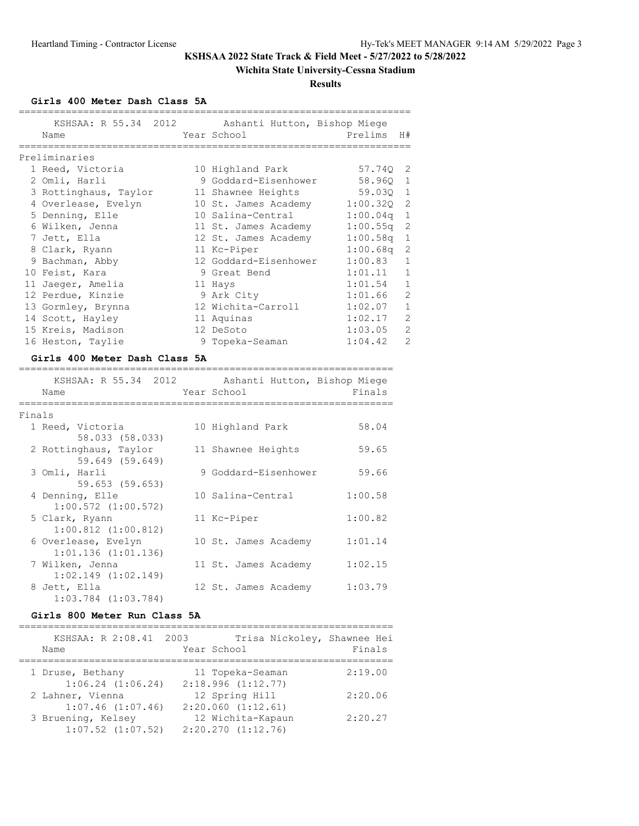## **Wichita State University-Cessna Stadium**

**Results**

**Girls 400 Meter Dash Class 5A**

| KSHSAA: R 55.34 2012 Ashanti Hutton, Bishop Miege<br>Name | Year School           | Prelims H#   |                |
|-----------------------------------------------------------|-----------------------|--------------|----------------|
| Preliminaries                                             |                       |              |                |
| 1 Reed, Victoria                                          | 10 Highland Park      | 57.740 2     |                |
| 2 Omli, Harli                                             | 9 Goddard-Eisenhower  | 58.960 1     |                |
| 3 Rottinghaus, Taylor 11 Shawnee Heights                  |                       | 59.030 1     |                |
| 4 Overlease, Evelyn                                       | 10 St. James Academy  | $1:00.32Q$ 2 |                |
| 5 Denning, Elle                                           | 10 Salina-Central     | $1:00.04q$ 1 |                |
| 6 Wilken, Jenna                                           | 11 St. James Academy  | $1:00.55q$ 2 |                |
| 7 Jett, Ella                                              | 12 St. James Academy  | $1:00.58q$ 1 |                |
| 8 Clark, Ryann                                            | 11 Kc-Piper           | $1:00.68q$ 2 |                |
| 9 Bachman, Abby                                           | 12 Goddard-Eisenhower | 1:00.83 1    |                |
| 10 Feist, Kara                                            | 9 Great Bend          | 1:01.11 1    |                |
| 11 Jaeger, Amelia                                         | 11 Hays               | $1:01.54$ 1  |                |
| 12 Perdue, Kinzie                                         | 9 Ark City            | 1:01.66 2    |                |
| 13 Gormley, Brynna                                        | 12 Wichita-Carroll    | 1:02.07 1    |                |
| 14 Scott, Hayley                                          | 11 Aquinas            | 1:02.17      | $\overline{c}$ |
| 15 Kreis, Madison                                         | 12 DeSoto             | 1:03.05      | 2              |
| 16 Heston, Taylie                                         | 9 Topeka-Seaman       | 1:04.42      | $\overline{2}$ |

#### **Girls 400 Meter Dash Class 5A**

|        | KSHSAA: R 55.34 2012<br>Name     | Ashanti Hutton, Bishop Miege<br>Year School | Finals  |
|--------|----------------------------------|---------------------------------------------|---------|
| Finals |                                  |                                             |         |
|        | 1 Reed, Victoria                 | 10 Highland Park                            | 58.04   |
|        | 58.033 (58.033)                  |                                             |         |
|        | 2 Rottinghaus, Taylor            | 11 Shawnee Heights                          | 59.65   |
|        | 59.649 (59.649)                  |                                             |         |
|        | 3 Omli, Harli<br>59.653 (59.653) | 9 Goddard-Eisenhower                        | 59.66   |
|        | 4 Denning, Elle                  | 10 Salina-Central                           | 1:00.58 |
|        | $1:00.572$ $(1:00.572)$          |                                             |         |
|        | 5 Clark, Ryann                   | 11 Kc-Piper                                 | 1:00.82 |
|        | $1:00.812$ $(1:00.812)$          |                                             |         |
|        | 6 Overlease, Evelyn              | 10 St. James Academy                        | 1:01.14 |
|        | $1:01.136$ $(1:01.136)$          |                                             |         |
|        | 7 Wilken, Jenna                  | 11 St. James Academy                        | 1:02.15 |
|        | $1:02.149$ $(1:02.149)$          |                                             |         |
|        | 8 Jett, Ella                     | 12 St. James Academy                        | 1:03.79 |
|        | $1:03.784$ $(1:03.784)$          |                                             |         |

# **Girls 800 Meter Run Class 5A**

| KSHSAA: R 2:08.41 2003<br>Name | Trisa Nickoley, Shawnee Hei<br>Year School | Finals  |
|--------------------------------|--------------------------------------------|---------|
| 1 Druse, Bethany               | 11 Topeka-Seaman                           | 2:19.00 |
| $1:06.24$ $(1:06.24)$          | 2:18.996(1:12.77)                          |         |
| 2 Lahner, Vienna               | 12 Spring Hill                             | 2:20.06 |
| $1:07.46$ $(1:07.46)$          | 2:20.060(1:12.61)                          |         |
| 3 Bruening, Kelsey             | 12 Wichita-Kapaun                          | 2:20.27 |
| $1:07.52$ $(1:07.52)$          | $2:20.270$ $(1:12.76)$                     |         |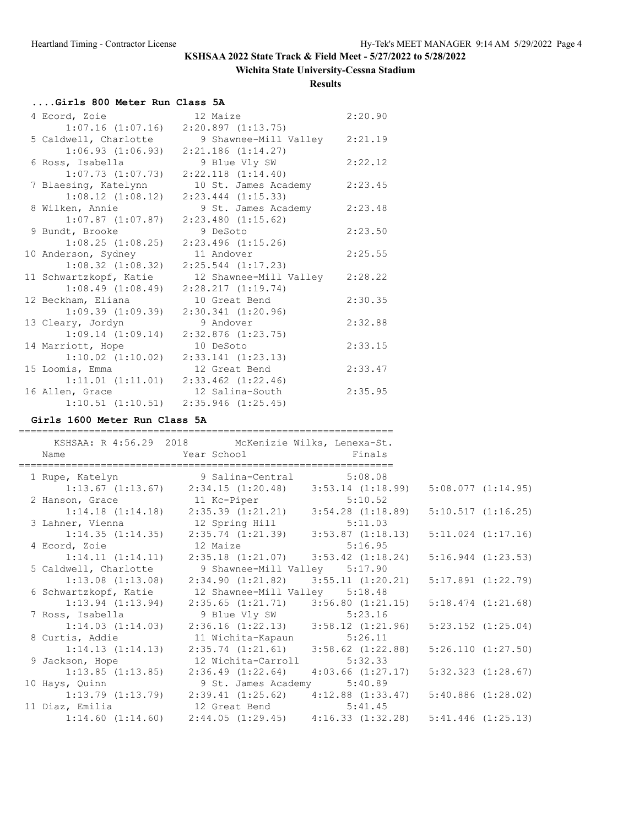## **Wichita State University-Cessna Stadium**

**Results**

### **....Girls 800 Meter Run Class 5A**

| 4 Ecord, Zoie          | 12 Maize                                     | 2:20.90 |
|------------------------|----------------------------------------------|---------|
| $1:07.16$ $(1:07.16)$  | 2:20.897(1:13.75)                            |         |
| 5 Caldwell, Charlotte  | 9 Shawnee-Mill Valley 2:21.19                |         |
| 1:06.93(1:06.93)       | $2:21.186$ $(1:14.27)$                       |         |
| 6 Ross, Isabella       | 9 Blue Vly SW                                | 2:22.12 |
| $1:07.73$ $(1:07.73)$  | $2:22.118$ $(1:14.40)$                       |         |
| 7 Blaesing, Katelynn   | 10 St. James Academy                         | 2:23.45 |
| $1:08.12$ $(1:08.12)$  | $2:23.444$ $(1:15.33)$                       |         |
| 8 Wilken, Annie        | 9 St. James Academy                          | 2:23.48 |
| $1:07.87$ $(1:07.87)$  | $2:23.480$ $(1:15.62)$                       |         |
| 9 Bundt, Brooke        | 9 DeSoto                                     | 2:23.50 |
| $1:08.25$ $(1:08.25)$  | $2:23.496$ $(1:15.26)$                       |         |
| 10 Anderson, Sydney    | 11 Andover                                   | 2:25.55 |
| $1:08.32$ $(1:08.32)$  | $2:25.544$ $(1:17.23)$                       |         |
| 11 Schwartzkopf, Katie | 12 Shawnee-Mill Valley                       | 2:28.22 |
| 1:08.49(1:08.49)       | 2:28.217(1:19.74)                            |         |
| 12 Beckham, Eliana     | 10 Great Bend                                | 2:30.35 |
| $1:09.39$ $(1:09.39)$  | $2:30.341$ $(1:20.96)$                       |         |
| 13 Cleary, Jordyn      | 9 Andover                                    | 2:32.88 |
| 1:09.14(1:09.14)       | $2:32.876$ $(1:23.75)$                       |         |
| 14 Marriott, Hope      | 10 DeSoto                                    | 2:33.15 |
| $1:10.02$ $(1:10.02)$  | 2:33.141 (1:23.13)                           |         |
| 15 Loomis, Emma        | 12 Great Bend                                | 2:33.47 |
| $1:11.01$ $(1:11.01)$  | $2:33.462$ $(1:22.46)$                       |         |
| 16 Allen, Grace        | 12 Salina-South                              | 2:35.95 |
|                        | $1:10.51$ $(1:10.51)$ $2:35.946$ $(1:25.45)$ |         |

## **Girls 1600 Meter Run Class 5A**

| Name | KSHSAA: R 4:56.29 2018 McKenizie Wilks, Lenexa-St.<br>Year School Finals                        |                        |
|------|-------------------------------------------------------------------------------------------------|------------------------|
|      | 1 Rupe, Katelyn 9 Salina-Central 5:08.08                                                        |                        |
|      | $1:13.67$ (1:13.67) $2:34.15$ (1:20.48) $3:53.14$ (1:18.99)                                     | 5:08.077(1:14.95)      |
|      |                                                                                                 |                        |
|      | 2 Hanson, Grace 11 Kc-Piper 5:10.52<br>1:14.18 (1:14.18) 2:35.39 (1:21.21) 3:54.28 (1:18.89)    | 5:10.517(1:16.25)      |
|      | 3 Lahner, Vienna 12 Spring Hill 5:11.03                                                         |                        |
|      | $1:14.35$ $(1:14.35)$ $2:35.74$ $(1:21.39)$ $3:53.87$ $(1:18.13)$ $5:11.024$ $(1:17.16)$        |                        |
|      | 4 Ecord, Zoie 12 Maize 5:16.95                                                                  |                        |
|      | $1:14.11$ $(1:14.11)$ $2:35.18$ $(1:21.07)$ $3:53.42$ $(1:18.24)$                               | $5:16.944$ $(1:23.53)$ |
|      | 5 Caldwell, Charlotte 9 Shawnee-Mill Valley 5:17.90                                             |                        |
|      | $1:13.08$ $(1:13.08)$ $2:34.90$ $(1:21.82)$ $3:55.11$ $(1:20.21)$                               | $5:17.891$ $(1:22.79)$ |
|      | 6 Schwartzkopf, Katie 12 Shawnee-Mill Valley 5:18.48                                            |                        |
|      | $1:13.94$ $(1:13.94)$ $2:35.65$ $(1:21.71)$ $3:56.80$ $(1:21.15)$                               | $5:18.474$ $(1:21.68)$ |
|      | 7 Ross, Isabella 9 Blue Vly SW 5:23.16<br>1:14.03 (1:14.03) 2:36.16 (1:22.13) 3:58.12 (1:21.96) |                        |
|      |                                                                                                 | $5:23.152$ $(1:25.04)$ |
|      | 8 Curtis, Addie 11 Wichita-Kapaun 5:26.11                                                       |                        |
|      | $1:14.13$ $(1:14.13)$ $2:35.74$ $(1:21.61)$ $3:58.62$ $(1:22.88)$                               | 5:26.110 (1:27.50)     |
|      | 9 Jackson, Hope 32 Wichita-Carroll 5:32.33                                                      |                        |
|      | $1:13.85$ $(1:13.85)$ $2:36.49$ $(1:22.64)$ $4:03.66$ $(1:27.17)$                               | $5:32.323$ $(1:28.67)$ |
|      | 10 Hays, Quinn 9 St. James Academy 5:40.89                                                      |                        |
|      | $1:13.79$ (1:13.79) $2:39.41$ (1:25.62) $4:12.88$ (1:33.47) $5:40.886$ (1:28.02)                |                        |
|      | 11 Diaz, Emilia and 12 Great Bend 5:41.45                                                       |                        |
|      | $1:14.60$ (1:14.60) $2:44.05$ (1:29.45) $4:16.33$ (1:32.28) $5:41.446$ (1:25.13)                |                        |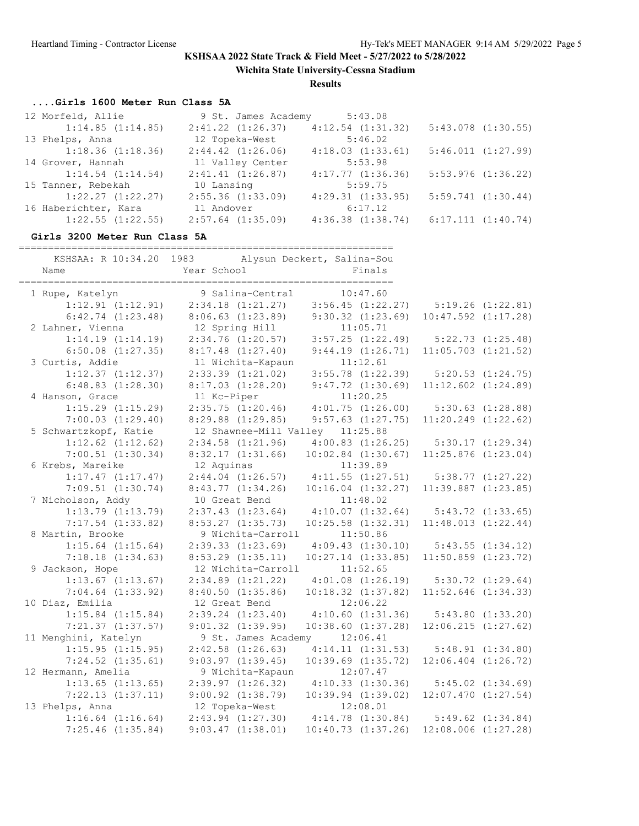**Wichita State University-Cessna Stadium**

**Results**

# **....Girls 1600 Meter Run Class 5A**

| 12 Morfeld, Allie     | 9 St. James Academy   | 5:43.08               |                        |
|-----------------------|-----------------------|-----------------------|------------------------|
| 1:14.85(1:14.85)      | $2:41.22$ $(1:26.37)$ | $4:12.54$ $(1:31.32)$ | $5:43.078$ $(1:30.55)$ |
| 13 Phelps, Anna       | 12 Topeka-West        | 5:46.02               |                        |
| 1:18.36(1:18.36)      | $2:44.42$ $(1:26.06)$ | 4:18.03(1:33.61)      | 5:46.011(1:27.99)      |
| 14 Grover, Hannah     | 11 Valley Center      | 5:53.98               |                        |
| $1:14.54$ $(1:14.54)$ | 2:41.41(1:26.87)      | 4:17.77(1:36.36)      | $5:53.976$ $(1:36.22)$ |
| 15 Tanner, Rebekah    | 10 Lansing            | 5:59.75               |                        |
| $1:22.27$ $(1:22.27)$ | $2:55.36$ $(1:33.09)$ | $4:29.31$ $(1:33.95)$ | 5:59.741(1:30.44)      |
| 16 Haberichter, Kara  | 11 Andover            | 6:17.12               |                        |
| $1:22.55$ $(1:22.55)$ | $2:57.64$ $(1:35.09)$ | $4:36.38$ $(1:38.74)$ | 6:17.111(1:40.74)      |

#### **Girls 3200 Meter Run Class 5A**

| Name                  | KSHSAA: R 10:34.20 1983 Alysun Deckert, Salina-Sou<br>Year School | Finals                                                            |                         |                       |
|-----------------------|-------------------------------------------------------------------|-------------------------------------------------------------------|-------------------------|-----------------------|
|                       |                                                                   |                                                                   |                         |                       |
| 1 Rupe, Katelyn       | 9 Salina-Central                                                  | 10:47.60                                                          |                         |                       |
| $1:12.91$ $(1:12.91)$ | $2:34.18$ $(1:21.27)$ $3:56.45$ $(1:22.27)$ $5:19.26$ $(1:22.81)$ |                                                                   |                         |                       |
| $6:42.74$ $(1:23.48)$ | $8:06.63$ (1:23.89) 9:30.32 (1:23.69)                             |                                                                   | $10:47.592$ $(1:17.28)$ |                       |
| 2 Lahner, Vienna      |                                                                   |                                                                   |                         |                       |
| $1:14.19$ $(1:14.19)$ | 12 Spring Hill 11:05.71<br>2:34.76 (1:20.57) 3:57.25 (1:22.49)    |                                                                   |                         | $5:22.73$ $(1:25.48)$ |
| $6:50.08$ $(1:27.35)$ | $8:17.48$ $(1:27.40)$ $9:44.19$ $(1:26.71)$                       |                                                                   | $11:05.703$ $(1:21.52)$ |                       |
| 3 Curtis, Addie       | 11 Wichita-Kapaun                                                 | 11:12.61                                                          |                         |                       |
| $1:12.37$ $(1:12.37)$ |                                                                   | 11 Wichita-Kapaun 11:12.61<br>2:33.39 (1:21.02) 3:55.78 (1:22.39) |                         | $5:20.53$ $(1:24.75)$ |
| $6:48.83$ $(1:28.30)$ |                                                                   | $8:17.03$ $(1:28.20)$ $9:47.72$ $(1:30.69)$                       | $11:12.602$ $(1:24.89)$ |                       |
| 4 Hanson, Grace       | 11 Kc-Piper                                                       | 11:20.25                                                          |                         |                       |
| $1:15.29$ $(1:15.29)$ | 2:35.75(1:20.46)                                                  | 4:01.75(1:26.00)                                                  |                         | $5:30.63$ $(1:28.88)$ |
| $7:00.03$ $(1:29.40)$ | $8:29.88$ $(1:29.85)$                                             | $9:57.63$ $(1:27.75)$                                             | $11:20.249$ $(1:22.62)$ |                       |
| 5 Schwartzkopf, Katie | 12 Shawnee-Mill Valley 11:25.88                                   |                                                                   |                         |                       |
| $1:12.62$ $(1:12.62)$ | $2:34.58$ $(1:21.96)$                                             | $4:00.83$ $(1:26.25)$ $5:30.17$ $(1:29.34)$                       |                         |                       |
| $7:00.51$ $(1:30.34)$ | 8:32.17(1:31.66)                                                  | $10:02.84$ $(1:30.67)$                                            | $11:25.876$ $(1:23.04)$ |                       |
| 6 Krebs, Mareike      | 12 Aquinas                                                        | 11:39.89                                                          |                         |                       |
| 1:17.47(1:17.47)      |                                                                   | $2:44.04$ $(1:26.57)$ $4:11.55$ $(1:27.51)$                       |                         | $5:38.77$ $(1:27.22)$ |
| $7:09.51$ $(1:30.74)$ | 8:43.77(1:34.26)                                                  | $10:16.04$ $(1:32.27)$                                            | $11:39.887$ $(1:23.85)$ |                       |
| 7 Nicholson, Addy     | 10 Great Bend                                                     | 11:48.02                                                          |                         |                       |
| $1:13.79$ $(1:13.79)$ |                                                                   | $2:37.43$ $(1:23.64)$ $4:10.07$ $(1:32.64)$                       |                         | $5:43.72$ $(1:33.65)$ |
| $7:17.54$ $(1:33.82)$ | $8:53.27$ $(1:35.73)$                                             | $10:25.58$ $(1:32.31)$                                            | 11:48.013 (1:22.44)     |                       |
| 8 Martin, Brooke      | 9 Wichita-Carroll 11:50.86                                        |                                                                   |                         |                       |
| $1:15.64$ $(1:15.64)$ | 2:39.33(1:23.69)                                                  | $4:09.43$ $(1:30.10)$ $5:43.55$ $(1:34.12)$                       |                         |                       |
| $7:18.18$ $(1:34.63)$ | $8:53.29$ $(1:35.11)$                                             | $10:27.14$ $(1:33.85)$ $11:50.859$ $(1:23.72)$                    |                         |                       |
| 9 Jackson, Hope       | 12 Wichita-Carroll                                                | 11:52.65                                                          |                         |                       |
| $1:13.67$ $(1:13.67)$ | $2:34.89$ $(1:21.22)$                                             | $4:01.08$ $(1:26.19)$                                             | 5:30.72(1:29.64)        |                       |
| $7:04.64$ $(1:33.92)$ | 8:40.50(1:35.86)                                                  | $10:18.32$ $(1:37.82)$                                            | $11:52.646$ $(1:34.33)$ |                       |
| 10 Diaz, Emilia       | 12 Great Bend                                                     | 12:06.22                                                          |                         |                       |
| $1:15.84$ $(1:15.84)$ |                                                                   | $2:39.24$ $(1:23.40)$ $4:10.60$ $(1:31.36)$                       |                         | $5:43.80$ $(1:33.20)$ |
| 7:21.37(1:37.57)      | $9:01.32$ $(1:39.95)$                                             | $10:38.60$ $(1:37.28)$                                            | $12:06.215$ $(1:27.62)$ |                       |
| 11 Menghini, Katelyn  | 9 St. James Academy 12:06.41                                      |                                                                   |                         |                       |
| 1:15.95(1:15.95)      | $2:42.58$ $(1:26.63)$                                             | 4:14.11(1:31.53)                                                  |                         | 5:48.91(1:34.80)      |
| $7:24.52$ $(1:35.61)$ | 9:03.97(1:39.45)                                                  | $10:39.69$ $(1:35.72)$                                            | $12:06.404$ $(1:26.72)$ |                       |
| 12 Hermann, Amelia    | 9 Wichita-Kapaun                                                  | 12:07.47                                                          |                         |                       |
| $1:13.65$ $(1:13.65)$ |                                                                   | $2:39.97$ $(1:26.32)$ $4:10.33$ $(1:30.36)$                       |                         | $5:45.02$ $(1:34.69)$ |
| $7:22.13$ $(1:37.11)$ | $9:00.92$ $(1:38.79)$                                             | $10:39.94$ $(1:39.02)$                                            | $12:07.470$ $(1:27.54)$ |                       |
| 13 Phelps, Anna       | 12 Topeka-West                                                    | 12:08.01                                                          |                         |                       |
| $1:16.64$ $(1:16.64)$ |                                                                   | $2:43.94$ $(1:27.30)$ $4:14.78$ $(1:30.84)$ $5:49.62$ $(1:34.84)$ |                         |                       |
| $7:25.46$ $(1:35.84)$ | 9:03.47(1:38.01)                                                  | 10:40.73(1:37.26)                                                 | $12:08.006$ $(1:27.28)$ |                       |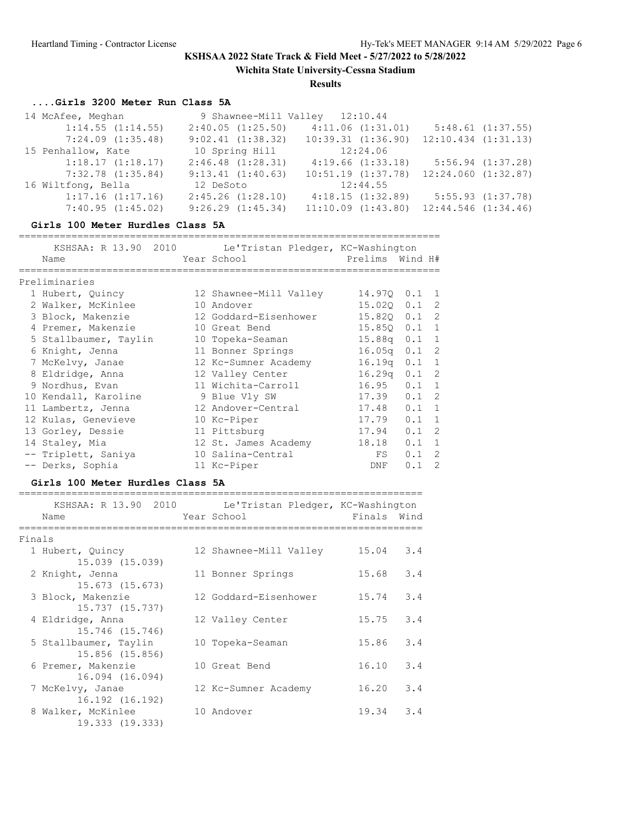**Wichita State University-Cessna Stadium**

**Results**

### **....Girls 3200 Meter Run Class 5A**

| 14 McAfee, Meghan     | 9 Shawnee-Mill Valley 12:10.44 |                        |                         |
|-----------------------|--------------------------------|------------------------|-------------------------|
| 1:14.55(1:14.55)      | 2:40.05(1:25.50)               | 4:11.06(1:31.01)       | $5:48.61$ $(1:37.55)$   |
| $7:24.09$ $(1:35.48)$ | 9:02.41(1:38.32)               | $10:39.31$ $(1:36.90)$ | $12:10.434$ $(1:31.13)$ |
| 15 Penhallow, Kate    | 10 Spring Hill                 | 12:24.06               |                         |
| 1:18.17(1:18.17)      | $2:46.48$ $(1:28.31)$          | 4:19.66(1:33.18)       | $5:56.94$ $(1:37.28)$   |
| $7:32.78$ $(1:35.84)$ | 9:13.41(1:40.63)               | 10:51.19(1:37.78)      | 12:24.060(1:32.87)      |
| 16 Wiltfong, Bella    | 12 DeSoto                      | 12:44.55               |                         |
| 1:17.16(1:17.16)      | $2:45.26$ $(1:28.10)$          | 4:18.15(1:32.89)       | $5:55.93$ $(1:37.78)$   |
| 7:40.95(1:45.02)      | $9:26.29$ $(1:45.34)$          | $11:10.09$ $(1:43.80)$ | $12:44.546$ $(1:34.46)$ |

#### **Girls 100 Meter Hurdles Class 5A**

|                       |  | KSHSAA: R 13.90 2010 Le'Tristan Pledger, KC-Washington |                    |     |                |
|-----------------------|--|--------------------------------------------------------|--------------------|-----|----------------|
| Name                  |  | Prelims Wind H#<br>Year School                         |                    |     |                |
| Preliminaries         |  |                                                        |                    |     |                |
| 1 Hubert, Quincy      |  | 12 Shawnee-Mill Valley                                 | 14.970 0.1 1       |     |                |
| 2 Walker, McKinlee    |  | 10 Andover                                             | 15.020 0.1 2       |     |                |
| 3 Block, Makenzie     |  | 12 Goddard-Eisenhower                                  | 15.820             | 0.1 | 2              |
| 4 Premer, Makenzie    |  | 10 Great Bend                                          | 15.850             | 0.1 | 1              |
| 5 Stallbaumer, Taylin |  | 10 Topeka-Seaman                                       | 15.88q             | 0.1 | $\overline{1}$ |
| 6 Knight, Jenna       |  | 11 Bonner Springs                                      | 16.05q             | 0.1 | 2              |
| 7 McKelvy, Janae      |  | 12 Kc-Sumner Academy                                   | 16.19 <sub>q</sub> | 0.1 | 1              |
| 8 Eldridge, Anna      |  | 12 Valley Center                                       | 16.29a             | 0.1 | -2             |
| 9 Nordhus, Evan       |  | 11 Wichita-Carroll                                     | 16.95              | 0.1 | $\overline{1}$ |
| 10 Kendall, Karoline  |  | 9 Blue Vly SW                                          | 17.39              | 0.1 | $\mathcal{L}$  |
| 11 Lambertz, Jenna    |  | 12 Andover-Central                                     | 17.48              | 0.1 | $\overline{1}$ |
| 12 Kulas, Genevieve   |  | 10 Kc-Piper                                            | 17.79              | 0.1 | $\overline{1}$ |
| 13 Gorley, Dessie     |  | 11 Pittsburg                                           | 17.94              | 0.1 | 2              |
| 14 Staley, Mia        |  | 12 St. James Academy                                   | 18.18              | 0.1 | $\mathbf{1}$   |
| -- Triplett, Saniya   |  | 10 Salina-Central                                      | FS                 | 0.1 | $\mathcal{L}$  |
| -- Derks, Sophia      |  | 11 Kc-Piper                                            | DNF                | 0.1 | $\mathcal{P}$  |

### **Girls 100 Meter Hurdles Class 5A**

|        | Name                                     | KSHSAA: R 13.90 2010 Le'Tristan Pledger, KC-Washington<br>Year School | Finals Wind  |
|--------|------------------------------------------|-----------------------------------------------------------------------|--------------|
| Finals |                                          |                                                                       |              |
|        | 1 Hubert, Quincy<br>15.039 (15.039)      | 12 Shawnee-Mill Valley                                                | 3.4<br>15.04 |
|        | 2 Knight, Jenna<br>15.673 (15.673)       | 11 Bonner Springs                                                     | 3.4<br>15.68 |
|        | 3 Block, Makenzie<br>15.737 (15.737)     | 12 Goddard-Eisenhower                                                 | 15.74<br>3.4 |
|        | 4 Eldridge, Anna<br>15.746 (15.746)      | 12 Valley Center                                                      | 3.4<br>15.75 |
|        | 5 Stallbaumer, Taylin<br>15.856 (15.856) | 10 Topeka-Seaman                                                      | 3.4<br>15.86 |
|        | 6 Premer, Makenzie<br>16.094 (16.094)    | 10 Great Bend                                                         | 3.4<br>16.10 |
|        | 7 McKelvy, Janae<br>16.192 (16.192)      | 12 Kc-Sumner Academy                                                  | 3.4<br>16.20 |
|        | 8 Walker, McKinlee<br>19.333 (19.333)    | 10 Andover                                                            | 3.4<br>19.34 |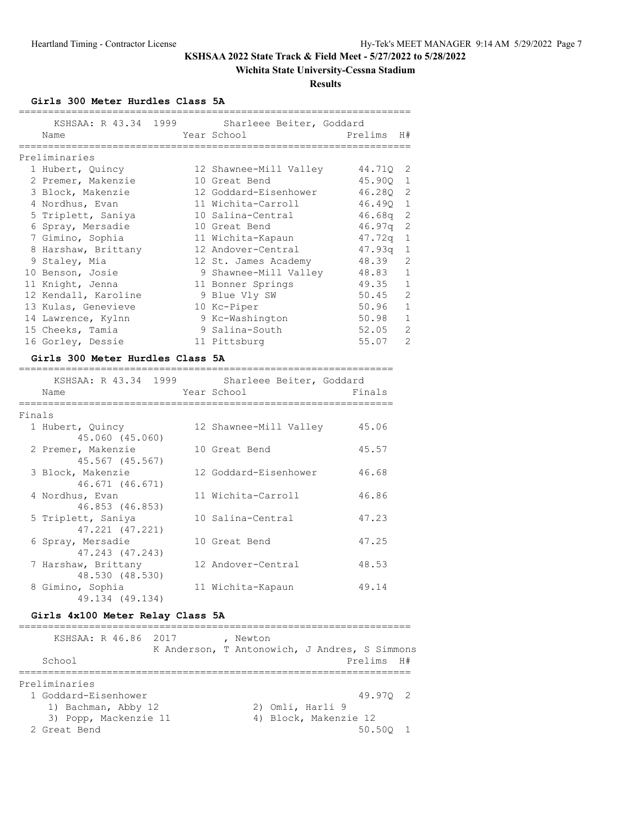## **Wichita State University-Cessna Stadium**

**Results**

**Girls 300 Meter Hurdles Class 5A**

| KSHSAA: R 43.34 1999<br>Name |  | Sharleee Beiter, Goddard<br>Year School | Prelims    | H#             |
|------------------------------|--|-----------------------------------------|------------|----------------|
| Preliminaries                |  |                                         |            |                |
| 1 Hubert, Quincy             |  | 12 Shawnee-Mill Valley                  | 44.710 2   |                |
| 2 Premer, Makenzie           |  | 10 Great Bend                           | 45.90Q 1   |                |
| 3 Block, Makenzie            |  | 12 Goddard-Eisenhower                   | 46.280 2   |                |
| 4 Nordhus, Evan              |  | 11 Wichita-Carroll                      | 46.490 1   |                |
| 5 Triplett, Saniya           |  | 10 Salina-Central                       | $46.68q$ 2 |                |
| 6 Spray, Mersadie            |  | 10 Great Bend                           | 46.97q     | 2              |
| 7 Gimino, Sophia             |  | 11 Wichita-Kapaun                       | $47.72q$ 1 |                |
| 8 Harshaw, Brittany          |  | 12 Andover-Central                      | 47.93a     | $\mathbf{1}$   |
| 9 Staley, Mia                |  | 12 St. James Academy                    | 48.39      | $\overline{c}$ |
| 10 Benson, Josie             |  | 9 Shawnee-Mill Valley                   | 48.83 1    |                |
| 11 Knight, Jenna             |  | 11 Bonner Springs                       | 49.35 1    |                |
| 12 Kendall, Karoline         |  | 9 Blue Vly SW                           | $50.45$ 2  |                |
| 13 Kulas, Genevieve          |  | 10 Kc-Piper                             | 50.96      | $\mathbf{1}$   |
| 14 Lawrence, Kylnn           |  | 9 Kc-Washington                         | 50.98      | $\mathbf{1}$   |
| 15 Cheeks, Tamia             |  | 9 Salina-South                          | 52.05      | $\overline{c}$ |
| 16 Gorley, Dessie            |  | 11 Pittsburg                            | 55.07      | $\overline{2}$ |

#### **Girls 300 Meter Hurdles Class 5A**

|        | Name                                   | KSHSAA: R 43.34 1999 Sharleee Beiter, Goddard<br>Year School | Finals |
|--------|----------------------------------------|--------------------------------------------------------------|--------|
| Finals |                                        |                                                              |        |
|        | 1 Hubert, Quincy<br>45.060 (45.060)    | 12 Shawnee-Mill Valley                                       | 45.06  |
|        | 2 Premer, Makenzie<br>45.567 (45.567)  | 10 Great Bend                                                | 45.57  |
|        | 3 Block, Makenzie<br>46.671 (46.671)   | 12 Goddard-Eisenhower                                        | 46.68  |
|        | 4 Nordhus, Evan<br>46.853 (46.853)     | 11 Wichita-Carroll                                           | 46.86  |
|        | 5 Triplett, Saniya<br>47.221 (47.221)  | 10 Salina-Central                                            | 47.23  |
|        | 6 Spray, Mersadie<br>47.243 (47.243)   | 10 Great Bend                                                | 47.25  |
|        | 7 Harshaw, Brittany<br>48.530 (48.530) | 12 Andover-Central                                           | 48.53  |
|        | 8 Gimino, Sophia<br>49.134 (49.134)    | 11 Wichita-Kapaun                                            | 49.14  |

## **Girls 4x100 Meter Relay Class 5A**

| KSHSAA: R 46.86 2017<br>School | K Anderson, T Antonowich, J Andres, S Simmons | Newton |                       | Prelims H# |  |
|--------------------------------|-----------------------------------------------|--------|-----------------------|------------|--|
| Preliminaries                  |                                               |        |                       |            |  |
| 1 Goddard-Eisenhower           |                                               |        |                       | 49.970 2   |  |
| 1) Bachman, Abby 12            |                                               |        | 2) Omli, Harli 9      |            |  |
| 3) Popp, Mackenzie 11          |                                               |        | 4) Block, Makenzie 12 |            |  |
| 2 Great Bend                   |                                               |        |                       | 50.500     |  |
|                                |                                               |        |                       |            |  |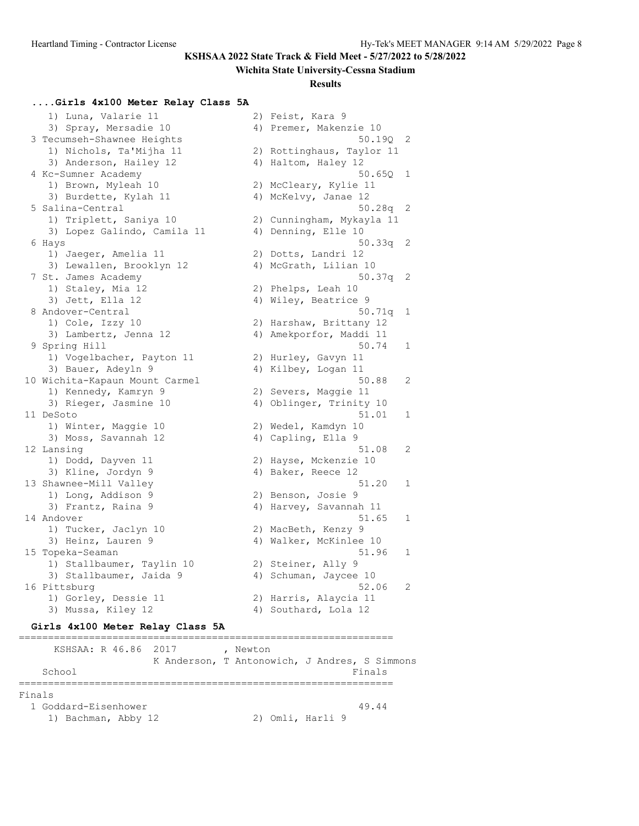#### **Wichita State University-Cessna Stadium**

#### **Results**

### **....Girls 4x100 Meter Relay Class 5A**

1) Luna, Valarie 11 2) Feist, Kara 9 3) Spray, Mersadie 10 4) Premer, Makenzie 10 3 Tecumseh-Shawnee Heights 50.19Q 2 1) Nichols, Ta'Mijha 11 2) Rottinghaus, Taylor 11 3) Anderson, Hailey 12 (4) Haltom, Haley 12 4 Kc-Sumner Academy 50.65Q 1 1) Brown, Myleah 10 2) McCleary, Kylie 11 3) Burdette, Kylah 11 <a>> 4) McKelvy, Janae 12 5 Salina-Central 50.28q 2 1) Triplett, Saniya 10 2) Cunningham, Mykayla 11 3) Lopez Galindo, Camila 11 (4) Denning, Elle 10 6 Hays 50.33q 2 1) Jaeger, Amelia 11 2) Dotts, Landri 12 3) Lewallen, Brooklyn 12 4) McGrath, Lilian 10 7 St. James Academy 60.37q 2 1) Staley, Mia 12 2) Phelps, Leah 10 3) Jett, Ella 12 (4) Wiley, Beatrice 9 8 Andover-Central 50.71q 1 1) Cole, Izzy 10 2) Harshaw, Brittany 12 3) Lambertz, Jenna 12 4) Amekporfor, Maddi 11 9 Spring Hill 50.74 1 1) Vogelbacher, Payton 11 2) Hurley, Gavyn 11 3) Bauer, Adeyln 9 19 10 4) Kilbey, Logan 11 10 Wichita-Kapaun Mount Carmel 50.88 2 1) Kennedy, Kamryn 9 2) Severs, Maggie 11 3) Rieger, Jasmine 10 4) Oblinger, Trinity 10 11 DeSoto 51.01 1 1) Winter, Maggie 10 2) Wedel, Kamdyn 10 3) Moss, Savannah 12 (4) Capling, Ella 9 12 Lansing 51.08 2 1) Dodd, Dayven 11 2) Hayse, Mckenzie 10 3) Kline, Jordyn 9 19 4) Baker, Reece 12 13 Shawnee-Mill Valley 51.20 1 1) Long, Addison 9 2) Benson, Josie 9 3) Frantz, Raina 9 19 4) Harvey, Savannah 11 14 Andover 51.65 1 1) Tucker, Jaclyn 10 2) MacBeth, Kenzy 9 3) Heinz, Lauren 9 19 4) Walker, McKinlee 10 15 Topeka-Seaman 51.96 1 1) Stallbaumer, Taylin 10 2) Steiner, Ally 9 3) Stallbaumer, Jaida 9 4) Schuman, Jaycee 10 16 Pittsburg 52.06 2 1) Gorley, Dessie 11 2) Harris, Alaycia 11 3) Mussa, Kiley 12 (4) Southard, Lola 12

#### **Girls 4x100 Meter Relay Class 5A**

================================================================ KSHSAA: R 46.86 2017 , Newton K Anderson, T Antonowich, J Andres, S Simmons School Finals ================================================================ Finals 1 Goddard-Eisenhower 49.44 1) Bachman, Abby 12 2) Omli, Harli 9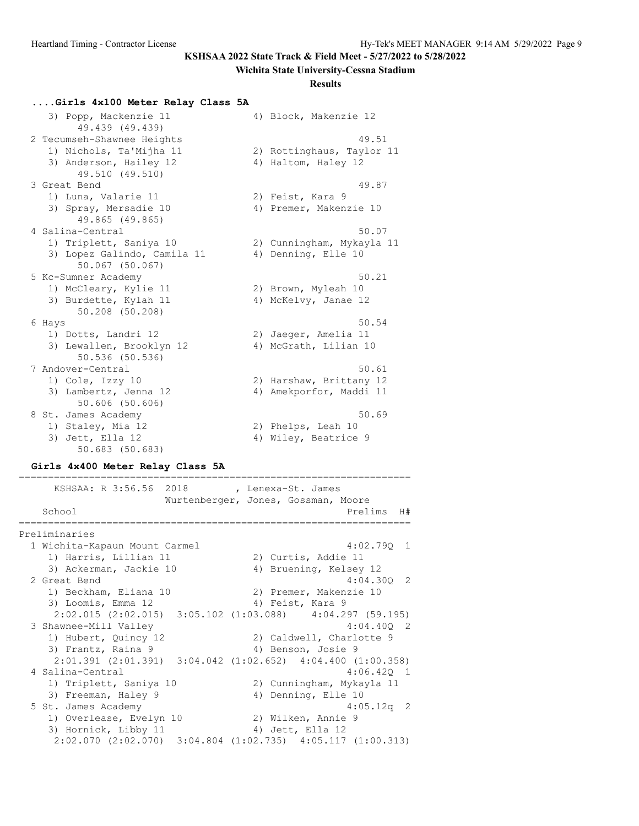#### **Wichita State University-Cessna Stadium**

#### **Results**

#### **....Girls 4x100 Meter Relay Class 5A**

| 3) Popp, Mackenzie 11<br>49.439 (49.439)       | 4) Block, Makenzie 12     |
|------------------------------------------------|---------------------------|
| 2 Tecumseh-Shawnee Heights                     | 49.51                     |
| 1) Nichols, Ta'Mijha 11                        | 2) Rottinghaus, Taylor 11 |
| 3) Anderson, Hailey 12<br>49.510 (49.510)      | 4) Haltom, Haley 12       |
| 3 Great Bend                                   | 49.87                     |
| 1) Luna, Valarie 11                            | 2) Feist, Kara 9          |
| 3) Spray, Mersadie 10<br>49.865 (49.865)       | 4) Premer, Makenzie 10    |
| 4 Salina-Central                               | 50.07                     |
| 1) Triplett, Saniya 10                         | 2) Cunningham, Mykayla 11 |
| 3) Lopez Galindo, Camila 11<br>50.067 (50.067) | 4) Denning, Elle 10       |
| 5 Kc-Sumner Academy                            | 50.21                     |
| 1) McCleary, Kylie 11                          | 2) Brown, Myleah 10       |
| 3) Burdette, Kylah 11<br>50.208 (50.208)       | 4) McKelvy, Janae 12      |
| 6 Hays                                         | 50.54                     |
| 1) Dotts, Landri 12                            | 2) Jaeger, Amelia 11      |
| 3) Lewallen, Brooklyn 12<br>50.536 (50.536)    | 4) McGrath, Lilian 10     |
| 7 Andover-Central                              | 50.61                     |
| 1) Cole, Izzy 10                               | 2) Harshaw, Brittany 12   |
| 3) Lambertz, Jenna 12<br>$50.606$ $(50.606)$   | 4) Amekporfor, Maddi 11   |
| 8 St. James Academy                            | 50.69                     |
| 1) Staley, Mia 12                              | 2) Phelps, Leah 10        |
| 3) Jett, Ella 12<br>$50.683$ $(50.683)$        | 4) Wiley, Beatrice 9      |

#### **Girls 4x400 Meter Relay Class 5A**

=================================================================== KSHSAA: R 3:56.56 2018 , Lenexa-St. James Wurtenberger, Jones, Gossman, Moore School **Prelims** H# =================================================================== Preliminaries 1 Wichita-Kapaun Mount Carmel 4:02.79Q 1 1) Harris, Lillian 11 12) Curtis, Addie 11 3) Ackerman, Jackie 10 4) Bruening, Kelsey 12 2 Great Bend 4:04.30Q 2 1) Beckham, Eliana 10 2) Premer, Makenzie 10 3) Loomis, Emma 12 (4) Feist, Kara 9 2:02.015 (2:02.015) 3:05.102 (1:03.088) 4:04.297 (59.195) 3 Shawnee-Mill Valley 4:04.40Q 2 1) Hubert, Quincy 12 2) Caldwell, Charlotte 9 3) Frantz, Raina 9 4) Benson, Josie 9 2:01.391 (2:01.391) 3:04.042 (1:02.652) 4:04.400 (1:00.358) 4 Salina-Central 4:06.42Q 1 1) Triplett, Saniya 10 2) Cunningham, Mykayla 11 3) Freeman, Haley 9 4) Denning, Elle 10 5 St. James Academy 4:05.12q 2 1) Overlease, Evelyn 10 2) Wilken, Annie 9 3) Hornick, Libby 11 4) Jett, Ella 12 2:02.070 (2:02.070) 3:04.804 (1:02.735) 4:05.117 (1:00.313)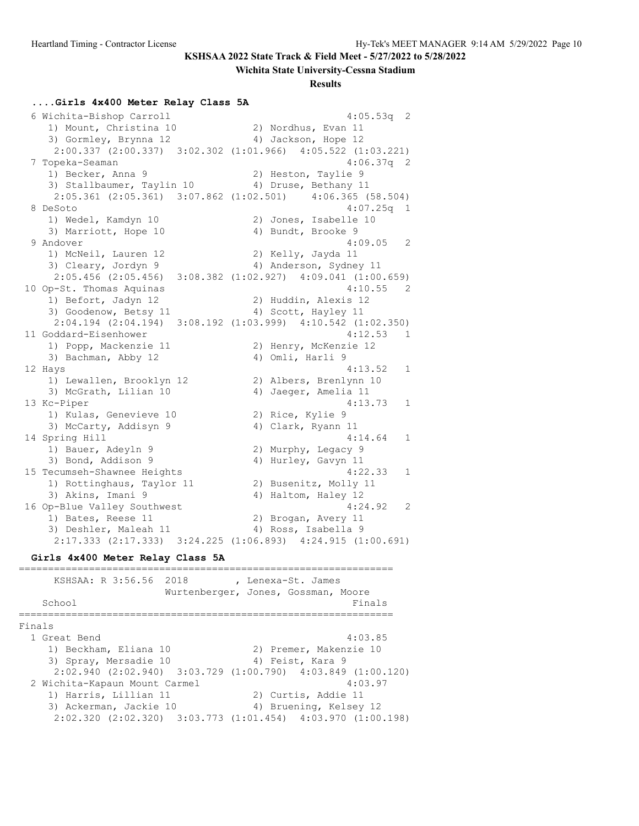#### **Wichita State University-Cessna Stadium**

#### **Results**

#### **....Girls 4x400 Meter Relay Class 5A**

 6 Wichita-Bishop Carroll 4:05.53q 2 1) Mount, Christina 10 2) Nordhus, Evan 11 3) Gormley, Brynna 12 (4) Jackson, Hope 12 2:00.337 (2:00.337) 3:02.302 (1:01.966) 4:05.522 (1:03.221) 7 Topeka-Seaman 4:06.37q 2 1) Becker, Anna 9 2) Heston, Taylie 9 3) Stallbaumer, Taylin 10 4) Druse, Bethany 11 2:05.361 (2:05.361) 3:07.862 (1:02.501) 4:06.365 (58.504)<br>eSoto 4:07.25q 1 8 DeSoto 4:07.25q 1 1) Wedel, Kamdyn 10 2) Jones, Isabelle 10 3) Marriott, Hope 10 4) Bundt, Brooke 9 9 Andover 4:09.05 2 1) McNeil, Lauren 12 2) Kelly, Jayda 11 3) Cleary, Jordyn 9 4) Anderson, Sydney 11 2:05.456 (2:05.456) 3:08.382 (1:02.927) 4:09.041 (1:00.659) 10 Op-St. Thomas Aquinas 4:10.55 2 1) Befort, Jadyn 12 2) Huddin, Alexis 12 3) Goodenow, Betsy 11 (4) Scott, Hayley 11 2:04.194 (2:04.194) 3:08.192 (1:03.999) 4:10.542 (1:02.350) 11 Goddard-Eisenhower 4:12.53 1 1) Popp, Mackenzie 11 2) Henry, McKenzie 12 3) Bachman, Abby 12 4) Omli, Harli 9 12 Hays 4:13.52 1 1) Lewallen, Brooklyn 12 2) Albers, Brenlynn 10 3) McGrath, Lilian 10 4) Jaeger, Amelia 11 13 Kc-Piper 4:13.73 1 1) Kulas, Genevieve 10 2) Rice, Kylie 9 3) McCarty, Addisyn 9 4) Clark, Ryann 11 14 Spring Hill 4:14.64 1 1) Bauer, Adeyln 9 120 20 Murphy, Legacy 9 3) Bond, Addison 9 4) Hurley, Gavyn 11 15 Tecumseh-Shawnee Heights 4:22.33 1 1) Rottinghaus, Taylor 11 2) Busenitz, Molly 11 3) Akins, Imani 9 4) Haltom, Haley 12 16 Op-Blue Valley Southwest 4:24.92 2 1) Bates, Reese 11 2) Brogan, Avery 11 3) Deshler, Maleah 11 4) Ross, Isabella 9 2:17.333 (2:17.333) 3:24.225 (1:06.893) 4:24.915 (1:00.691)

#### **Girls 4x400 Meter Relay Class 5A**

| KSHSAA: R 3:56.56 2018                                                  | , Lenexa-St. James<br>Wurtenberger, Jones, Gossman, Moore |                        |         |
|-------------------------------------------------------------------------|-----------------------------------------------------------|------------------------|---------|
| School                                                                  |                                                           |                        | Finals  |
| Finals                                                                  |                                                           |                        |         |
| 1 Great Bend                                                            |                                                           |                        | 4:03.85 |
| 1) Beckham, Eliana 10                                                   |                                                           | 2) Premer, Makenzie 10 |         |
| 3) Spray, Mersadie 10                                                   |                                                           | 4) Feist, Kara 9       |         |
| $2:02.940$ (2:02.940) $3:03.729$ (1:00.790) $4:03.849$ (1:00.120)       |                                                           |                        |         |
| 2 Wichita-Kapaun Mount Carmel                                           |                                                           |                        | 4:03.97 |
| 1) Harris, Lillian 11                                                   |                                                           | 2) Curtis, Addie 11    |         |
| 3) Ackerman, Jackie 10                                                  |                                                           | 4) Bruening, Kelsey 12 |         |
| $2:02.320$ $(2:02.320)$ $3:03.773$ $(1:01.454)$ $4:03.970$ $(1:00.198)$ |                                                           |                        |         |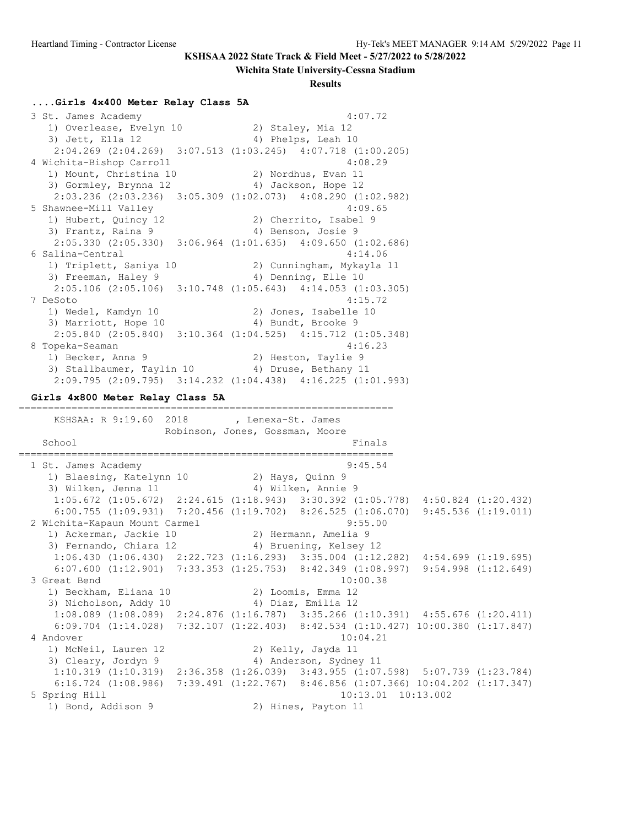#### **Wichita State University-Cessna Stadium**

**Results**

#### **....Girls 4x400 Meter Relay Class 5A**

 3 St. James Academy 4:07.72 1) Overlease, Evelyn 10 2) Staley, Mia 12 3) Jett, Ella 12 (4) Phelps, Leah 10 2:04.269 (2:04.269) 3:07.513 (1:03.245) 4:07.718 (1:00.205) 4 Wichita-Bishop Carroll 4:08.29 1) Mount, Christina 10 2) Nordhus, Evan 11 3) Gormley, Brynna 12 4) Jackson, Hope 12 2:03.236 (2:03.236) 3:05.309 (1:02.073) 4:08.290 (1:02.982) 5 Shawnee-Mill Valley 4:09.65 1) Hubert, Quincy 12 2) Cherrito, Isabel 9 3) Frantz, Raina 9 (4) Benson, Josie 9 2:05.330 (2:05.330) 3:06.964 (1:01.635) 4:09.650 (1:02.686) 6 Salina-Central 4:14.06 1) Triplett, Saniya 10 2) Cunningham, Mykayla 11 3) Freeman, Haley 9 4) Denning, Elle 10 2:05.106 (2:05.106) 3:10.748 (1:05.643) 4:14.053 (1:03.305) 7 DeSoto 4:15.72 1) Wedel, Kamdyn 10 2) Jones, Isabelle 10 3) Marriott, Hope 10 4) Bundt, Brooke 9 2:05.840 (2:05.840) 3:10.364 (1:04.525) 4:15.712 (1:05.348) 8 Topeka-Seaman 4:16.23 1) Becker, Anna 9 2) Heston, Taylie 9 3) Stallbaumer, Taylin 10 (4) Druse, Bethany 11 2:09.795 (2:09.795) 3:14.232 (1:04.438) 4:16.225 (1:01.993) **Girls 4x800 Meter Relay Class 5A** ================================================================ KSHSAA: R 9:19.60 2018 , Lenexa-St. James Robinson, Jones, Gossman, Moore School Finals ================================================================ 1 St. James Academy 9:45.54 1) Blaesing, Katelynn 10 2) Hays, Quinn 9 3) Wilken, Jenna 11 4) Wilken, Annie 9 1:05.672 (1:05.672) 2:24.615 (1:18.943) 3:30.392 (1:05.778) 4:50.824 (1:20.432) 6:00.755 (1:09.931) 7:20.456 (1:19.702) 8:26.525 (1:06.070) 9:45.536 (1:19.011) 2 Wichita-Kapaun Mount Carmel 9:55.00 1) Ackerman, Jackie 10 (2) Hermann, Amelia 9 3) Fernando, Chiara 12 4) Bruening, Kelsey 12 1:06.430 (1:06.430) 2:22.723 (1:16.293) 3:35.004 (1:12.282) 4:54.699 (1:19.695) 6:07.600 (1:12.901) 7:33.353 (1:25.753) 8:42.349 (1:08.997) 9:54.998 (1:12.649) 3 Great Bend 10:00.38 1) Beckham, Eliana 10 2) Loomis, Emma 12 3) Nicholson, Addy 10 4) Diaz, Emilia 12 1:08.089 (1:08.089) 2:24.876 (1:16.787) 3:35.266 (1:10.391) 4:55.676 (1:20.411) 6:09.704 (1:14.028) 7:32.107 (1:22.403) 8:42.534 (1:10.427) 10:00.380 (1:17.847) 4 Andover 10:04.21 1) McNeil, Lauren 12 2) Kelly, Jayda 11 3) Cleary, Jordyn 9 4) Anderson, Sydney 11 1:10.319 (1:10.319) 2:36.358 (1:26.039) 3:43.955 (1:07.598) 5:07.739 (1:23.784) 6:16.724 (1:08.986) 7:39.491 (1:22.767) 8:46.856 (1:07.366) 10:04.202 (1:17.347) 5 Spring Hill 10:13.01 10:13.002 1) Bond, Addison 9 2) Hines, Payton 11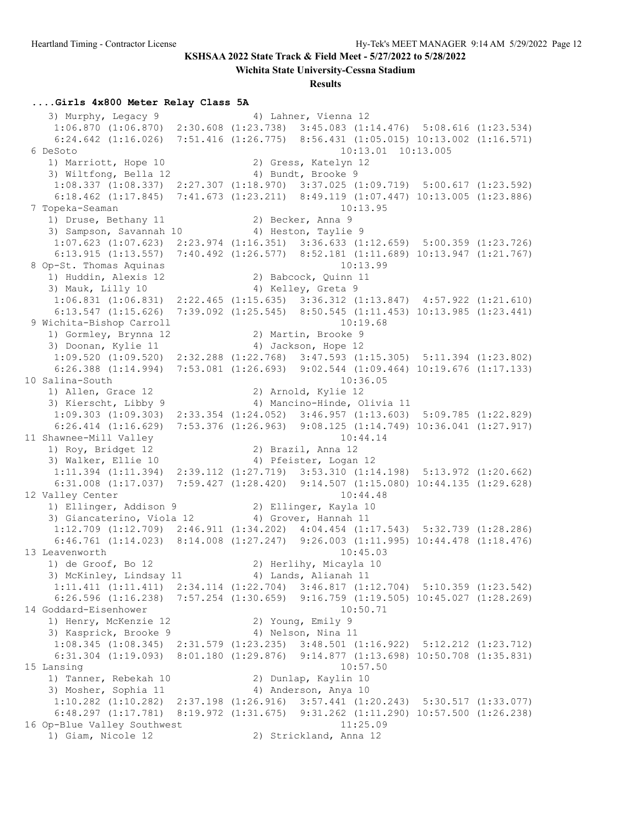**Wichita State University-Cessna Stadium**

**Results**

#### **....Girls 4x800 Meter Relay Class 5A**

3) Murphy, Legacy 9 4) Lahner, Vienna 12 1:06.870 (1:06.870) 2:30.608 (1:23.738) 3:45.083 (1:14.476) 5:08.616 (1:23.534) 6:24.642 (1:16.026) 7:51.416 (1:26.775) 8:56.431 (1:05.015) 10:13.002 (1:16.571) 6 DeSoto 10:13.01 10:13.005 1) Marriott, Hope 10 2) Gress, Katelyn 12 3) Wiltfong, Bella 12 (4) Bundt, Brooke 9 1:08.337 (1:08.337) 2:27.307 (1:18.970) 3:37.025 (1:09.719) 5:00.617 (1:23.592) 6:18.462 (1:17.845) 7:41.673 (1:23.211) 8:49.119 (1:07.447) 10:13.005 (1:23.886)<br>ppeka-Seaman 10:13.95 7 Topeka-Seaman 10:13.95 1) Druse, Bethany 11 2) Becker, Anna 9 3) Sampson, Savannah 10  $\hskip1cm$  4) Heston, Taylie 9 1:07.623 (1:07.623) 2:23.974 (1:16.351) 3:36.633 (1:12.659) 5:00.359 (1:23.726) 6:13.915 (1:13.557) 7:40.492 (1:26.577) 8:52.181 (1:11.689) 10:13.947 (1:21.767) 8 Op-St. Thomas Aquinas 10:13.99 1) Huddin, Alexis 12 2) Babcock, Quinn 11 3) Mauk, Lilly 10  $\hskip 1.6cm 4$  Kelley, Greta 9 1:06.831 (1:06.831) 2:22.465 (1:15.635) 3:36.312 (1:13.847) 4:57.922 (1:21.610) 6:13.547 (1:15.626) 7:39.092 (1:25.545) 8:50.545 (1:11.453) 10:13.985 (1:23.441) 9 Wichita-Bishop Carroll 10:19.68 1) Gormley, Brynna 12 12 2) Martin, Brooke 9 3) Doonan, Kylie 11 4) Jackson, Hope 12 1:09.520 (1:09.520) 2:32.288 (1:22.768) 3:47.593 (1:15.305) 5:11.394 (1:23.802) 6:26.388 (1:14.994) 7:53.081 (1:26.693) 9:02.544 (1:09.464) 10:19.676 (1:17.133) 10 Salina-South 10:36.05 1) Allen, Grace 12 2) Arnold, Kylie 12 3) Kierscht, Libby 9 4) Mancino-Hinde, Olivia 11 1:09.303 (1:09.303) 2:33.354 (1:24.052) 3:46.957 (1:13.603) 5:09.785 (1:22.829) 6:26.414 (1:16.629) 7:53.376 (1:26.963) 9:08.125 (1:14.749) 10:36.041 (1:27.917) 11 Shawnee-Mill Valley 10:44.14 1) Roy, Bridget 12 2) Brazil, Anna 12 3) Walker, Ellie 10 (4) Pfeister, Logan 12 1:11.394 (1:11.394) 2:39.112 (1:27.719) 3:53.310 (1:14.198) 5:13.972 (1:20.662) 6:31.008 (1:17.037) 7:59.427 (1:28.420) 9:14.507 (1:15.080) 10:44.135 (1:29.628) 12 Valley Center 2012 10:44.48 1) Ellinger, Addison 9 2) Ellinger, Kayla 10 3) Giancaterino, Viola 12 (4) Grover, Hannah 11 1:12.709 (1:12.709) 2:46.911 (1:34.202) 4:04.454 (1:17.543) 5:32.739 (1:28.286) 6:46.761 (1:14.023) 8:14.008 (1:27.247) 9:26.003 (1:11.995) 10:44.478 (1:18.476) 13 Leavenworth 10:45.03 1) de Groof, Bo 12 2) Herlihy, Micayla 10 3) McKinley, Lindsay 11 (4) Lands, Alianah 11 1:11.411 (1:11.411) 2:34.114 (1:22.704) 3:46.817 (1:12.704) 5:10.359 (1:23.542) 6:26.596 (1:16.238) 7:57.254 (1:30.659) 9:16.759 (1:19.505) 10:45.027 (1:28.269) 14 Goddard-Eisenhower 10:50.71 1) Henry, McKenzie 12 and 2) Young, Emily 9 3) Kasprick, Brooke 9 4) Nelson, Nina 11 1:08.345 (1:08.345) 2:31.579 (1:23.235) 3:48.501 (1:16.922) 5:12.212 (1:23.712) 6:31.304 (1:19.093) 8:01.180 (1:29.876) 9:14.877 (1:13.698) 10:50.708 (1:35.831) 15 Lansing 10:57.50 1) Tanner, Rebekah 10 2) Dunlap, Kaylin 10 3) Mosher, Sophia 11 (4) Anderson, Anya 10 1:10.282 (1:10.282) 2:37.198 (1:26.916) 3:57.441 (1:20.243) 5:30.517 (1:33.077) 6:48.297 (1:17.781) 8:19.972 (1:31.675) 9:31.262 (1:11.290) 10:57.500 (1:26.238) 16 Op-Blue Valley Southwest 11:25.09 1) Giam, Nicole 12 2) Strickland, Anna 12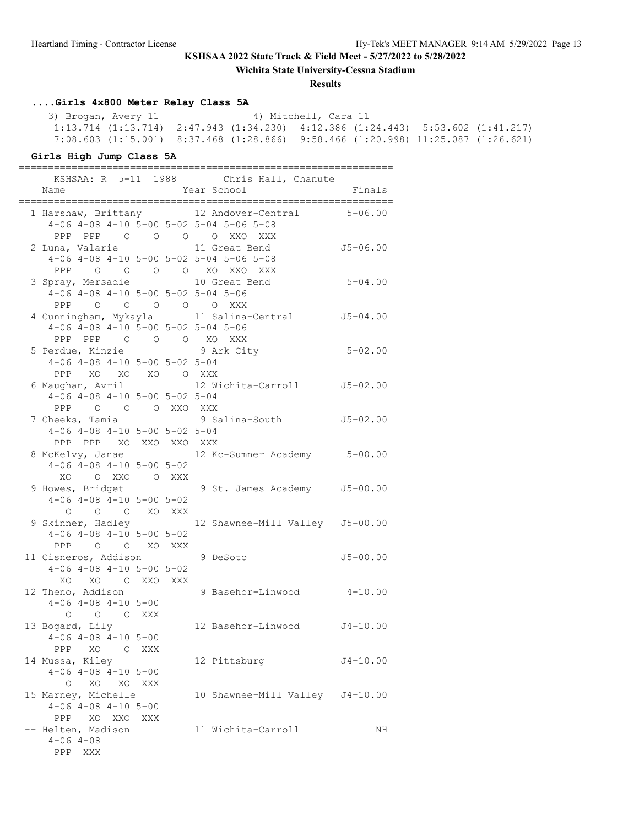**Wichita State University-Cessna Stadium**

#### **Results**

# **....Girls 4x800 Meter Relay Class 5A**

 3) Brogan, Avery 11 4) Mitchell, Cara 11 1:13.714 (1:13.714) 2:47.943 (1:34.230) 4:12.386 (1:24.443) 5:53.602 (1:41.217) 7:08.603 (1:15.001) 8:37.468 (1:28.866) 9:58.466 (1:20.998) 11:25.087 (1:26.621)

#### **Girls High Jump Class 5A**

================================================================

|                                                         |     | KSHSAA: R 5-11 1988 Chris Hall, Chanute          |              |
|---------------------------------------------------------|-----|--------------------------------------------------|--------------|
| Name                                                    |     | Year School                                      | Finals       |
| ==============                                          |     |                                                  |              |
| 4-06 4-08 4-10 5-00 5-02 5-04 5-06 5-08                 |     | 1 Harshaw, Brittany 12 Andover-Central           | $5 - 06.00$  |
| PPP PPP 0 0 0 0 XXO XXX                                 |     |                                                  |              |
| 2 Luna, Valarie                                         |     | 11 Great Bend                                    | $J5 - 06.00$ |
| 4-06 4-08 4-10 5-00 5-02 5-04 5-06 5-08                 |     |                                                  |              |
| PPP                                                     |     | O O O O XO XXO XXX                               |              |
|                                                         |     | 10 Great Bend                                    | $5 - 04.00$  |
| 3 Spray, Mersadie<br>4-06 4-08 4-10 5-00 5-02 5-04 5-06 |     |                                                  |              |
| PPP 0 0 0 0 0 XXX                                       |     |                                                  |              |
|                                                         |     | 4 Cunningham, Mykayla 11 Salina-Central 55-04.00 |              |
| $4-06$ $4-08$ $4-10$ $5-00$ $5-02$ $5-04$ $5-06$        |     |                                                  |              |
|                                                         |     |                                                  |              |
| PPP PPP 0 0 0 XO XXX                                    |     |                                                  | $5 - 02.00$  |
| 5 Perdue, Kinzie 3 9 Ark City                           |     |                                                  |              |
| $4-06$ $4-08$ $4-10$ $5-00$ $5-02$ $5-04$               |     |                                                  |              |
| PPP XO XO XO O XXX                                      |     | 12 Wichita-Carroll J5-02.00                      |              |
| 6 Maughan, Avril                                        |     |                                                  |              |
| $4-06$ $4-08$ $4-10$ $5-00$ $5-02$ $5-04$               |     |                                                  |              |
| PPP 0 0 0 XXO XXX                                       |     |                                                  |              |
| 7 Cheeks, Tamia                                         |     | 9 Salina-South J5-02.00                          |              |
| $4-06$ $4-08$ $4-10$ $5-00$ $5-02$ $5-04$               |     |                                                  |              |
| PPP PPP XO XXO XXO XXX                                  |     |                                                  |              |
|                                                         |     | 8 McKelvy, Janae 12 Kc-Sumner Academy 5-00.00    |              |
| $4-06$ $4-08$ $4-10$ $5-00$ $5-02$                      |     |                                                  |              |
| XO<br>O XXO O XXX                                       |     |                                                  |              |
| 9 Howes, Bridget                                        |     | 9 St. James Academy J5-00.00                     |              |
| $4-06$ $4-08$ $4-10$ $5-00$ $5-02$<br>O O O XO XXX      |     |                                                  |              |
|                                                         |     |                                                  |              |
| 9 Skinner, Hadley                                       |     | 12 Shawnee-Mill Valley J5-00.00                  |              |
| $4-06$ $4-08$ $4-10$ $5-00$ $5-02$                      |     |                                                  |              |
| PPP 0 0 XO XXX                                          |     |                                                  |              |
| 11 Cisneros, Addison                                    |     | 9 DeSoto                                         | $J5 - 00.00$ |
| $4-06$ $4-08$ $4-10$ $5-00$ $5-02$<br>XO XO O XXO XXX   |     |                                                  |              |
|                                                         |     |                                                  |              |
| 12 Theno, Addison                                       |     | 9 Basehor-Linwood                                | $4 - 10.00$  |
| $4-06$ $4-08$ $4-10$ $5-00$                             |     |                                                  |              |
| O O XXX<br>$\circ$                                      |     |                                                  |              |
| 13 Bogard, Lily                                         |     | 12 Basehor-Linwood J4-10.00                      |              |
| $4-06$ $4-08$ $4-10$ $5-00$                             |     |                                                  |              |
| PPP<br>XO<br>$\circ$                                    | XXX |                                                  |              |
| 14 Mussa, Kiley                                         |     | 12 Pittsburg                                     | J4-10.00     |
| $4 - 06$ $4 - 08$ $4 - 10$ $5 - 00$                     |     |                                                  |              |
| XO<br>$\circ$<br>XO                                     | XXX |                                                  |              |
| 15 Marney, Michelle                                     |     | 10 Shawnee-Mill Valley                           | $J4 - 10.00$ |
| $4-06$ $4-08$ $4-10$ $5-00$                             |     |                                                  |              |
| XO XXO<br>PPP                                           | XXX |                                                  |              |
| -- Helten, Madison                                      |     | 11 Wichita-Carroll                               | ΝH           |
| $4 - 06$ $4 - 08$                                       |     |                                                  |              |
| PPP XXX                                                 |     |                                                  |              |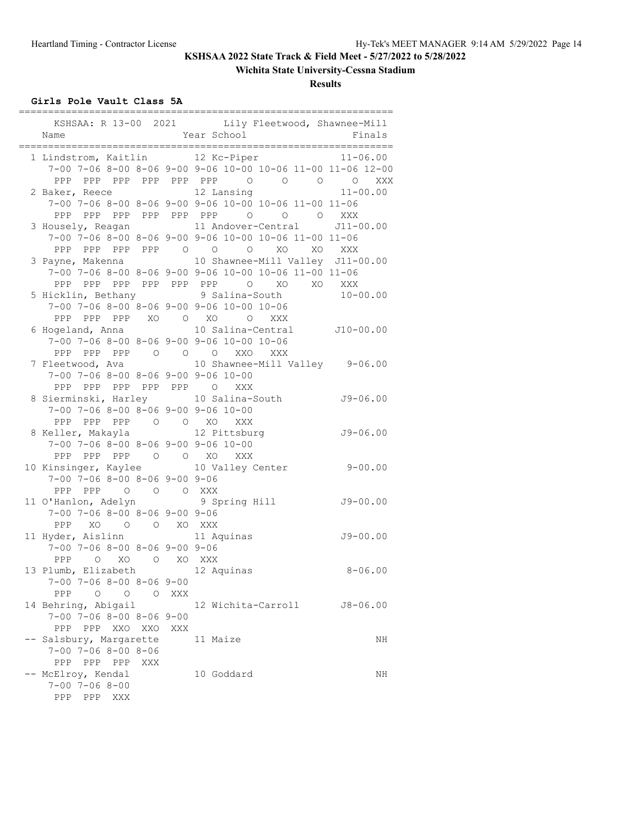# **Wichita State University-Cessna Stadium**

**Results**

## **Girls Pole Vault Class 5A**

| Name                                              |            | KSHSAA: R 13-00 2021 Lily Fleetwood, Shawnee-Mill<br>Year School | Finals         |
|---------------------------------------------------|------------|------------------------------------------------------------------|----------------|
|                                                   |            |                                                                  |                |
| 1 Lindstrom, Kaitlin 12 Kc-Piper                  |            |                                                                  | $11 - 06.00$   |
|                                                   |            | 7-00 7-06 8-00 8-06 9-00 9-06 10-00 10-06 11-00 11-06 12-00      |                |
|                                                   |            | PPP PPP PPP PPP PPP PPP 0 0 0                                    | $\circ$<br>XXX |
| 2 Baker, Reece                                    |            | 12 Lansing                                                       | $11 - 00.00$   |
|                                                   |            | 7-00 7-06 8-00 8-06 9-00 9-06 10-00 10-06 11-00 11-06            |                |
|                                                   |            | PPP PPP PPP PPP PPP PPP 0 0 0 XXX                                |                |
|                                                   |            | 3 Housely, Reagan 11 Andover-Central J11-00.00                   |                |
|                                                   |            | 7-00 7-06 8-00 8-06 9-00 9-06 10-00 10-06 11-00 11-06            |                |
| PPP PPP PPP PPP 0 0 0                             |            | XO XO XXX                                                        |                |
|                                                   |            | 3 Payne, Makenna 10 Shawnee-Mill Valley J11-00.00                |                |
|                                                   |            | 7-00 7-06 8-00 8-06 9-00 9-06 10-00 10-06 11-00 11-06            |                |
|                                                   |            | PPP PPP PPP PPP PPP PPP 0 XO XO XXX                              |                |
| 5 Hicklin, Bethany 9 Salina-South                 |            |                                                                  | $10 - 00.00$   |
| 7-00 7-06 8-00 8-06 9-00 9-06 10-00 10-06         |            |                                                                  |                |
| PPP PPP PPP XO O XO O                             |            | XXX                                                              |                |
| 6 Hogeland, Anna                                  |            | 10 Salina-Central J10-00.00                                      |                |
| 7-00 7-06 8-00 8-06 9-00 9-06 10-00 10-06         |            |                                                                  |                |
| PPP PPP PPP 0 0 0 XXO XXX                         |            |                                                                  |                |
| 7 Fleetwood, Ava                                  |            | 10 Shawnee-Mill Valley 9-06.00                                   |                |
| $7-00$ $7-06$ $8-00$ $8-06$ $9-00$ $9-06$ $10-00$ |            |                                                                  |                |
| PPP PPP PPP PPP PPP 0 XXX                         |            |                                                                  |                |
|                                                   |            | 8 Sierminski, Harley 10 Salina-South                             | $J9 - 06.00$   |
| 7-00 7-06 8-00 8-06 9-00 9-06 10-00               |            |                                                                  |                |
| PPP PPP PPP 0 0 XO XXX                            |            |                                                                  |                |
| 8 Keller, Makayla 12 Pittsburg                    |            |                                                                  | $J9 - 06.00$   |
| 7-00 7-06 8-00 8-06 9-00 9-06 10-00               |            |                                                                  |                |
| PPP PPP PPP 0 0 XO XXX                            |            |                                                                  |                |
| 10 Kinsinger, Kaylee 10 Valley Center             |            |                                                                  | $9 - 00.00$    |
| $7-00$ $7-06$ $8-00$ $8-06$ $9-00$ $9-06$         |            |                                                                  |                |
| PPP PPP 0 0 0 XXX                                 |            |                                                                  |                |
| 11 O'Hanlon, Adelyn                               |            | 9 Spring Hill                                                    | $J9 - 00.00$   |
| $7-00$ $7-06$ $8-00$ $8-06$ $9-00$ $9-06$         |            |                                                                  |                |
| PPP XO O O XO XXX                                 |            |                                                                  |                |
| 11 Hyder, Aislinn 11 Aquinas                      |            |                                                                  | $J9 - 00.00$   |
| $7-00$ $7-06$ $8-00$ $8-06$ $9-00$ $9-06$         |            |                                                                  |                |
| PPP O XO O XO XXX                                 |            |                                                                  |                |
| 13 Plumb, Elizabeth                               |            | 12 Aquinas                                                       | $8 - 06.00$    |
| 7-00 7-06 8-00 8-06 9-00                          |            |                                                                  |                |
| PPP 0 0 0                                         | XXX        |                                                                  |                |
| 14 Behring, Abigail                               |            | 12 Wichita-Carroll                                               | $J8 - 06.00$   |
| $7 - 00$ $7 - 06$ $8 - 00$ $8 - 06$ $9 - 00$      |            |                                                                  |                |
| PPP<br>XXO<br>PPP<br>XXO                          | <b>XXX</b> |                                                                  |                |
| -- Salsbury, Margarette                           |            | 11 Maize                                                         | ΝH             |
| $7 - 00$ $7 - 06$ $8 - 00$ $8 - 06$               |            |                                                                  |                |
| PPP PPP PPP<br>XXX                                |            |                                                                  |                |
| -- McElroy, Kendal                                |            | 10 Goddard                                                       | ΝH             |
| $7 - 00$ $7 - 06$ $8 - 00$                        |            |                                                                  |                |
| PPP<br>PPP XXX                                    |            |                                                                  |                |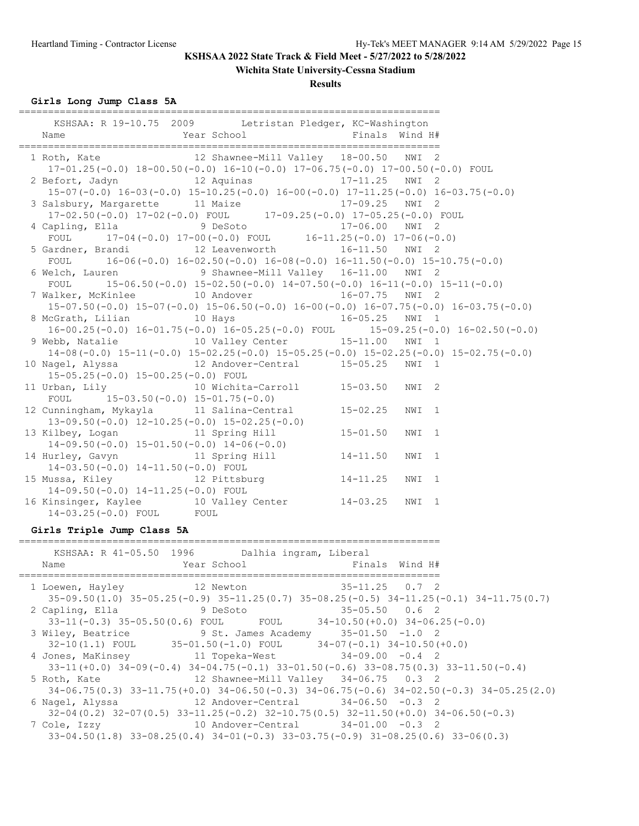## **Wichita State University-Cessna Stadium**

#### **Results**

**Girls Long Jump Class 5A**

| ============                                                                                                                              |                                           |                      |  |  |
|-------------------------------------------------------------------------------------------------------------------------------------------|-------------------------------------------|----------------------|--|--|
| KSHSAA: R 19-10.75 2009 Letristan Pledger, KC-Washington<br>Year School<br>Name                                                           | Finals Wind H#                            |                      |  |  |
|                                                                                                                                           |                                           |                      |  |  |
| 1 Roth, Kate Mill Valley 18-00.50 NWI 2<br>17-01.25(-0.0) 18-00.50(-0.0) 16-10(-0.0) 17-06.75(-0.0) 17-00.50(-0.0) FOUL                   |                                           |                      |  |  |
| 2 Befort, Jadyn 12 Aquinas 17-11.25 NWI 2<br>$15-07(-0.0)$ $16-03(-0.0)$ $15-10.25(-0.0)$ $16-00(-0.0)$ $17-11.25(-0.0)$ $16-03.75(-0.0)$ |                                           |                      |  |  |
|                                                                                                                                           |                                           |                      |  |  |
| 3 Salsbury, Margarette 11 Maize 11 17-09.25 NWI 2<br>17-02.50(-0.0) $17-02$ (-0.0) FOUL 17-09.25(-0.0) $17-05.25$ (-0.0) FOUL             |                                           |                      |  |  |
| 4 Capling, Ella 9 DeSoto 17-06.00 NWI 2<br>FOUL 17-04(-0.0) 17-00(-0.0) FOUL 16-11.25(-0.0) 17-06(-0.0)                                   |                                           |                      |  |  |
| 5 Gardner, Brandi 12 Leavenworth 16-11.50 NWI 2<br>FOUL $16-06(-0.0) 16-02.50(-0.0) 16-08(-0.0) 16-11.50(-0.0) 15-10.75(-0.0)$            |                                           |                      |  |  |
|                                                                                                                                           |                                           |                      |  |  |
| 6 Welch, Lauren 9 Shawnee-Mill Valley 16-11.00 NWI 2                                                                                      |                                           |                      |  |  |
| FOUL $15-06.50(-0.0) 15-02.50(-0.0) 14-07.50(-0.0) 16-11(-0.0) 15-11(-0.0)$<br>7 Walker, McKinlee 10 Andover 16-07.75 NWI 2               |                                           |                      |  |  |
| $15-07.50(-0.0)$ $15-07(-0.0)$ $15-06.50(-0.0)$ $16-00(-0.0)$ $16-07.75(-0.0)$ $16-03.75(-0.0)$                                           |                                           |                      |  |  |
| 8 McGrath, Lilian 10 Hays 16-05.25 NWI 1                                                                                                  |                                           |                      |  |  |
| $16-00.25(-0.0) 16-01.75(-0.0) 16-05.25(-0.0)$ FOUL $15-09.25(-0.0) 16-02.50(-0.0)$                                                       |                                           |                      |  |  |
| 9 Webb, Natalie 10 Valley Center 15-11.00 NWI 1                                                                                           |                                           |                      |  |  |
|                                                                                                                                           |                                           |                      |  |  |
| $14-08(-0.0)$ $15-11(-0.0)$ $15-02.25(-0.0)$ $15-05.25(-0.0)$ $15-02.25(-0.0)$ $15-02.75(-0.0)$                                           |                                           |                      |  |  |
| 10 Nagel, Alyssa $12$ Andover-Central $15-05.25$ NWI 1<br>15-05.25(-0.0) 15-00.25(-0.0) FOUL                                              |                                           |                      |  |  |
| 11 Urban, Lily 10 Wichita-Carroll 15-03.50 NWI 2                                                                                          |                                           |                      |  |  |
| $15-03.50(-0.0)$ $15-01.75(-0.0)$<br>FOUL                                                                                                 |                                           |                      |  |  |
|                                                                                                                                           |                                           |                      |  |  |
| 12 Cunningham, Mykayla 11 Salina-Central 15-02.25<br>$13-09.50(-0.0)$ $12-10.25(-0.0)$ $15-02.25(-0.0)$                                   |                                           | NWI 1                |  |  |
| 13 Kilbey, Logan 11 Spring Hill                                                                                                           | $15 - 01.50$                              | NWI 1                |  |  |
| $14-09.50(-0.0)$ $15-01.50(-0.0)$ $14-06(-0.0)$                                                                                           |                                           |                      |  |  |
| 14 Hurley, Gavyn 11 Spring Hill 14-11.50<br>14-03.50(-0.0) 14-11.50(-0.0) FOUL                                                            |                                           | NWI 1                |  |  |
| 15 Mussa, Kiley 12 Pittsburg 14-11.25                                                                                                     |                                           | NWI 1                |  |  |
| 14-09.50(-0.0) 14-11.25(-0.0) FOUL                                                                                                        |                                           |                      |  |  |
| 16 Kinsinger, Kaylee 10 Valley Center 14-03.25 NWI 1<br>14-03.25 (-0.0) FOUL FOUL                                                         |                                           |                      |  |  |
| Girls Triple Jump Class 5A                                                                                                                |                                           |                      |  |  |
|                                                                                                                                           |                                           |                      |  |  |
| KSHSAA: R 41-05.50 1996 Dalhia ingram, Liberal<br>Year School <a> Finals Wind H#<br/>Name</a>                                             |                                           |                      |  |  |
|                                                                                                                                           |                                           |                      |  |  |
| 1 Loewen, Hayley 12 Newton                                                                                                                |                                           | $35 - 11.25$ 0.7 2   |  |  |
| $35-09.50(1.0)$ $35-05.25(-0.9)$ $35-11.25(0.7)$ $35-08.25(-0.5)$ $34-11.25(-0.1)$ $34-11.75(0.7)$                                        |                                           |                      |  |  |
|                                                                                                                                           |                                           |                      |  |  |
| 2 Capling, Ella<br>9 DeSoto                                                                                                               |                                           | $35 - 05.50$ 0.6 2   |  |  |
| 33-11 (-0.3) 35-05.50 (0.6) FOUL                                                                                                          | $34-10.50 (+0.0) 34-06.25 (-0.0)$<br>FOUL |                      |  |  |
| 3 Wiley, Beatrice 3 St. James Academy 35-01.50 -1.0 2                                                                                     |                                           |                      |  |  |
| $32-10(1.1)$ FOUL $35-01.50(-1.0)$ FOUL                                                                                                   | $34-07(-0.1)$ $34-10.50(+0.0)$            |                      |  |  |
|                                                                                                                                           |                                           |                      |  |  |
| 4 Jones, MaKinsey 11 Topeka-West                                                                                                          |                                           | $34 - 09.00 - 0.4$ 2 |  |  |
| $33-11 (+0.0)$ $34-09 (-0.4)$ $34-04.75 (-0.1)$ $33-01.50 (-0.6)$ $33-08.75 (0.3)$ $33-11.50 (-0.4)$                                      |                                           |                      |  |  |
| 12 Shawnee-Mill Valley 34-06.75 0.3 2<br>5 Roth, Kate                                                                                     |                                           |                      |  |  |

 34-06.75(0.3) 33-11.75(+0.0) 34-06.50(-0.3) 34-06.75(-0.6) 34-02.50(-0.3) 34-05.25(2.0) 6 Nagel, Alyssa 12 Andover-Central 34-06.50 -0.3 2

 $32-04(0.2)$   $32-07(0.5)$   $33-11.25(-0.2)$   $32-10.75(0.5)$   $32-11.50(+0.0)$   $34-06.50(-0.3)$ <br>7 Cole, Izzy 10 Andover-Central  $34-01.00$  -0.3 2

10 Andover-Central 34-01.00 -0.3 2 33-04.50(1.8) 33-08.25(0.4) 34-01(-0.3) 33-03.75(-0.9) 31-08.25(0.6) 33-06(0.3)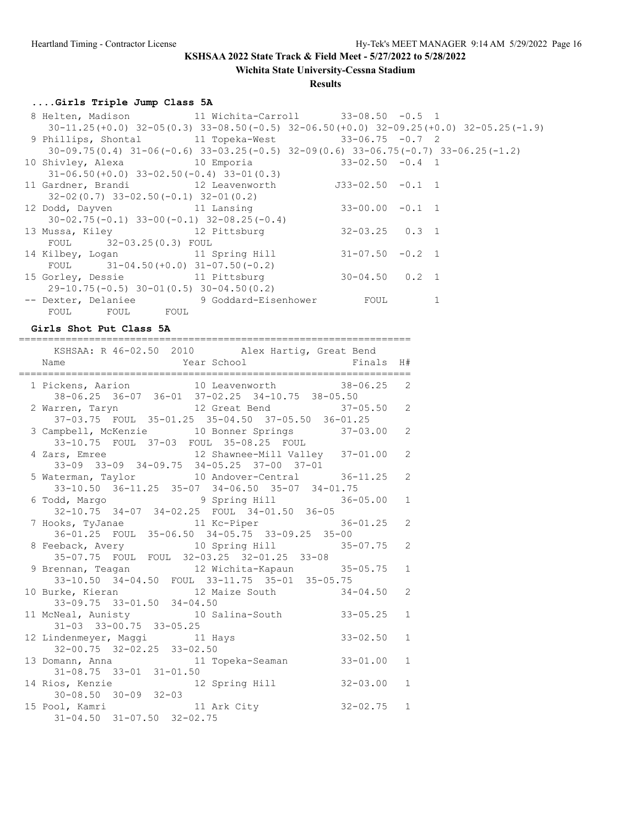**Wichita State University-Cessna Stadium**

### **Results**

===================================================================

# **....Girls Triple Jump Class 5A**

| 8 Helten, Madison 11 Wichita-Carroll 33-08.50 -0.5 1                                              |                      |   |  |
|---------------------------------------------------------------------------------------------------|----------------------|---|--|
| $30-11.25(+0.0)$ $32-05(0.3)$ $33-08.50(-0.5)$ $32-06.50(+0.0)$ $32-09.25(+0.0)$ $32-05.25(-1.9)$ |                      |   |  |
| 9 Phillips, Shontal 11 Topeka-West 33-06.75 -0.7 2                                                |                      |   |  |
| $30-09.75(0.4)$ $31-06(-0.6)$ $33-03.25(-0.5)$ $32-09(0.6)$ $33-06.75(-0.7)$ $33-06.25(-1.2)$     |                      |   |  |
| 10 Shivley, Alexa $10$ Emporia $33-02.50$ -0.4 1                                                  |                      |   |  |
| $31-06.50 (+0.0) 33-02.50 (-0.4) 33-01 (0.3)$                                                     |                      |   |  |
| 11 Gardner, Brandi 12 Leavenworth 533-02.50 -0.1 1                                                |                      |   |  |
| $32-02(0.7)$ $33-02.50(-0.1)$ $32-01(0.2)$                                                        |                      |   |  |
| 12 Dodd, Dayven 11 Lansing                                                                        | $33 - 00.00 - 0.1 1$ |   |  |
| $30-02.75(-0.1)$ $33-00(-0.1)$ $32-08.25(-0.4)$                                                   |                      |   |  |
| 13 Mussa, Kiley 12 Pittsburg                                                                      | $32 - 03.25$ 0.3 1   |   |  |
| FOUL 32-03.25(0.3) FOUL                                                                           |                      |   |  |
| 14 Kilbey, Logan 11 Spring Hill                                                                   | $31 - 07.50 - 0.2$ 1 |   |  |
| FOUL $31-04.50(+0.0) 31-07.50(-0.2)$                                                              |                      |   |  |
| 15 Gorley, Dessie 11 Pittsburg                                                                    | $30 - 04.50$ 0.2 1   |   |  |
| $29-10.75(-0.5)$ 30-01(0.5) 30-04.50(0.2)                                                         |                      |   |  |
| -- Dexter, Delaniee 9 Goddard-Eisenhower FOUL                                                     |                      | 1 |  |
| FOUL FOUL FOUL                                                                                    |                      |   |  |

### **Girls Shot Put Class 5A**

| KSHSAA: R 46-02.50 2010 Alex Hartig, Great Bend                                                                                   | H#           |
|-----------------------------------------------------------------------------------------------------------------------------------|--------------|
| 1 Pickens, Aarion 10 Leavenworth 38-06.25 2<br>38-06.25 36-07 36-01 37-02.25 34-10.75 38-05.50                                    |              |
| 2 Warren, Taryn 12 Great Bend 37-05.50<br>37-03.75 FOUL 35-01.25 35-04.50 37-05.50 36-01.25                                       | 2            |
| 3 Campbell, McKenzie 10 Bonner Springs 37-03.00<br>33-10.75 FOUL 37-03 FOUL 35-08.25 FOUL                                         | 2            |
| 4 Zars, Emree 12 Shawnee-Mill Valley 37-01.00<br>33-09 33-09 34-09.75 34-05.25 37-00 37-01                                        | 2            |
| 5 Waterman, Taylor 10 Andover-Central 36-11.25<br>$33-10.50 \quad 36-11.25 \quad 35-07 \quad 34-06.50 \quad 35-07 \quad 34-01.75$ | 2            |
| 6 Todd, Margo 36-05.00<br>32-10.75 34-07 34-02.25 FOUL 34-01.50 36-05                                                             | $\mathbf{1}$ |
| 7 Hooks, TyJanae 11 Kc-Piper 36-01.25 2<br>36-01.25 FOUL 35-06.50 34-05.75 33-09.25 35-00                                         |              |
| 8 Feeback, Avery 10 Spring Hill 35-07.75<br>35-07.75 FOUL FOUL 32-03.25 32-01.25 33-08                                            | 2            |
| 9 Brennan, Teagan 12 Wichita-Kapaun 35-05.75<br>33-10.50 34-04.50 FOUL 33-11.75 35-01 35-05.75                                    | $\mathbf{1}$ |
| 10 Burke, Kieran 12 Maize South 34-04.50<br>33-09.75 33-01.50 34-04.50                                                            | 2            |
| 11 McNeal, Aunisty 10 Salina-South 33-05.25<br>31-03 33-00.75 33-05.25                                                            | $\mathbf{1}$ |
| 12 Lindenmeyer, Maggi 11 Hays 33-02.50<br>32-00.75 32-02.25 33-02.50                                                              | $\mathbf{1}$ |
| 13 Domann, Anna 11 Topeka-Seaman 33-01.00<br>$31-08.75$ $33-01$ $31-01.50$                                                        | $\mathbf{1}$ |
| 14 Rios, Kenzie 12 Spring Hill 32-03.00<br>30-08.50 30-09 32-03                                                                   | $\mathbf{1}$ |
| 15 Pool, Kamri 11 Ark City 32-02.75 1<br>31-04.50 31-07.50 32-02.75                                                               |              |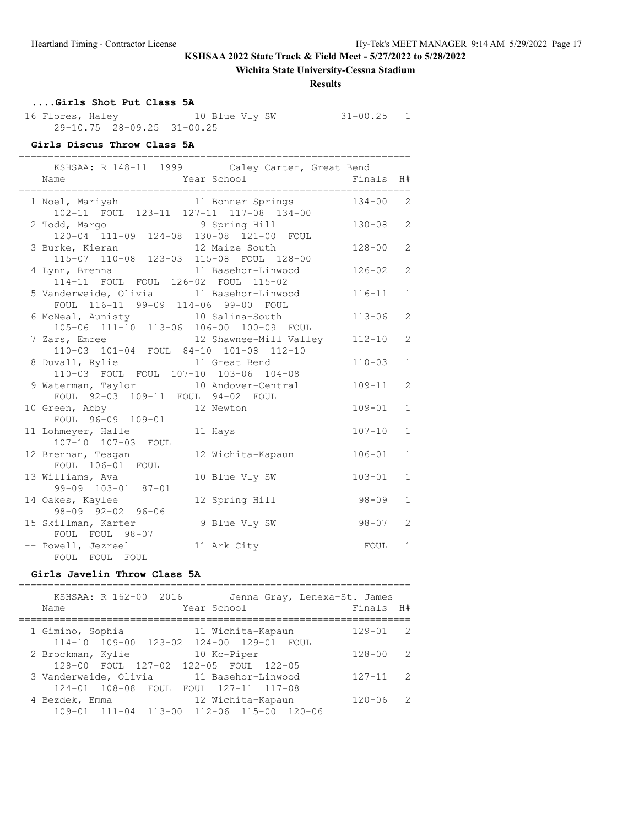## **Wichita State University-Cessna Stadium**

#### **Results**

## **....Girls Shot Put Class 5A**

 16 Flores, Haley 10 Blue Vly SW 31-00.25 1 29-10.75 28-09.25 31-00.25

## **Girls Discus Throw Class 5A**

| ;============<br>KSHSAA: R 148-11 1999 Caley Carter, Great Bend<br>Year School Finals<br>Name |            | H#             |
|-----------------------------------------------------------------------------------------------|------------|----------------|
| 1 Noel, Mariyah 11 Bonner Springs 134-00 2<br>102-11 FOUL 123-11 127-11 117-08 134-00         |            |                |
| 2 Todd, Margo 9 Spring Hill<br>120-04 111-09 124-08 130-08 121-00 FOUL                        | $130 - 08$ | 2              |
| 12 Maize South<br>3 Burke, Kieran<br>115-07 110-08 123-03 115-08 FOUL 128-00                  | $128 - 00$ | $\overline{2}$ |
| 4 Lynn, Brenna 11 Basehor-Linwood<br>114-11 FOUL FOUL 126-02 FOUL 115-02                      | 126-02     | 2              |
| 5 Vanderweide, Olivia 11 Basehor-Linwood<br>FOUL 116-11 99-09 114-06 99-00 FOUL               | $116 - 11$ | $\mathbf{1}$   |
| 6 McNeal, Aunisty 10 Salina-South<br>105-06 111-10 113-06 106-00 100-09 FOUL                  | $113 - 06$ | 2              |
| 7 Zars, Emree 12 Shawnee-Mill Valley 112-10<br>110-03 101-04 FOUL 84-10 101-08 112-10         |            | 2              |
| 8 Duvall, Rylie 11 Great Bend<br>110-03 FOUL FOUL 107-10 103-06 104-08                        | $110 - 03$ | $\mathbf{1}$   |
| 9 Waterman, Taylor 10 Andover-Central<br>FOUL 92-03 109-11 FOUL 94-02 FOUL                    | $109 - 11$ | $\overline{2}$ |
| 10 Green, Abby 12 Newton<br>FOUL 96-09 109-01                                                 | $109 - 01$ | $\mathbf{1}$   |
| 11 Hays<br>11 Lohmeyer, Halle<br>107-10 107-03 FOUL                                           | $107 - 10$ | $\mathbf{1}$   |
| 12 Wichita-Kapaun<br>12 Brennan, Teagan<br>FOUL 106-01 FOUL                                   | $106 - 01$ | $\mathbf{1}$   |
| 13 Williams, Ava<br>10 Blue Vly SW<br>99-09 103-01 87-01                                      | $103 - 01$ | $\mathbf{1}$   |
| 14 Oakes, Kaylee<br>12 Spring Hill<br>98-09 92-02 96-06                                       | 98-09      | $\mathbf{1}$   |
| 9 Blue Vly SW<br>15 Skillman, Karter<br>FOUL FOUL 98-07                                       | $98 - 07$  | 2              |
| -- Powell, Jezreel<br>11 Ark City<br>FOUL FOUL FOUL                                           | FOUL       | $\mathbf{1}$   |

## **Girls Javelin Throw Class 5A**

| KSHSAA: R 162-00 2016<br>Jenna Gray, Lenexa-St. James<br>Year School<br>Name      | Finals H#  |                |
|-----------------------------------------------------------------------------------|------------|----------------|
| 1 Gimino, Sophia<br>11 Wichita-Kapaun                                             | $129 - 01$ | $\overline{2}$ |
| 114-10 109-00 123-02 124-00 129-01 FOUL<br>10 Kc-Piper<br>2 Brockman, Kylie       | $128 - 00$ | -2             |
| 128-00 FOUL 127-02 122-05 FOUL 122-05<br>3 Vanderweide, Olivia 11 Basehor-Linwood | $127 - 11$ | - 2            |
| 124-01 108-08 FOUL FOUL 127-11 117-08<br>12 Wichita-Kapaun<br>4 Bezdek, Emma      | $120 - 06$ | $\overline{2}$ |
| 109-01 111-04 113-00 112-06 115-00 120-06                                         |            |                |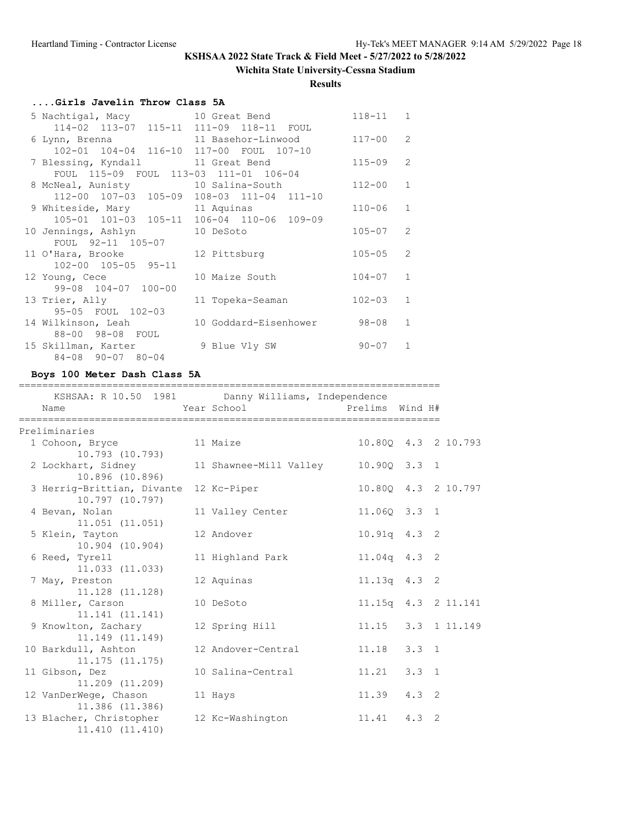## **Wichita State University-Cessna Stadium**

### **Results**

## **....Girls Javelin Throw Class 5A**

| 5 Nachtigal, Macy 5 10 Great Bend         |                                                             | $118 - 11$ | $\mathbf{1}$   |
|-------------------------------------------|-------------------------------------------------------------|------------|----------------|
| 114-02 113-07 115-11 111-09 118-11 FOUL   |                                                             |            |                |
|                                           | 6 Lynn, Brenna                           11 Basehor-Linwood | $117 - 00$ | $\overline{2}$ |
| 102-01 104-04 116-10 117-00 FOUL 107-10   |                                                             |            |                |
| 7 Blessing, Kyndall                       | 11 Great Bend                                               | $115 - 09$ | $\mathcal{P}$  |
| FOUL 115-09 FOUL 113-03 111-01 106-04     |                                                             |            |                |
| 8 McNeal, Aunisty 10 Salina-South         |                                                             | $112 - 00$ | $\mathbf{1}$   |
| 112-00 107-03 105-09 108-03 111-04 111-10 |                                                             |            |                |
| 9 Whiteside, Mary 11 Aquinas              |                                                             | $110 - 06$ | $\mathbf{1}$   |
| 105-01 101-03 105-11 106-04 110-06 109-09 |                                                             |            |                |
| 10 Jennings, Ashlyn 10 DeSoto             |                                                             | $105 - 07$ | $\overline{2}$ |
| FOUL 92-11 105-07                         |                                                             |            |                |
| 11 O'Hara, Brooke 12 Pittsburg            |                                                             | $105 - 05$ | $\overline{2}$ |
| 102-00 105-05 95-11                       |                                                             |            |                |
| 12 Young, Cece                            | 10 Maize South                                              | $104 - 07$ | $\mathbf{1}$   |
| 99-08 104-07 100-00                       |                                                             |            |                |
| 13 Trier, Ally                            | 11 Topeka-Seaman                                            | $102 - 03$ | $\mathbf{1}$   |
| 95-05 FOUL 102-03                         |                                                             |            |                |
| 14 Wilkinson, Leah                        | 10 Goddard-Eisenhower                                       | $98 - 08$  | $\mathbf{1}$   |
| 88-00 98-08 FOUL                          |                                                             |            |                |
| 15 Skillman, Karter                       | 9 Blue Vly SW                                               | $90 - 07$  | $\mathbf{1}$   |
| 84-08 90-07 80-04                         |                                                             |            |                |

### **Boys 100 Meter Dash Class 5A**

#### ========================================================================

| KSHSAA: R 10.50 1981 Danny Williams, Independence |                                     |                 |                     |
|---------------------------------------------------|-------------------------------------|-----------------|---------------------|
| Name                                              | Year School States                  | Prelims Wind H# |                     |
| Preliminaries                                     |                                     |                 |                     |
| 1 Cohoon, Bryce<br>10.793 (10.793)                | 11 Maize                            |                 | 10.800 4.3 2 10.793 |
| 2 Lockhart, Sidney<br>10.896 (10.896)             | 11 Shawnee-Mill Valley 10.90Q 3.3 1 |                 |                     |
| 3 Herrig-Brittian, Divante<br>10.797 (10.797)     | 12 Kc-Piper                         |                 | 10.80Q 4.3 2 10.797 |
| 4 Bevan, Nolan<br>11.051 (11.051)                 | 11 Valley Center                    | 11.060 3.3 1    |                     |
| 5 Klein, Tayton<br>10.904 (10.904)                | 12 Andover                          | $10.91q$ 4.3 2  |                     |
| 6 Reed, Tyrell<br>11.033(11.033)                  | 11 Highland Park                    | 11.04q 4.3 2    |                     |
| 7 May, Preston<br>11.128 (11.128)                 | 12 Aquinas                          | $11.13q$ 4.3 2  |                     |
| 8 Miller, Carson<br>11.141(11.141)                | 10 DeSoto                           |                 | 11.15q 4.3 2 11.141 |
| 9 Knowlton, Zachary<br>11.149 (11.149)            | 12 Spring Hill                      |                 | 11.15 3.3 1 11.149  |
| 10 Barkdull, Ashton<br>11.175(11.175)             | 12 Andover-Central                  | 11.18 3.3 1     |                     |
| 11 Gibson, Dez<br>11,209 (11,209)                 | 10 Salina-Central                   | $11.21$ $3.3$ 1 |                     |
| 12 VanDerWege, Chason<br>11.386 (11.386)          | 11 Hays                             | $11.39$ $4.3$ 2 |                     |
| 13 Blacher, Christopher<br>11.410 (11.410)        | 12 Kc-Washington                    | $11.41$ $4.3$ 2 |                     |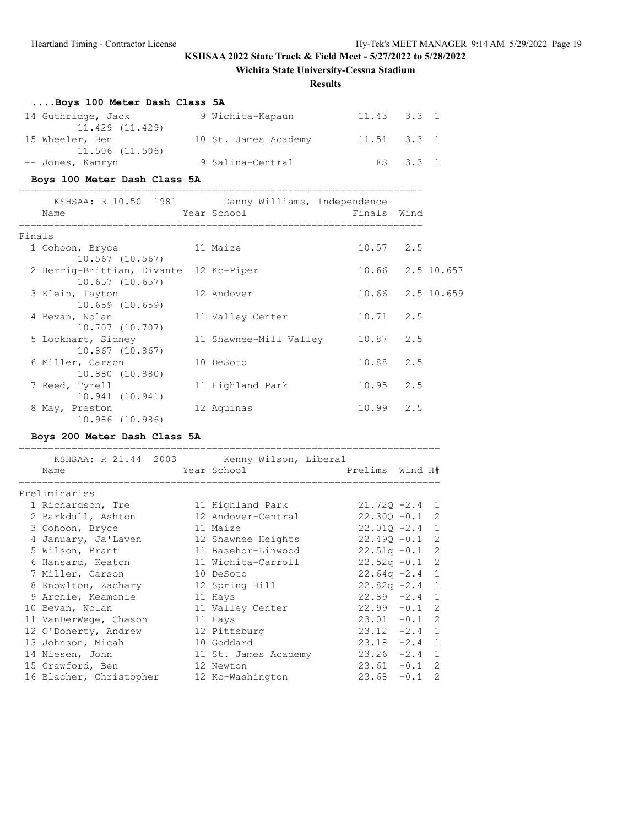**Wichita State University-Cessna Stadium**

### **Results**

| Boys 100 Meter Dash Class 5A |                      |                 |          |  |
|------------------------------|----------------------|-----------------|----------|--|
| 14 Guthridge, Jack           | 9 Wichita-Kapaun     | $11.43$ $3.3$ 1 |          |  |
| 11.429 (11.429)              |                      |                 |          |  |
| 15 Wheeler, Ben              | 10 St. James Academy | $11.51$ $3.3$ 1 |          |  |
| 11.506 (11.506)              |                      |                 |          |  |
| -- Jones, Kamryn             | 9 Salina-Central     |                 | FS 3.3 1 |  |

## **Boys 100 Meter Dash Class 5A**

|        | KSHSAA: R 10.50 1981 Danny Williams, Independence<br>Name | Year School                      | Finals Wind      |                  |
|--------|-----------------------------------------------------------|----------------------------------|------------------|------------------|
|        |                                                           |                                  |                  |                  |
| Finals |                                                           |                                  |                  |                  |
|        | 1 Cohoon, Bryce                                           | 11 Maize                         | $10.57$ 2.5      |                  |
|        | 10.567 (10.567)                                           |                                  |                  |                  |
|        | 2 Herrig-Brittian, Divante 12 Kc-Piper                    |                                  | 10.66 2.5 10.657 |                  |
|        | $10.657$ $(10.657)$                                       |                                  |                  |                  |
|        | 3 Klein, Tayton                                           | 12 Andover                       |                  | 10.66 2.5 10.659 |
|        | $10.659$ $(10.659)$                                       |                                  |                  |                  |
|        | 4 Bevan, Nolan                                            | 11 Valley Center                 | $10.71$ 2.5      |                  |
|        | 10.707 (10.707)                                           |                                  |                  |                  |
|        | 5 Lockhart, Sidney                                        | 11 Shawnee-Mill Valley 10.87 2.5 |                  |                  |
|        | 10.867 (10.867)                                           |                                  |                  |                  |
|        | 6 Miller, Carson                                          | 10 DeSoto                        | $10.88$ 2.5      |                  |
|        | 10.880 (10.880)                                           |                                  |                  |                  |
|        | 7 Reed, Tyrell                                            | 11 Highland Park                 | $10.95$ 2.5      |                  |
|        | 10.941 (10.941)                                           |                                  |                  |                  |
|        | 8 May, Preston                                            | 12 Aquinas                       | $10.99$ 2.5      |                  |
|        | 10.986 (10.986)                                           |                                  |                  |                  |

## **Boys 200 Meter Dash Class 5A**

| KSHSAA: R 21.44 2003 Kenny Wilson, Liberal |  |                      |  |                  |  |
|--------------------------------------------|--|----------------------|--|------------------|--|
| Name                                       |  | Year School          |  | Prelims Wind H#  |  |
|                                            |  |                      |  |                  |  |
| Preliminaries                              |  |                      |  |                  |  |
| 1 Richardson, Tre 11 Highland Park         |  |                      |  | $21.720 -2.4$ 1  |  |
| 2 Barkdull, Ashton 12 Andover-Central      |  |                      |  | $22.30Q - 0.1$ 2 |  |
| 3 Cohoon, Bryce                            |  | 11 Maize             |  | $22.010 - 2.4$ 1 |  |
| 4 January, Ja'Laven                        |  | 12 Shawnee Heights   |  | $22.490 - 0.1$ 2 |  |
| 5 Wilson, Brant                            |  | 11 Basehor-Linwood   |  | $22.51q - 0.1$ 2 |  |
| 6 Hansard, Keaton                          |  | 11 Wichita-Carroll   |  | $22.52q - 0.1$ 2 |  |
| 7 Miller, Carson                           |  | 10 DeSoto            |  | $22.64q -2.4$ 1  |  |
| 8 Knowlton, Zachary                        |  | 12 Spring Hill       |  | $22.82q -2.4$ 1  |  |
| 9 Archie, Keamonie                         |  | 11 Hays              |  | $22.89 - 2.4 1$  |  |
| 10 Bevan, Nolan                            |  | 11 Valley Center     |  | $22.99 - 0.1$ 2  |  |
| 11 VanDerWege, Chason                      |  | 11 Hays              |  | $23.01 - 0.1$ 2  |  |
| 12 O'Doherty, Andrew                       |  | 12 Pittsburg         |  | $23.12 -2.4$ 1   |  |
| 13 Johnson, Micah                          |  | 10 Goddard           |  | $23.18 -2.4$ 1   |  |
| 14 Niesen, John                            |  | 11 St. James Academy |  | $23.26 -2.4$ 1   |  |
| 15 Crawford, Ben                           |  | 12 Newton            |  | $23.61 - 0.1$ 2  |  |
| 16 Blacher, Christopher                    |  | 12 Kc-Washington     |  | $23.68 - 0.1$ 2  |  |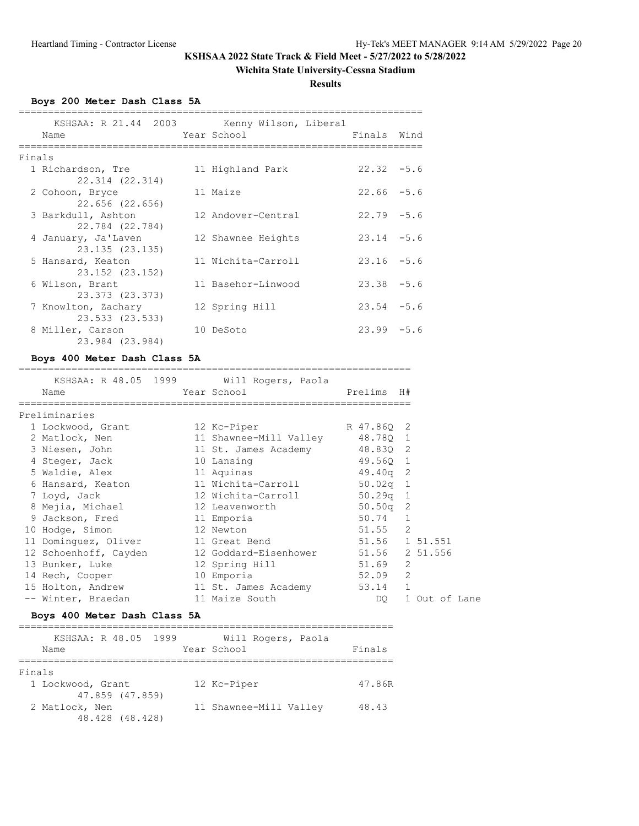## **Wichita State University-Cessna Stadium**

**Results**

**Boys 200 Meter Dash Class 5A**

|        | KSHSAA: R 21.44 2003 Kenny Wilson, Liberal<br>Name | Year School        | Finals Wind   |  |
|--------|----------------------------------------------------|--------------------|---------------|--|
| Finals |                                                    |                    |               |  |
|        | 1 Richardson, Tre<br>22.314 (22.314)               | 11 Highland Park   | $22.32 - 5.6$ |  |
|        | 2 Cohoon, Bryce<br>22.656 (22.656)                 | 11 Maize           | $22.66 - 5.6$ |  |
|        | 3 Barkdull, Ashton<br>22.784 (22.784)              | 12 Andover-Central | $22.79 - 5.6$ |  |
|        | 4 January, Ja'Laven<br>23.135 (23.135)             | 12 Shawnee Heights | $23.14 - 5.6$ |  |
|        | 5 Hansard, Keaton<br>23.152 (23.152)               | 11 Wichita-Carroll | $23.16 - 5.6$ |  |
|        | 6 Wilson, Brant<br>23.373 (23.373)                 | 11 Basehor-Linwood | $23.38 - 5.6$ |  |
|        | 7 Knowlton, Zachary<br>23.533 (23.533)             | 12 Spring Hill     | $23.54 - 5.6$ |  |
|        | 8 Miller, Carson<br>23.984 (23.984)                | 10 DeSoto          | $23.99 - 5.6$ |  |

## **Boys 400 Meter Dash Class 5A**

| Name                  | External Year School | KSHSAA: R 48.05 1999 Will Rogers, Paola | Prelims H#     |   |               |  |
|-----------------------|----------------------|-----------------------------------------|----------------|---|---------------|--|
|                       |                      |                                         |                |   |               |  |
| Preliminaries         |                      |                                         |                |   |               |  |
| 1 Lockwood, Grant     |                      | 12 Kc-Piper<br>R 47.860 2               |                |   |               |  |
| 2 Matlock, Nen        |                      | 11 Shawnee-Mill Valley 48.78Q 1         |                |   |               |  |
| 3 Niesen, John        |                      | 11 St. James Academy 48.83Q 2           |                |   |               |  |
| 4 Steger, Jack        |                      | 10 Lansing                              | 49.560 1       |   |               |  |
| 5 Waldie, Alex        |                      | 11 Aquinas                              | 49.40g 2       |   |               |  |
| 6 Hansard, Keaton     |                      | 11 Wichita-Carroll 50.02q 1             |                |   |               |  |
| 7 Loyd, Jack          |                      | 12 Wichita-Carroll 50.29q 1             |                |   |               |  |
| 8 Mejia, Michael      |                      | 12 Leavenworth 50.50q 2                 |                |   |               |  |
| 9 Jackson, Fred       |                      | 11 Emporia                              | 50.74 1        |   |               |  |
| 10 Hodge, Simon       |                      | 12 Newton                               | $51.55$ 2      |   |               |  |
| 11 Dominquez, Oliver  |                      | 11 Great Bend                           | 51.56 1 51.551 |   |               |  |
| 12 Schoenhoff, Cayden |                      | 12 Goddard-Eisenhower 51.56 2 51.556    |                |   |               |  |
| 13 Bunker, Luke       |                      | 12 Spring Hill                          | 51.69          | 2 |               |  |
| 14 Rech, Cooper       |                      | 10 Emporia                              | 52.09          | 2 |               |  |
| 15 Holton, Andrew     |                      | 11 St. James Academy                    | 53.14 1        |   |               |  |
| -- Winter, Braedan    |                      | 11 Maize South                          | DO             |   | 1 Out of Lane |  |

# **Boys 400 Meter Dash Class 5A**

| Will Rogers, Paola     |        |
|------------------------|--------|
| Year School            | Finals |
|                        |        |
|                        |        |
| 12 Kc-Piper            | 47.86R |
|                        |        |
| 11 Shawnee-Mill Valley | 48.43  |
|                        |        |
|                        |        |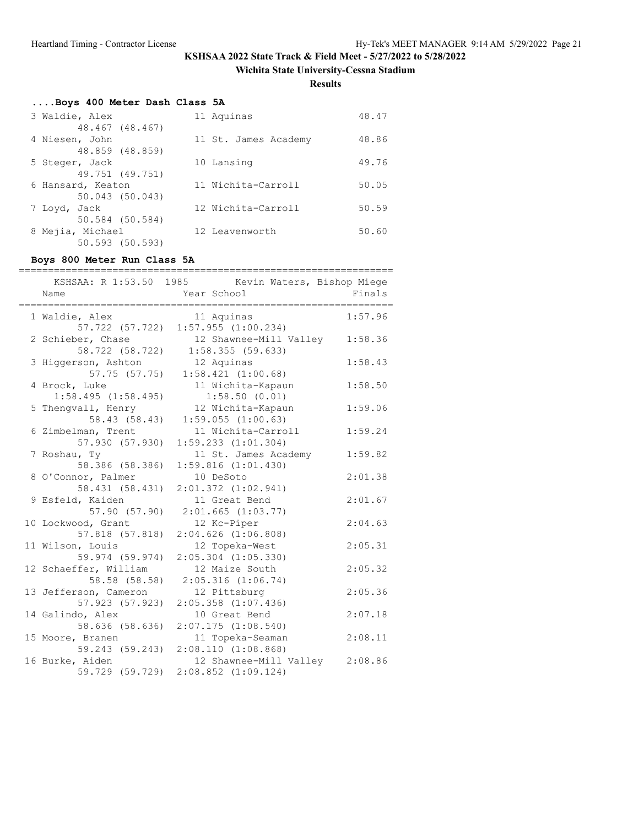**Wichita State University-Cessna Stadium**

**Results**

# **....Boys 400 Meter Dash Class 5A**

| 3 Waldie, Alex                    | 11 Aquinas           | 48.47 |
|-----------------------------------|----------------------|-------|
| 48.467 (48.467)                   |                      |       |
| 4 Niesen, John                    | 11 St. James Academy | 48.86 |
| 48.859 (48.859)                   |                      |       |
| 5 Steger, Jack<br>49.751 (49.751) | 10 Lansing           | 49.76 |
| 6 Hansard, Keaton                 | 11 Wichita-Carroll   | 50.05 |
| 50.043 (50.043)                   |                      |       |
| 7 Loyd, Jack                      | 12 Wichita-Carroll   | 50.59 |
| 50.584 (50.584)                   |                      |       |
| 8 Mejia, Michael                  | 12 Leavenworth       | 50.60 |
| 50.593 (50.593)                   |                      |       |

## **Boys 800 Meter Run Class 5A**

| Name                                     | KSHSAA: R 1:53.50 1985 Kevin Waters, Bishop Miege<br>Year School            | Finals  |
|------------------------------------------|-----------------------------------------------------------------------------|---------|
| 1 Waldie, Alex                           | =========<br>=========<br>11 Aquinas<br>57.722 (57.722) 1:57.955 (1:00.234) | 1:57.96 |
| 2 Schieber, Chase<br>58.722 (58.722)     | 12 Shawnee-Mill Valley<br>1:58.355(59.633)                                  | 1:58.36 |
| 3 Higgerson, Ashton<br>57.75 (57.75)     | 12 Aquinas<br>1:58.421(1:00.68)                                             | 1:58.43 |
| 4 Brock, Luke<br>$1:58.495$ $(1:58.495)$ | 11 Wichita-Kapaun<br>1:58.50(0.01)                                          | 1:58.50 |
| 5 Thengvall, Henry<br>58.43 (58.43)      | 12 Wichita-Kapaun<br>$1:59.055$ $(1:00.63)$                                 | 1:59.06 |
| 6 Zimbelman, Trent<br>57.930 (57.930)    | 11 Wichita-Carroll<br>$1:59.233$ $(1:01.304)$                               | 1:59.24 |
| 7 Roshau, Ty<br>58.386 (58.386)          | 11 St. James Academy<br>1:59.816(1:01.430)                                  | 1:59.82 |
| 8 O'Connor, Palmer<br>58.431 (58.431)    | 10 DeSoto<br>$2:01.372$ $(1:02.941)$                                        | 2:01.38 |
| 9 Esfeld, Kaiden<br>57.90(57.90)         | 11 Great Bend<br>$2:01.665$ $(1:03.77)$                                     | 2:01.67 |
| 10 Lockwood, Grant<br>57.818 (57.818)    | 12 Kc-Piper<br>$2:04.626$ $(1:06.808)$                                      | 2:04.63 |
| 11 Wilson, Louis<br>59.974 (59.974)      | 12 Topeka-West<br>$2:05.304$ $(1:05.330)$                                   | 2:05.31 |
| 12 Schaeffer, William<br>58.58 (58.58)   | 12 Maize South<br>$2:05.316$ $(1:06.74)$                                    | 2:05.32 |
| 13 Jefferson, Cameron<br>57.923 (57.923) | 12 Pittsburg<br>$2:05.358$ $(1:07.436)$                                     | 2:05.36 |
| 14 Galindo, Alex<br>58.636 (58.636)      | 10 Great Bend<br>2:07.175(1:08.540)                                         | 2:07.18 |
| 15 Moore, Branen<br>59.243 (59.243)      | 11 Topeka-Seaman<br>2:08.110 (1:08.868)                                     | 2:08.11 |
| 16 Burke, Aiden<br>59.729 (59.729)       | 12 Shawnee-Mill Valley 2:08.86<br>$2:08.852$ $(1:09.124)$                   |         |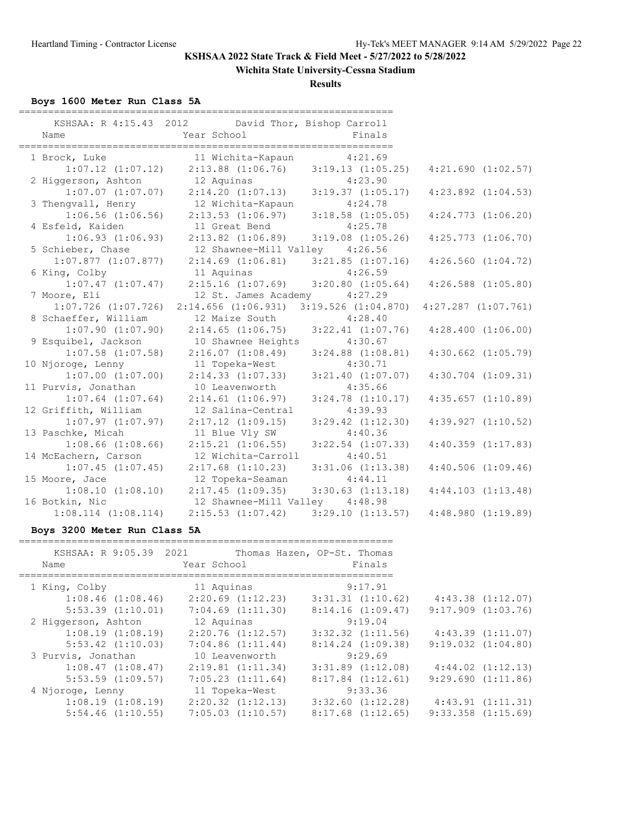**Wichita State University-Cessna Stadium**

**Results**

**Boys 1600 Meter Run Class 5A**

| Name                         | KSHSAA: R 4:15.43 2012 David Thor, Bishop Carroll<br>Year School | Finals                  |                         |
|------------------------------|------------------------------------------------------------------|-------------------------|-------------------------|
| 1 Brock, Luke                | 11 Wichita-Kapaun                                                | 4:21.69                 |                         |
| $1:07.12$ $(1:07.12)$        | $2:13.88$ $(1:06.76)$ $3:19.13$ $(1:05.25)$                      |                         | $4:21.690$ $(1:02.57)$  |
| 2 Higgerson, Ashton          | 12 Aquinas                                                       | 4:23.90                 |                         |
| $1:07.07$ $(1:07.07)$        | 2:14.20(1:07.13)                                                 | $3:19.37$ $(1:05.17)$   | $4:23.892$ $(1:04.53)$  |
| 3 Thengvall, Henry           | 12 Wichita-Kapaun                                                | 4:24.78                 |                         |
| $1:06.56$ $(1:06.56)$        | $2:13.53$ $(1:06.97)$                                            | $3:18.58$ $(1:05.05)$   | $4:24.773$ $(1:06.20)$  |
| 4 Esfeld, Kaiden             | 11 Great Bend                                                    | 4:25.78                 |                         |
| $1:06.93$ $(1:06.93)$        | $2:13.82$ $(1:06.89)$                                            | $3:19.08$ $(1:05.26)$   | $4:25.773$ $(1:06.70)$  |
| 5 Schieber, Chase            | 12 Shawnee-Mill Valley 4:26.56                                   |                         |                         |
| $1:07.877$ $(1:07.877)$      | $2:14.69$ $(1:06.81)$                                            | $3:21.85$ $(1:07.16)$   | $4:26.560$ $(1:04.72)$  |
| 6 King, Colby                | 11 Aquinas                                                       | 4:26.59                 |                         |
| $1:07.47$ $(1:07.47)$        | $2:15.16$ $(1:07.69)$ $3:20.80$ $(1:05.64)$                      |                         | $4:26.588$ $(1:05.80)$  |
| 7 Moore, Eli                 | 12 St. James Academy 4:27.29                                     |                         |                         |
| $1:07.726$ $(1:07.726)$      | 2:14.656(1:06.931)                                               | $3:19.526$ $(1:04.870)$ | $4:27.287$ $(1:07.761)$ |
| 8 Schaeffer, William         | 12 Maize South                                                   | 4:28.40                 |                         |
| $1:07.90$ $(1:07.90)$        | $2:14.65$ $(1:06.75)$ $3:22.41$ $(1:07.76)$                      |                         | $4:28.400$ $(1:06.00)$  |
| 9 Esquibel, Jackson          | 10 Shawnee Heights                                               | 4:30.67                 |                         |
| $1:07.58$ $(1:07.58)$        | 2:16.07(1:08.49)                                                 | $3:24.88$ $(1:08.81)$   | $4:30.662$ $(1:05.79)$  |
| 10 Njoroge, Lenny            | 11 Topeka-West                                                   | 4:30.71                 |                         |
| $1:07.00$ $(1:07.00)$        | $2:14.33$ $(1:07.33)$                                            | $3:21.40$ $(1:07.07)$   | $4:30.704$ $(1:09.31)$  |
| 11 Purvis, Jonathan          | 10 Leavenworth                                                   | 4:35.66                 |                         |
| $1:07.64$ $(1:07.64)$        | $2:14.61$ $(1:06.97)$                                            | $3:24.78$ $(1:10.17)$   | $4:35.657$ $(1:10.89)$  |
| 12 Griffith, William         | 12 Salina-Central                                                | 4:39.93                 |                         |
| $1:07.97$ $(1:07.97)$        | $2:17.12$ $(1:09.15)$                                            | $3:29.42$ $(1:12.30)$   | $4:39.927$ $(1:10.52)$  |
| 13 Paschke, Micah            | 11 Blue Vly SW                                                   | 4:40.36                 |                         |
| $1:08.66$ $(1:08.66)$        | $2:15.21$ $(1:06.55)$                                            | $3:22.54$ $(1:07.33)$   | $4:40.359$ $(1:17.83)$  |
| 14 McEachern, Carson         | 12 Wichita-Carroll                                               | 4:40.51                 |                         |
| $1:07.45$ $(1:07.45)$        | $2:17.68$ $(1:10.23)$                                            | $3:31.06$ $(1:13.38)$   | $4:40.506$ $(1:09.46)$  |
| 15 Moore, Jace               | 12 Topeka-Seaman                                                 | 4:44.11                 |                         |
| $1:08.10$ $(1:08.10)$        | $2:17.45$ $(1:09.35)$                                            | $3:30.63$ $(1:13.18)$   | $4:44.103$ $(1:13.48)$  |
| 16 Botkin, Nic               | 12 Shawnee-Mill Valley 4:48.98                                   |                         |                         |
| $1:08.114$ $(1:08.114)$      | $2:15.53$ $(1:07.42)$                                            | 3:29.10(1:13.57)        | 4:48.980(1:19.89)       |
| Boys 3200 Meter Run Class 5A |                                                                  |                         |                         |

| KSHSAA: R 9:05.39 2021<br>Name | Year School           | Thomas Hazen, OP-St. Thomas<br>Finals |                        |
|--------------------------------|-----------------------|---------------------------------------|------------------------|
| 1 King, Colby                  | 11 Aquinas            | 9:17.91                               |                        |
| $1:08.46$ $(1:08.46)$          | $2:20.69$ $(1:12.23)$ | $3:31.31$ $(1:10.62)$                 | $4:43.38$ $(1:12.07)$  |
| $5:53.39$ $(1:10.01)$          | $7:04.69$ $(1:11.30)$ | 8:14.16(1:09.47)                      | $9:17.909$ $(1:03.76)$ |
| 2 Higgerson, Ashton            | 12 Aquinas            | 9:19.04                               |                        |
| $1:08.19$ $(1:08.19)$          | 2:20.76(1:12.57)      | $3:32.32$ $(1:11.56)$                 | 4:43.39(1:11.07)       |
| $5:53.42$ $(1:10.03)$          | 7:04.86(1:11.44)      | $8:14.24$ $(1:09.38)$                 | $9:19.032$ $(1:04.80)$ |
| 3 Purvis, Jonathan             | 10 Leavenworth        | 9:29.69                               |                        |
| 1:08.47(1:08.47)               | 2:19.81(1:11.34)      | $3:31.89$ $(1:12.08)$                 | $4:44.02$ $(1:12.13)$  |
| $5:53.59$ $(1:09.57)$          | 7:05.23(1:11.64)      | $8:17.84$ $(1:12.61)$                 | 9:29.690(1:11.86)      |
| 4 Njoroge, Lenny               | 11 Topeka-West        | 9:33.36                               |                        |
| 1:08.19(1:08.19)               | $2:20.32$ $(1:12.13)$ | $3:32.60$ $(1:12.28)$                 | 4:43.91(1:11.31)       |
| $5:54.46$ $(1:10.55)$          | $7:05.03$ $(1:10.57)$ | $8:17.68$ $(1:12.65)$                 | $9:33.358$ $(1:15.69)$ |
|                                |                       |                                       |                        |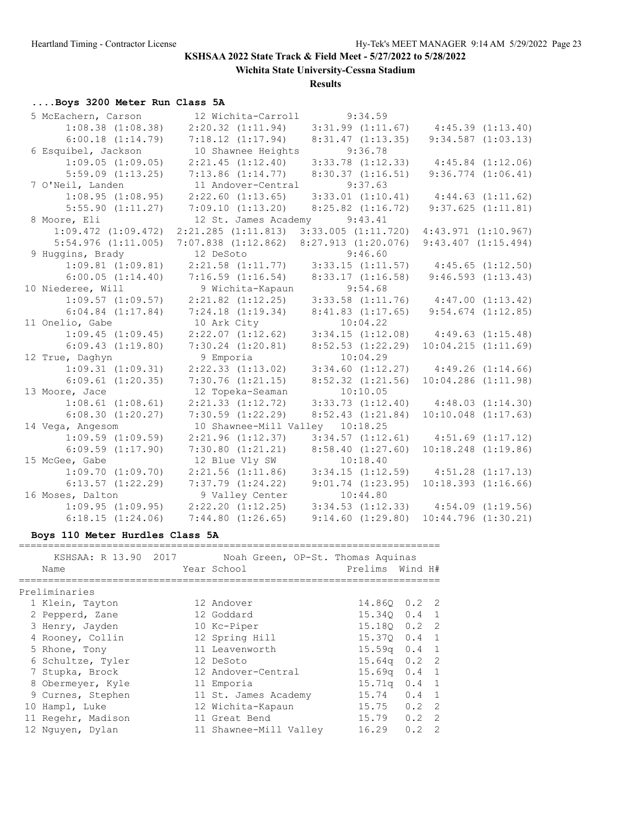**Wichita State University-Cessna Stadium**

**Results**

# **....Boys 3200 Meter Run Class 5A**

| 5 McEachern, Carson     | 12 Wichita-Carroll                              | 9:34.59                                                           |                                               |
|-------------------------|-------------------------------------------------|-------------------------------------------------------------------|-----------------------------------------------|
| $1:08.38$ $(1:08.38)$   |                                                 | $2:20.32$ (1:11.94) $3:31.99$ (1:11.67) $4:45.39$ (1:13.40)       |                                               |
| $6:00.18$ $(1:14.79)$   | 7:18.12(1:17.94)                                | 8:31.47(1:13.35)                                                  | $9:34.587$ $(1:03.13)$                        |
| 6 Esquibel, Jackson     | 10 Shawnee Heights                              | 9:36.78                                                           |                                               |
| $1:09.05$ $(1:09.05)$   | 2:21.45(1:12.40)                                | $3:33.78$ $(1:12.33)$                                             | $4:45.84$ $(1:12.06)$                         |
| $5:59.09$ $(1:13.25)$   | 7:13.86(1:14.77)                                | 8:30.37(1:16.51)                                                  | $9:36.774$ $(1:06.41)$                        |
| 7 O'Neil, Landen        | 11 Andover-Central                              | 9:37.63                                                           |                                               |
| 1:08.95(1:08.95)        | $2:22.60$ $(1:13.65)$                           | $3:33.01$ $(1:10.41)$                                             | 4:44.63(1:11.62)                              |
| $5:55.90$ $(1:11.27)$   | 7:09.10(1:13.20)                                | $8:25.82$ $(1:16.72)$                                             | 9:37.625(1:11.81)                             |
| 8 Moore, Eli            | 12 St. James Academy                            | 9:43.41                                                           |                                               |
| $1:09.472$ $(1:09.472)$ | 2:21.285(1:11.813)                              | $3:33.005$ $(1:11.720)$ $4:43.971$ $(1:10.967)$                   |                                               |
| $5:54.976$ $(1:11.005)$ | $7:07.838$ $(1:12.862)$ $8:27.913$ $(1:20.076)$ |                                                                   | $9:43.407$ $(1:15.494)$                       |
| 9 Huggins, Brady        | 12 DeSoto                                       | 9:46.60                                                           |                                               |
| $1:09.81$ $(1:09.81)$   |                                                 | $2:21.58$ (1:11.77) 3:33.15 (1:11.57) 4:45.65 (1:12.50)           |                                               |
| 6:00.05(1:14.40)        | $7:16.59$ $(1:16.54)$                           | 8:33.17(1:16.58)                                                  | 9:46.593(1:13.43)                             |
| 10 Niederee, Will       | 9 Wichita-Kapaun                                | 9:54.68                                                           |                                               |
| $1:09.57$ $(1:09.57)$   | $2:21.82$ $(1:12.25)$                           |                                                                   | $3:33.58$ $(1:11.76)$ $4:47.00$ $(1:13.42)$   |
| $6:04.84$ $(1:17.84)$   | $7:24.18$ $(1:19.34)$                           | 8:41.83(1:17.65)                                                  | $9:54.674$ $(1:12.85)$                        |
| 11 Onelio, Gabe         | 10 Ark City                                     | 10:04.22                                                          |                                               |
| $1:09.45$ $(1:09.45)$   |                                                 | $2:22.07$ $(1:12.62)$ $3:34.15$ $(1:12.08)$ $4:49.63$ $(1:15.48)$ |                                               |
| $6:09.43$ $(1:19.80)$   | $7:30.24$ $(1:20.81)$                           | $8:52.53$ $(1:22.29)$                                             | 10:04.215(1:11.69)                            |
| 12 True, Daghyn         | 9 Emporia                                       | 10:04.29                                                          |                                               |
| $1:09.31$ $(1:09.31)$   | $2:22.33$ $(1:13.02)$                           |                                                                   | $3:34.60$ $(1:12.27)$ $4:49.26$ $(1:14.66)$   |
| $6:09.61$ $(1:20.35)$   | $7:30.76$ $(1:21.15)$                           | $8:52.32$ $(1:21.56)$                                             | 10:04.286 (1:11.98)                           |
| 13 Moore, Jace          | 12 Topeka-Seaman                                | 10:10.05                                                          |                                               |
| $1:08.61$ $(1:08.61)$   | $2:21.33$ $(1:12.72)$                           |                                                                   | $3:33.73$ $(1:12.40)$ $4:48.03$ $(1:14.30)$   |
| 6:08.30(1:20.27)        | $7:30.59$ $(1:22.29)$                           | 8:52.43(1:21.84)                                                  | $10:10.048$ $(1:17.63)$                       |
| 14 Vega, Angesom        | 10 Shawnee-Mill Valley 10:18.25                 |                                                                   |                                               |
| $1:09.59$ $(1:09.59)$   | $2:21.96$ $(1:12.37)$                           | $3:34.57$ $(1:12.61)$                                             | $4:51.69$ $(1:17.12)$                         |
| $6:09.59$ $(1:17.90)$   | 7:30.80(1:21.21)                                | 8:58.40(1:27.60)                                                  | $10:18.248$ $(1:19.86)$                       |
| 15 McGee, Gabe          | 12 Blue Vly SW                                  | 10:18.40                                                          |                                               |
| $1:09.70$ $(1:09.70)$   |                                                 | $2:21.56$ (1:11.86) $3:34.15$ (1:12.59) $4:51.28$ (1:17.13)       |                                               |
| $6:13.57$ $(1:22.29)$   | $7:37.79$ $(1:24.22)$                           | $9:01.74$ $(1:23.95)$                                             | $10:18.393$ $(1:16.66)$                       |
| 16 Moses, Dalton        | 9 Valley Center                                 | 10:44.80                                                          |                                               |
| $1:09.95$ $(1:09.95)$   | $2:22.20$ $(1:12.25)$                           |                                                                   | $3:34.53$ $(1:12.33)$ $4:54.09$ $(1:19.56)$   |
| 6:18.15(1:24.06)        | 7:44.80(1:26.65)                                |                                                                   | $9:14.60$ $(1:29.80)$ $10:44.796$ $(1:30.21)$ |

## **Boys 110 Meter Hurdles Class 5A**

| KSHSAA: R 13.90 2017 | Noah Green, OP-St. Thomas Aquinas |                    |               |                |
|----------------------|-----------------------------------|--------------------|---------------|----------------|
| Name                 | Year School                       | Prelims Wind H#    |               |                |
|                      |                                   |                    |               |                |
| Preliminaries        |                                   |                    |               |                |
| 1 Klein, Tayton      | 12 Andover                        | 14.860 0.2 2       |               |                |
| 2 Pepperd, Zane      | 12 Goddard                        | 15.340             | 0.4           | $\overline{1}$ |
| 3 Henry, Jayden      | 10 Kc-Piper                       | 15.180             | 0.2           | -2             |
| 4 Rooney, Collin     | 12 Spring Hill                    | 15.370             | 0.4           | $\overline{1}$ |
| 5 Rhone, Tony        | 11 Leavenworth                    | 15.59 <sub>q</sub> | 0.4           | $\overline{1}$ |
| 6 Schultze, Tyler    | 12 DeSoto                         | 15.64 <sub>q</sub> | $0.2 \quad 2$ |                |
| 7 Stupka, Brock      | 12 Andover-Central                | 15.69 <sub>q</sub> | $0.4 \quad 1$ |                |
| 8 Obermeyer, Kyle    | 11 Emporia                        | 15.71a             | 0.4           | $\overline{1}$ |
| 9 Curnes, Stephen    | 11 St. James Academy              | 15.74              | $0.4 \quad 1$ |                |
| 10 Hampl, Luke       | 12 Wichita-Kapaun                 | 15.75              | 0.2           | -2             |
| 11 Regehr, Madison   | 11 Great Bend                     | 15.79              | 0.2           | -2             |
| 12 Nguyen, Dylan     | 11 Shawnee-Mill Valley            | 16.29              | 0.2           | $\mathcal{L}$  |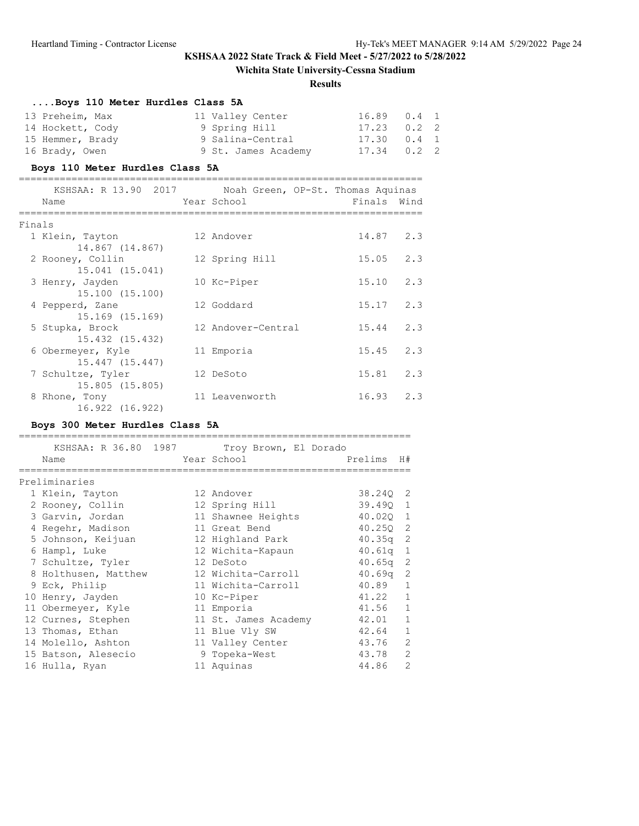# **Wichita State University-Cessna Stadium**

### **Results**

|        | Boys 110 Meter Hurdles Class 5A                        |                                       |                 |               |  |
|--------|--------------------------------------------------------|---------------------------------------|-----------------|---------------|--|
|        | 13 Preheim, Max                                        | 11 Valley Center                      | 16.89           | $0.4 \quad 1$ |  |
|        | 14 Hockett, Cody                                       | 9 Spring Hill                         | $17.23$ 0.2 2   |               |  |
|        | 15 Hemmer, Brady                                       | 9 Salina-Central                      | $17.30$ $0.4$ 1 |               |  |
|        | 16 Brady, Owen                                         | 9 St. James Academy 17.34             |                 | $0.2$ 2       |  |
|        | Boys 110 Meter Hurdles Class 5A                        | ===================================== |                 |               |  |
|        | KSHSAA: R 13.90 2017 Noah Green, OP-St. Thomas Aquinas |                                       |                 |               |  |
|        | External School<br>Name                                |                                       | Finals Wind     |               |  |
| Finals |                                                        |                                       |                 |               |  |
|        | 1 Klein, Tayton                                        | 12 Andover                            | $14.87$ 2.3     |               |  |
|        | 14.867 (14.867)                                        |                                       |                 |               |  |
|        | 2 Rooney, Collin                                       | 12 Spring Hill                        | $15.05$ 2.3     |               |  |
|        | 15.041 (15.041)                                        |                                       |                 |               |  |
|        | 3 Henry, Jayden                                        | 10 Kc-Piper                           | $15.10$ $2.3$   |               |  |
|        | 15.100 (15.100)<br>4 Pepperd, Zane                     | 12 Goddard                            | $15.17$ 2.3     |               |  |
|        | 15.169 (15.169)                                        |                                       |                 |               |  |
|        | 5 Stupka, Brock                                        | 12 Andover-Central                    | 15.44           | 2.3           |  |
|        | 15.432 (15.432)                                        |                                       |                 |               |  |
|        | 6 Obermeyer, Kyle                                      | 11 Emporia                            | 15.45           | 2.3           |  |
|        | 15.447 (15.447)                                        |                                       |                 |               |  |
|        | 7 Schultze, Tyler                                      | 12 DeSoto                             | $15.81$ $2.3$   |               |  |
|        | 15.805 (15.805)                                        |                                       |                 |               |  |
|        | 8 Rhone, Tony                                          | 11 Leavenworth                        | $16.93$ $2.3$   |               |  |
|        | 16.922 (16.922)                                        |                                       |                 |               |  |

# **Boys 300 Meter Hurdles Class 5A**

|                                    |  | KSHSAA: R 36.80 1987 Troy Brown, El Dorado |                    |                |
|------------------------------------|--|--------------------------------------------|--------------------|----------------|
| Name                               |  | Year School                                | Prelims            | H#             |
| -----------------<br>Preliminaries |  |                                            |                    |                |
| 1 Klein, Tayton                    |  | 12 Andover                                 | 38.240 2           |                |
| 2 Rooney, Collin                   |  | 12 Spring Hill                             | 39.490 1           |                |
| 3 Garvin, Jordan                   |  | 11 Shawnee Heights                         | 40.020 1           |                |
| 4 Regehr, Madison                  |  | 11 Great Bend                              | 40.250 2           |                |
| 5 Johnson, Keijuan                 |  | 12 Highland Park                           | 40.35 <sub>q</sub> | 2              |
| 6 Hampl, Luke                      |  | 12 Wichita-Kapaun                          | 40.61q             | $\mathbf{1}$   |
| 7 Schultze, Tyler                  |  | 12 DeSoto                                  | $40.65q$ 2         |                |
| 8 Holthusen, Matthew               |  | 12 Wichita-Carroll                         | $40.69q$ 2         |                |
| 9 Eck, Philip                      |  | 11 Wichita-Carroll                         | 40.89              | $\mathbf{1}$   |
| 10 Henry, Jayden                   |  | 10 Kc-Piper                                | 41.22              | $\mathbf{1}$   |
| 11 Obermeyer, Kyle                 |  | 11 Emporia                                 | 41.56              | $\mathbf{1}$   |
| 12 Curnes, Stephen                 |  | 11 St. James Academy                       | 42.01              | $\mathbf{1}$   |
| 13 Thomas, Ethan                   |  | 11 Blue Vly SW                             | 42.64              | $\mathbf{1}$   |
| 14 Molello, Ashton                 |  | 11 Valley Center                           | 43.76              | $\overline{2}$ |
| 15 Batson, Alesecio                |  | 9 Topeka-West                              | 43.78              | $\overline{2}$ |
| 16 Hulla, Ryan                     |  | 11 Aquinas                                 | 44.86              | $\overline{2}$ |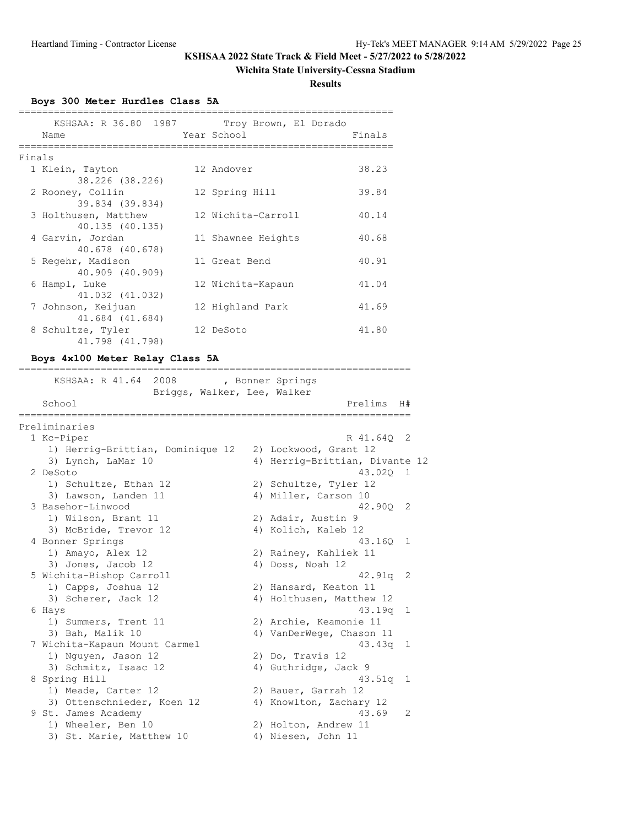## **Wichita State University-Cessna Stadium**

**Results**

**Boys 300 Meter Hurdles Class 5A**

|        | KSHSAA: R 36.80 1987<br>Name | Troy Brown, El Dorado<br>Year School | Finals |
|--------|------------------------------|--------------------------------------|--------|
| Finals |                              |                                      |        |
|        |                              |                                      |        |
|        | 1 Klein, Tayton              | 12 Andover                           | 38.23  |
|        | 38.226 (38.226)              |                                      |        |
|        | 2 Rooney, Collin             | 12 Spring Hill                       | 39.84  |
|        | 39.834 (39.834)              |                                      |        |
|        |                              |                                      |        |
|        | 3 Holthusen, Matthew         | 12 Wichita-Carroll                   | 40.14  |
|        | 40.135 (40.135)              |                                      |        |
|        | 4 Garvin, Jordan             | 11 Shawnee Heights                   | 40.68  |
|        | 40.678 (40.678)              |                                      |        |
|        | 5 Regehr, Madison            | 11 Great Bend                        | 40.91  |
|        | 40.909 (40.909)              |                                      |        |
|        |                              |                                      |        |
|        | 6 Hampl, Luke                | 12 Wichita-Kapaun                    | 41.04  |
|        | 41.032 (41.032)              |                                      |        |
|        | 7 Johnson, Keijuan           | 12 Highland Park                     | 41.69  |
|        | 41.684 (41.684)              |                                      |        |
|        | 8 Schultze, Tyler            | 12 DeSoto                            | 41.80  |
|        |                              |                                      |        |
|        | 41.798 (41.798)              |                                      |        |

## **Boys 4x100 Meter Relay Class 5A**

| ============                                        | ============================   |                |  |
|-----------------------------------------------------|--------------------------------|----------------|--|
| KSHSAA: R 41.64 2008<br>Briggs, Walker, Lee, Walker | , Bonner Springs               |                |  |
| School                                              | Prelims                        | H#             |  |
| Preliminaries                                       |                                |                |  |
| 1 Kc-Piper                                          | R 41.640                       | -2             |  |
| 1) Herrig-Brittian, Dominique 12                    | 2) Lockwood, Grant 12          |                |  |
| 3) Lynch, LaMar 10                                  | 4) Herrig-Brittian, Divante 12 |                |  |
| 2 DeSoto                                            | 43.020 1                       |                |  |
| 1) Schultze, Ethan 12                               | 2) Schultze, Tyler 12          |                |  |
| 3) Lawson, Landen 11                                | 4) Miller, Carson 10           |                |  |
| 3 Basehor-Linwood                                   | 42.900                         | 2              |  |
| 1) Wilson, Brant 11                                 | 2) Adair, Austin 9             |                |  |
| 3) McBride, Trevor 12                               | 4) Kolich, Kaleb 12            |                |  |
| 4 Bonner Springs                                    | 43.160                         | $\mathbf{1}$   |  |
| 1) Amayo, Alex 12                                   | 2) Rainey, Kahliek 11          |                |  |
| 3) Jones, Jacob 12                                  | 4) Doss, Noah 12               |                |  |
| 5 Wichita-Bishop Carroll                            | 42.91 <sub>q</sub>             | 2              |  |
| 1) Capps, Joshua 12                                 | 2) Hansard, Keaton 11          |                |  |
| 3) Scherer, Jack 12                                 | 4) Holthusen, Matthew 12       |                |  |
| 6 Hays                                              | $43.19q$ 1                     |                |  |
| 1) Summers, Trent 11                                | 2) Archie, Keamonie 11         |                |  |
| 3) Bah, Malik 10                                    | 4) VanDerWege, Chason 11       |                |  |
| 7 Wichita-Kapaun Mount Carmel                       | 43.43q                         | 1              |  |
| 1) Nguyen, Jason 12                                 | 2) Do, Travis 12               |                |  |
| 3) Schmitz, Isaac 12                                | 4) Guthridge, Jack 9           |                |  |
| 8 Spring Hill                                       | 43.51q                         | -1             |  |
| 1) Meade, Carter 12                                 | 2) Bauer, Garrah 12            |                |  |
| 3) Ottenschnieder, Koen 12                          | 4) Knowlton, Zachary 12        |                |  |
| 9 St. James Academy                                 | 43.69                          | $\mathfrak{L}$ |  |
| 1) Wheeler, Ben 10                                  | 2) Holton, Andrew 11           |                |  |
| 3) St. Marie, Matthew 10                            | 4) Niesen, John 11             |                |  |
|                                                     |                                |                |  |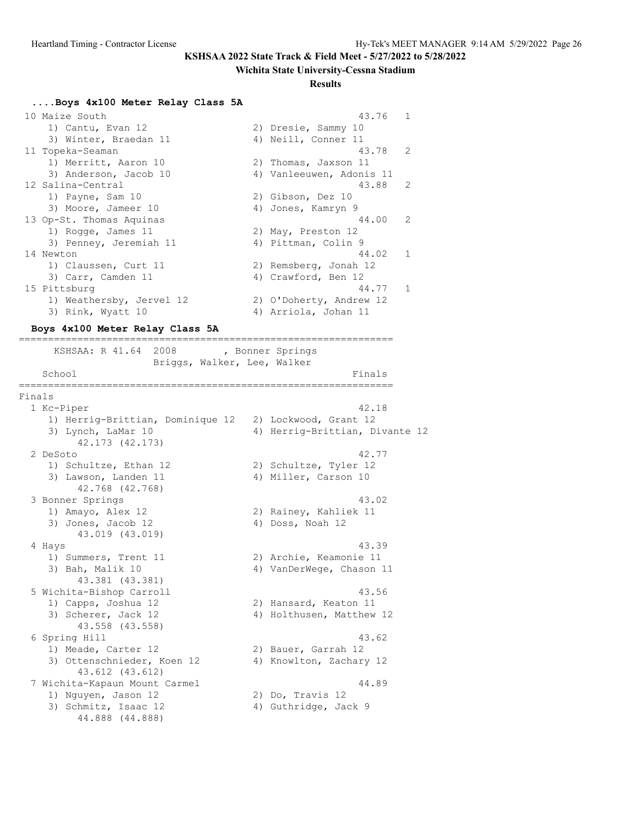#### **Wichita State University-Cessna Stadium**

#### **Results**

#### **....Boys 4x100 Meter Relay Class 5A**

| 10 Maize South           | 43.76<br>$\overline{1}$  |                |
|--------------------------|--------------------------|----------------|
| 1) Cantu, Evan 12        | 2) Dresie, Sammy 10      |                |
| 3) Winter, Braedan 11    | 4) Neill, Conner 11      |                |
| 11 Topeka-Seaman         | 43.78                    | 2              |
| 1) Merritt, Aaron 10     | 2) Thomas, Jaxson 11     |                |
| 3) Anderson, Jacob 10    | 4) Vanleeuwen, Adonis 11 |                |
| 12 Salina-Central        | 43.88                    | 2              |
| 1) Payne, Sam 10         | 2) Gibson, Dez 10        |                |
| 3) Moore, Jameer 10      | 4) Jones, Kamryn 9       |                |
| 13 Op-St. Thomas Aquinas | 44.00<br>$\overline{2}$  |                |
| 1) Rogge, James 11       | 2) May, Preston 12       |                |
| 3) Penney, Jeremiah 11   | 4) Pittman, Colin 9      |                |
| 14 Newton                | 44.02                    | $\overline{1}$ |
| 1) Claussen, Curt 11     | 2) Remsberg, Jonah 12    |                |
| 3) Carr, Camden 11       | 4) Crawford, Ben 12      |                |
| 15 Pittsburg             | 44.77 1                  |                |
| 1) Weathersby, Jervel 12 | 2) O'Doherty, Andrew 12  |                |
| 3) Rink, Wyatt 10        | 4) Arriola, Johan 11     |                |

#### **Boys 4x100 Meter Relay Class 5A**

================================================================

KSHSAA: R 41.64 2008 , Bonner Springs Briggs, Walker, Lee, Walker School Finals and the set of the set of the set of the set of the set of the set of the set of the set of the set of the set of the set of the set of the set of the set of the set of the set of the set of the set of the se ================================================================ Finals 1 Kc-Piper 42.18 1) Herrig-Brittian, Dominique 12 2) Lockwood, Grant 12 3) Lynch, LaMar 10 4) Herrig-Brittian, Divante 12 42.173 (42.173) 2 DeSoto 42.77 1) Schultze, Ethan 12 2) Schultze, Tyler 12 3) Lawson, Landen 11 (4) Miller, Carson 10 42.768 (42.768) 3 Bonner Springs 43.02 1) Amayo, Alex 12 2) Rainey, Kahliek 11 3) Jones, Jacob 12 (4) Doss, Noah 12 43.019 (43.019) 4 Hays 43.39 1) Summers, Trent 11 2) Archie, Keamonie 11 3) Bah, Malik 10 4) VanDerWege, Chason 11 43.381 (43.381) 5 Wichita-Bishop Carroll 43.56 1) Capps, Joshua 12 2) Hansard, Keaton 11 3) Scherer, Jack 12 4) Holthusen, Matthew 12 43.558 (43.558)<br>6 Spring Hill 6 Spring Hill 43.62 1) Meade, Carter 12 2) Bauer, Garrah 12 3) Ottenschnieder, Koen 12 4) Knowlton, Zachary 12 43.612 (43.612) 7 Wichita-Kapaun Mount Carmel (1998)<br>19 Nguyen, Jason 12 (2) Do, Travis 12 1) Nguyen, Jason 12 3) Schmitz, Isaac 12 4) Guthridge, Jack 9 44.888 (44.888)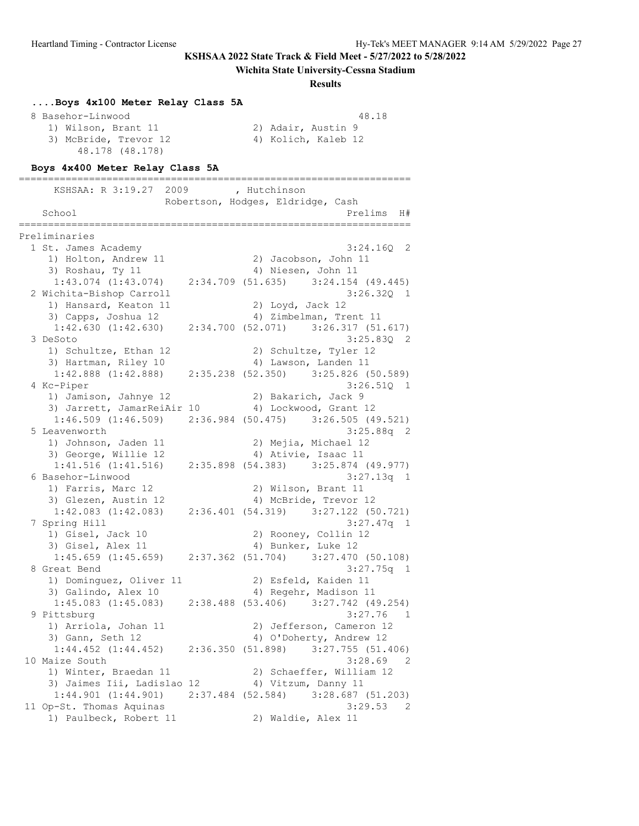#### **Wichita State University-Cessna Stadium**

#### **Results**

| Boys 4x100 Meter Relay Class 5A |                     |       |
|---------------------------------|---------------------|-------|
| 8 Basehor-Linwood               |                     | 48.18 |
| 1) Wilson, Brant 11             | 2) Adair, Austin 9  |       |
| 3) McBride, Trevor 12           | 4) Kolich, Kaleb 12 |       |
| 48.178 (48.178)                 |                     |       |

#### **Boys 4x400 Meter Relay Class 5A**

=================================================================== KSHSAA: R 3:19.27 2009 , Hutchinson Robertson, Hodges, Eldridge, Cash School and the extension of the extension of the extension of  $\mathbb{H}^*$ =================================================================== Preliminaries 1 St. James Academy 3:24.16Q 2 1) Holton, Andrew 11 2) Jacobson, John 11<br>1) Holton, Andrew 11 2) Jacobson, John 11 3) Roshau, Ty 11 4) Niesen, John 11 1:43.074 (1:43.074) 2:34.709 (51.635) 3:24.154 (49.445) 2 Wichita-Bishop Carroll 3:26.32Q 1 1) Hansard, Keaton 11 2) Loyd, Jack 12 3) Capps, Joshua 12 4) Zimbelman, Trent 11 1:42.630 (1:42.630) 2:34.700 (52.071) 3:26.317 (51.617) 3 DeSoto 3:25.83Q 2 1) Schultze, Ethan 12 2) Schultze, Tyler 12 3) Hartman, Riley 10 (4) Lawson, Landen 11 1:42.888 (1:42.888) 2:35.238 (52.350) 3:25.826 (50.589) 4 Kc-Piper 3:26.51Q 1 1) Jamison, Jahnye 12 19 2) Bakarich, Jack 9 3) Jarrett, JamarReiAir 10 4) Lockwood, Grant 12 1:46.509 (1:46.509) 2:36.984 (50.475) 3:26.505 (49.521) 5 Leavenworth 3:25.88q 2 1) Johnson, Jaden 11 2) Mejia, Michael 12 3) George, Willie 12 (4) Ativie, Isaac 11 1:41.516 (1:41.516) 2:35.898 (54.383) 3:25.874 (49.977) 6 Basehor-Linwood 3:27.13q 1 1) Farris, Marc 12 2) Wilson, Brant 11 3) Glezen, Austin 12 4) McBride, Trevor 12 1:42.083 (1:42.083) 2:36.401 (54.319) 3:27.122 (50.721) 7 Spring Hill 3:27.47q 1 1) Gisel, Jack 10 2) Rooney, Collin 12 3) Gisel, Alex 11 4) Bunker, Luke 12 1:45.659 (1:45.659) 2:37.362 (51.704) 3:27.470 (50.108) 8 Great Bend 3:27.75q 1 1) Dominguez, Oliver 11 2) Esfeld, Kaiden 11 3) Galindo, Alex 10 4) Regehr, Madison 11 1:45.083 (1:45.083) 2:38.488 (53.406) 3:27.742 (49.254)  $3:27.76$  1 1) Arriola, Johan 11 2) Jefferson, Cameron 12 3) Gann, Seth 12 4) O'Doherty, Andrew 12 1:44.452 (1:44.452) 2:36.350 (51.898) 3:27.755 (51.406) 10 Maize South 3:28.69 2 1) Winter, Braedan 11 2) Schaeffer, William 12 3) Jaimes Iii, Ladislao 12 4) Vitzum, Danny 11 1:44.901 (1:44.901) 2:37.484 (52.584) 3:28.687 (51.203) 11 Op-St. Thomas Aquinas 3:29.53 2 1) Paulbeck, Robert 11 2) Waldie, Alex 11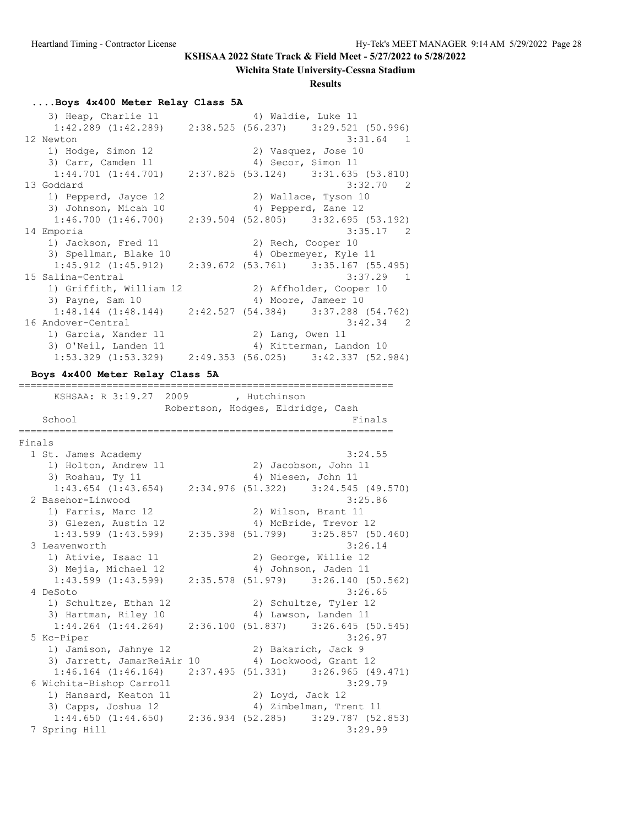#### **Wichita State University-Cessna Stadium**

#### **Results**

#### **....Boys 4x400 Meter Relay Class 5A**

3) Heap, Charlie 11  $\qquad \qquad$  4) Waldie, Luke 11 1:42.289 (1:42.289) 2:38.525 (56.237) 3:29.521 (50.996) 12 Newton 3:31.64 1 1) Hodge, Simon 12 2) Vasquez, Jose 10 3) Carr, Camden 11 4) Secor, Simon 11 1:44.701 (1:44.701) 2:37.825 (53.124) 3:31.635 (53.810) 13 Goddard 3:32.70 2 1) Pepperd, Jayce 12 2) Wallace, Tyson 10<br>3) Johnson, Micah 10 4) Pepperd, Zane 12 1, repperd, Bayee 12<br>3) Johnson, Micah 10 1:46.700 (1:46.700) 2:39.504 (52.805) 3:32.695 (53.192) 14 Emporia 3:35.17 2 1) Jackson, Fred 11 2) Rech, Cooper 10<br>3) Spellman, Blake 10 4) Obermeyer, Kyle 4) Obermeyer, Kyle 11 1:45.912 (1:45.912) 2:39.672 (53.761) 3:35.167 (55.495) 15 Salina-Central 3:37.29 1 1) Griffith, William 12 2) Affholder, Cooper 10 3) Payne, Sam 10 4) Moore, Jameer 10 1:48.144 (1:48.144) 2:42.527 (54.384) 3:37.288 (54.762) 16 Andover-Central 3:42.34 2 1) Garcia, Xander 11 2) Lang, Owen 11 3) O'Neil, Landen 11 4) Kitterman, Landon 10 1:53.329 (1:53.329) 2:49.353 (56.025) 3:42.337 (52.984) **Boys 4x400 Meter Relay Class 5A** ================================================================ KSHSAA: R 3:19.27 2009 , Hutchinson Robertson, Hodges, Eldridge, Cash School Finals ================================================================

```
Finals
 1 St. James Academy 3:24.55
1) Holton, Andrew 11 2) Jacobson, John 11
 3) Roshau, Ty 11 4) Niesen, John 11
 1:43.654 (1:43.654) 2:34.976 (51.322) 3:24.545 (49.570)
 2 Basehor-Linwood 3:25.86<br>1) Farris, Marc 12 (2) Wilson, Brant 11
   1) Farris, Marc 12
   3) Glezen, Austin 12 4) McBride, Trevor 12
    1:43.599 (1:43.599) 2:35.398 (51.799) 3:25.857 (50.460)
 3 Leavenworth 3:26.14<br>1) Ativie, Isaac 11 (2) George, Willie 12
   1) Ativie, Isaac 11
   3) Mejia, Michael 12 4) Johnson, Jaden 11
    1:43.599 (1:43.599) 2:35.578 (51.979) 3:26.140 (50.562)
  4 DeSoto 3:26.65
   1) Schultze, Ethan 12 2) Schultze, Tyler 12
   3) Hartman, Riley 10 4) Lawson, Landen 11
    1:44.264 (1:44.264) 2:36.100 (51.837) 3:26.645 (50.545)
  5 Kc-Piper 3:26.97
 1) Jamison, Jahnye 12 2) Bakarich, Jack 9
3) Jarrett, JamarReiAir 10 4) Lockwood, Grant 12
     1:46.164 (1:46.164) 2:37.495 (51.331) 3:26.965 (49.471)
  6 Wichita-Bishop Carroll 3:29.79
   1) Hansard, Keaton 11 2) Loyd, Jack 12
   3) Capps, Joshua 12 4) Zimbelman, Trent 11
    1:44.650 (1:44.650) 2:36.934 (52.285) 3:29.787 (52.853)
  7 Spring Hill 3:29.99
```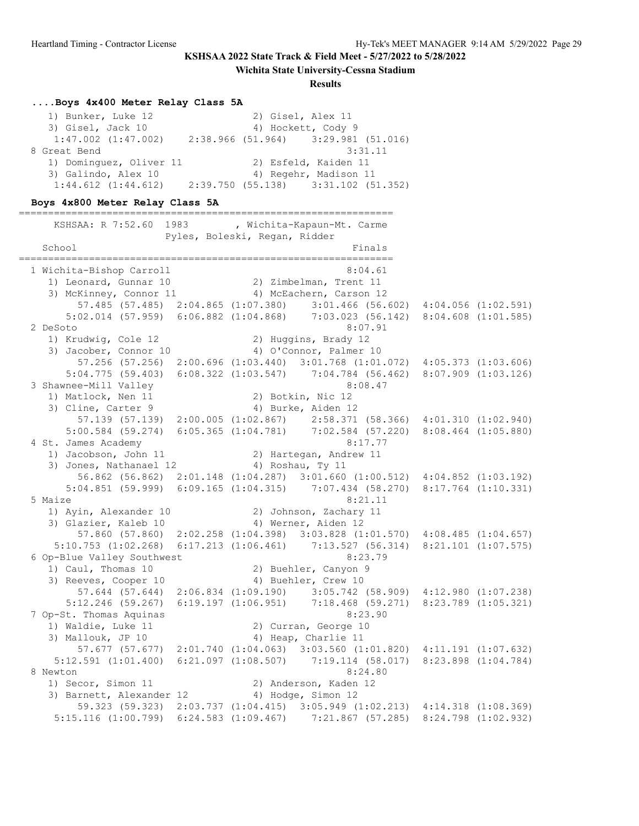**Wichita State University-Cessna Stadium**

**Results**

#### **....Boys 4x400 Meter Relay Class 5A**

| 1) Bunker, Luke 12      | 2) Gisel, Alex 11                     |
|-------------------------|---------------------------------------|
| 3) Gisel, Jack 10       | 4) Hockett, Cody 9                    |
| $1:47.002$ $(1:47.002)$ | $2:38.966$ (51.964) 3:29.981 (51.016) |
| 8 Great Bend            | 3:31.11                               |
| 1) Dominquez, Oliver 11 | 2) Esfeld, Kaiden 11                  |
| 3) Galindo, Alex 10     | 4) Regehr, Madison 11                 |
| $1:44.612$ $(1:44.612)$ | $2:39.750$ (55.138) 3:31.102 (51.352) |

## **Boys 4x800 Meter Relay Class 5A**

================================================================ KSHSAA: R 7:52.60 1983 , Wichita-Kapaun-Mt. Carme Pyles, Boleski, Regan, Ridder School Finals ================================================================ 1 Wichita-Bishop Carroll 8:04.61 1) Leonard, Gunnar 10 2) Zimbelman, Trent 11 3) McKinney, Connor 11 4) McEachern, Carson 12 57.485 (57.485) 2:04.865 (1:07.380) 3:01.466 (56.602) 4:04.056 (1:02.591) 5:02.014 (57.959) 6:06.882 (1:04.868) 7:03.023 (56.142) 8:04.608 (1:01.585) 2 DeSoto 8:07.91 1) Krudwig, Cole 12 2) Huggins, Brady 12 3) Jacober, Connor 10 4) O'Connor, Palmer 10 57.256 (57.256) 2:00.696 (1:03.440) 3:01.768 (1:01.072) 4:05.373 (1:03.606) 5:04.775 (59.403) 6:08.322 (1:03.547) 7:04.784 (56.462) 8:07.909 (1:03.126) 3 Shawnee-Mill Valley 8:08.47 1) Matlock, Nen 11 2) Botkin, Nic 12 3) Cline, Carter 9 4) Burke, Aiden 12 57.139 (57.139) 2:00.005 (1:02.867) 2:58.371 (58.366) 4:01.310 (1:02.940) 5:00.584 (59.274) 6:05.365 (1:04.781) 7:02.584 (57.220) 8:08.464 (1:05.880) 4 St. James Academy 8:17.77<br>1) Jacobson, John 11 2) Hartegan, Andrew 11<br>3) Jones Matherson 20 1) Jacobson, John 11 2) Hartegan, Andrew 11 3) Jones, Nathanael 12 (4) Roshau, Ty 11 56.862 (56.862) 2:01.148 (1:04.287) 3:01.660 (1:00.512) 4:04.852 (1:03.192) 5:04.851 (59.999) 6:09.165 (1:04.315) 7:07.434 (58.270) 8:17.764 (1:10.331) 5 Maize 8:21.11 1) Ayin, Alexander 10 2) Johnson, Zachary 11 3) Glazier, Kaleb 10 (4) Werner, Aiden 12 57.860 (57.860) 2:02.258 (1:04.398) 3:03.828 (1:01.570) 4:08.485 (1:04.657) 5:10.753 (1:02.268) 6:17.213 (1:06.461) 7:13.527 (56.314) 8:21.101 (1:07.575) 6 Op-Blue Valley Southwest 8:23.79 1) Caul, Thomas 10 2) Buehler, Canyon 9 3) Reeves, Cooper 10 4) Buehler, Crew 10 57.644 (57.644) 2:06.834 (1:09.190) 3:05.742 (58.909) 4:12.980 (1:07.238) 5:12.246 (59.267) 6:19.197 (1:06.951) 7:18.468 (59.271) 8:23.789 (1:05.321) 7 Op-St. Thomas Aquinas 8:23.90 1) Waldie, Luke 11 2) Curran, George 10 3) Mallouk, JP 10 4) Heap, Charlie 11 57.677 (57.677) 2:01.740 (1:04.063) 3:03.560 (1:01.820) 4:11.191 (1:07.632) 5:12.591 (1:01.400) 6:21.097 (1:08.507) 7:19.114 (58.017) 8:23.898 (1:04.784) 8 Newton 8:24.80 1) Secor, Simon 11 2) Anderson, Kaden 12 3) Barnett, Alexander 12 (4) Hodge, Simon 12 59.323 (59.323) 2:03.737 (1:04.415) 3:05.949 (1:02.213) 4:14.318 (1:08.369) 5:15.116 (1:00.799) 6:24.583 (1:09.467) 7:21.867 (57.285) 8:24.798 (1:02.932)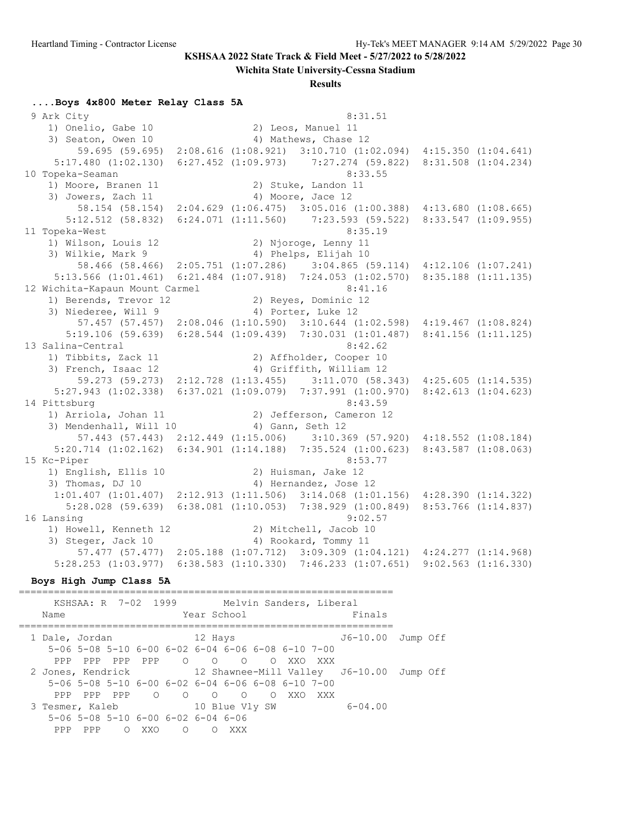**Wichita State University-Cessna Stadium**

#### **Results**

#### **....Boys 4x800 Meter Relay Class 5A**

9 Ark City 8:31.51 1) Onelio, Gabe 10 2) Leos, Manuel 11 3) Seaton, Owen 10 4) Mathews, Chase 12 59.695 (59.695) 2:08.616 (1:08.921) 3:10.710 (1:02.094) 4:15.350 (1:04.641) 5:17.480 (1:02.130) 6:27.452 (1:09.973) 7:27.274 (59.822) 8:31.508 (1:04.234) 10 Topeka-Seaman 8:33.55 1) Moore, Branen 11 2) Stuke, Landon 11 3) Jowers, Zach 11 4) Moore, Jace 12 58.154 (58.154) 2:04.629 (1:06.475) 3:05.016 (1:00.388) 4:13.680 (1:08.665) 5:12.512 (58.832) 6:24.071 (1:11.560) 7:23.593 (59.522) 8:33.547 (1:09.955) 11 Topeka-West 8:35.19 1) Wilson, Louis 12 2) Njoroge, Lenny 11 3) Wilkie, Mark 9 4) Phelps, Elijah 10 58.466 (58.466) 2:05.751 (1:07.286) 3:04.865 (59.114) 4:12.106 (1:07.241) 5:13.566 (1:01.461) 6:21.484 (1:07.918) 7:24.053 (1:02.570) 8:35.188 (1:11.135) 12 Wichita-Kapaun Mount Carmel 8:41.16 1) Berends, Trevor 12 2) Reyes, Dominic 12 3) Niederee, Will 9 4) Porter, Luke 12 57.457 (57.457) 2:08.046 (1:10.590) 3:10.644 (1:02.598) 4:19.467 (1:08.824) 5:19.106 (59.639) 6:28.544 (1:09.439) 7:30.031 (1:01.487) 8:41.156 (1:11.125) 13 Salina-Central 8:42.62 1) Tibbits, Zack 11 2) Affholder, Cooper 10 3) French, Isaac 12 4) Griffith, William 12 59.273 (59.273) 2:12.728 (1:13.455) 3:11.070 (58.343) 4:25.605 (1:14.535) 5:27.943 (1:02.338) 6:37.021 (1:09.079) 7:37.991 (1:00.970) 8:42.613 (1:04.623) 14 Pittsburg 8:43.59 1) Arriola, Johan 11 2) Jefferson, Cameron 12 3) Mendenhall, Will 10 4) Gann, Seth 12 57.443 (57.443) 2:12.449 (1:15.006) 3:10.369 (57.920) 4:18.552 (1:08.184) 5:20.714 (1:02.162) 6:34.901 (1:14.188) 7:35.524 (1:00.623) 8:43.587 (1:08.063) 15 Kc-Piper 8:53.77 1) English, Ellis 10 2) Huisman, Jake 12 3) Thomas, DJ 10 4) Hernandez, Jose 12 1:01.407 (1:01.407) 2:12.913 (1:11.506) 3:14.068 (1:01.156) 4:28.390 (1:14.322) 5:28.028 (59.639) 6:38.081 (1:10.053) 7:38.929 (1:00.849) 8:53.766 (1:14.837) 16 Lansing 9:02.57 1) Howell, Kenneth 12 2) Mitchell, Jacob 10 3) Steger, Jack 10 4) Rookard, Tommy 11 57.477 (57.477) 2:05.188 (1:07.712) 3:09.309 (1:04.121) 4:24.277 (1:14.968) 5:28.253 (1:03.977) 6:38.583 (1:10.330) 7:46.233 (1:07.651) 9:02.563 (1:16.330)

#### **Boys High Jump Class 5A**

================================================================ KSHSAA: R 7-02 1999 Melvin Sanders, Liberal Name Year School Finals ================================================================ 1 Dale, Jordan 12 Hays J6-10.00 Jump Off 5-06 5-08 5-10 6-00 6-02 6-04 6-06 6-08 6-10 7-00 PPP PPP PPP PPP O O O O XXO XXX 2 Jones, Kendrick 12 Shawnee-Mill Valley J6-10.00 Jump Off 5-06 5-08 5-10 6-00 6-02 6-04 6-06 6-08 6-10 7-00 PPP PPP PPP O O O O O XXO XXX 3 Tesmer, Kaleb 10 Blue Vly SW 6-04.00 5-06 5-08 5-10 6-00 6-02 6-04 6-06 PPP PPP O XXO O O XXX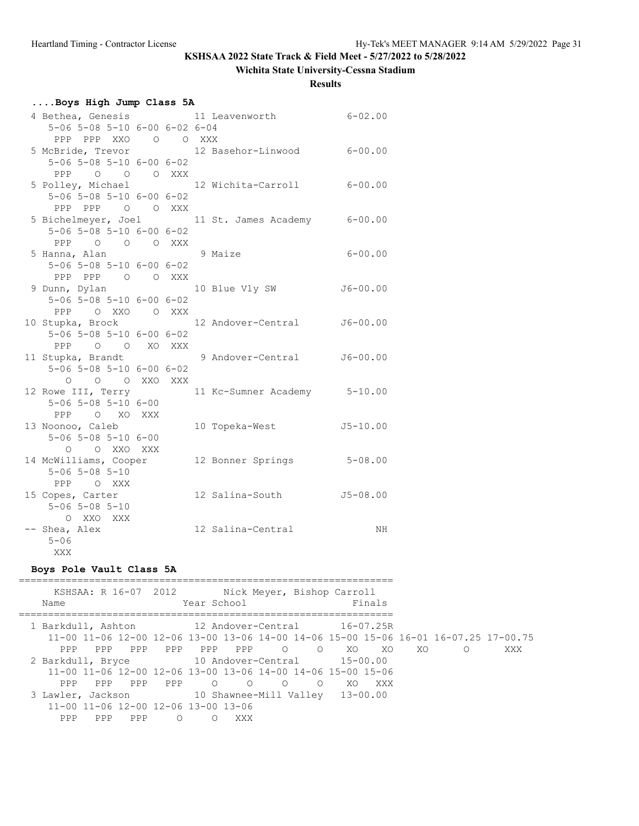# **Wichita State University-Cessna Stadium**

**Results**

| Boys High Jump Class 5A                      |  |  |  |  |                                                  |              |  |
|----------------------------------------------|--|--|--|--|--------------------------------------------------|--------------|--|
|                                              |  |  |  |  | 4 Bethea, Genesis 11 Leavenworth 6-02.00         |              |  |
| 5-06 5-08 5-10 6-00 6-02 6-04                |  |  |  |  |                                                  |              |  |
| PPP PPP XXO O O XXX                          |  |  |  |  |                                                  |              |  |
|                                              |  |  |  |  | 5 McBride, Trevor 12 Basehor-Linwood 6-00.00     |              |  |
| $5 - 06$ $5 - 08$ $5 - 10$ $6 - 00$ $6 - 02$ |  |  |  |  |                                                  |              |  |
| PPP 0 0 0 XXX                                |  |  |  |  |                                                  |              |  |
| 5 Polley, Michael                            |  |  |  |  | 12 Wichita-Carroll                               | $6 - 00.00$  |  |
| $5 - 06$ $5 - 08$ $5 - 10$ $6 - 00$ $6 - 02$ |  |  |  |  |                                                  |              |  |
| PPP PPP 0 0 XXX                              |  |  |  |  |                                                  |              |  |
|                                              |  |  |  |  | 5 Bichelmeyer, Joel 11 St. James Academy 6-00.00 |              |  |
| $5 - 06$ $5 - 08$ $5 - 10$ $6 - 00$ $6 - 02$ |  |  |  |  |                                                  |              |  |
| PPP 0 0 0 XXX                                |  |  |  |  |                                                  |              |  |
| 5 Hanna, Alan 19 Maize                       |  |  |  |  |                                                  | $6 - 00.00$  |  |
| $5 - 06$ $5 - 08$ $5 - 10$ $6 - 00$ $6 - 02$ |  |  |  |  |                                                  |              |  |
| PPP PPP 0 0 XXX                              |  |  |  |  |                                                  |              |  |
| 9 Dunn, Dylan                                |  |  |  |  | 10 Blue Vly SW                                   | $J6 - 00.00$ |  |
| $5 - 06$ $5 - 08$ $5 - 10$ $6 - 00$ $6 - 02$ |  |  |  |  |                                                  |              |  |
| PPP OXXO OXXX                                |  |  |  |  |                                                  |              |  |
| 10 Stupka, Brock                             |  |  |  |  | 12 Andover-Central                               | $J6 - 00.00$ |  |
| $5 - 06$ $5 - 08$ $5 - 10$ $6 - 00$ $6 - 02$ |  |  |  |  |                                                  |              |  |
| PPP 0 0 XO XXX                               |  |  |  |  |                                                  |              |  |
| 11 Stupka, Brandt                            |  |  |  |  | 9 Andover-Central J6-00.00                       |              |  |
| $5 - 06$ $5 - 08$ $5 - 10$ $6 - 00$ $6 - 02$ |  |  |  |  |                                                  |              |  |
| O O O XXO XXX                                |  |  |  |  |                                                  |              |  |
| 12 Rowe III, Terry                           |  |  |  |  | 11 Kc-Sumner Academy 5-10.00                     |              |  |
| $5 - 06$ $5 - 08$ $5 - 10$ $6 - 00$          |  |  |  |  |                                                  |              |  |
| PPP O XO XXX                                 |  |  |  |  |                                                  |              |  |
| 13 Noonoo, Caleb                             |  |  |  |  | 10 Topeka-West                                   | $J5 - 10.00$ |  |
| 5-06 5-08 5-10 6-00                          |  |  |  |  |                                                  |              |  |
| O O XXO XXX                                  |  |  |  |  |                                                  |              |  |
| 14 McWilliams, Cooper                        |  |  |  |  | 12 Bonner Springs                                | $5 - 08.00$  |  |
| $5 - 06$ $5 - 08$ $5 - 10$                   |  |  |  |  |                                                  |              |  |
| PPP OXXX                                     |  |  |  |  |                                                  |              |  |
| 15 Copes, Carter                             |  |  |  |  | 12 Salina-South J5-08.00                         |              |  |
| $5 - 06$ $5 - 08$ $5 - 10$                   |  |  |  |  |                                                  |              |  |
| O XXO XXX                                    |  |  |  |  |                                                  |              |  |
| -- Shea, Alex                                |  |  |  |  | 12 Salina-Central                                | ΝH           |  |
| $5 - 06$                                     |  |  |  |  |                                                  |              |  |
| XXX                                          |  |  |  |  |                                                  |              |  |

## **Boys Pole Vault Class 5A**

| Name                                              |     | KSHSAA: R 16-07 2012                                        |          | Year School |         |                | Nick Meyer, Bishop Carroll                                  |         | Finals |     |                                                                                     |     |
|---------------------------------------------------|-----|-------------------------------------------------------------|----------|-------------|---------|----------------|-------------------------------------------------------------|---------|--------|-----|-------------------------------------------------------------------------------------|-----|
| 1 Barkdull, Ashton 12 Andover-Central 16-07.25R   |     |                                                             |          |             |         |                |                                                             |         |        |     |                                                                                     |     |
|                                                   |     |                                                             |          |             |         |                |                                                             |         |        |     | 11-00 11-06 12-00 12-06 13-00 13-06 14-00 14-06 15-00 15-06 16-01 16-07.25 17-00.75 |     |
| PPP                                               | PPP | PPP                                                         | PPP      |             | PPP PPP | $\overline{O}$ |                                                             | O XO XO |        | XO. | $\Omega$                                                                            | XXX |
| 2 Barkdull, Bryce 10 Andover-Central 15-00.00     |     |                                                             |          |             |         |                |                                                             |         |        |     |                                                                                     |     |
|                                                   |     |                                                             |          |             |         |                | 11-00 11-06 12-00 12-06 13-00 13-06 14-00 14-06 15-00 15-06 |         |        |     |                                                                                     |     |
| PPP                                               | PPP | PPP                                                         | PPP      | $\circ$     | $\circ$ | $\circ$        | $\circ$                                                     | XO      | XXX X  |     |                                                                                     |     |
| 3 Lawler, Jackson 10 Shawnee-Mill Valley 13-00.00 |     |                                                             |          |             |         |                |                                                             |         |        |     |                                                                                     |     |
|                                                   |     | $11 - 00$ $11 - 06$ $12 - 00$ $12 - 06$ $13 - 00$ $13 - 06$ |          |             |         |                |                                                             |         |        |     |                                                                                     |     |
| PPP                                               | PPP | <b>PPP</b>                                                  | $\Omega$ | ∩           | XXX     |                |                                                             |         |        |     |                                                                                     |     |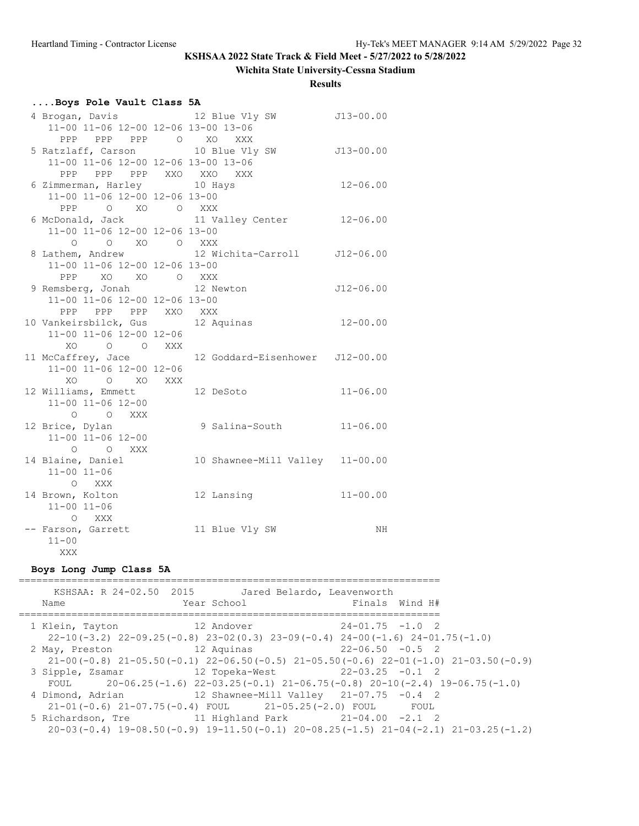## **Wichita State University-Cessna Stadium**

**Results**

| Boys Pole Vault Class 5A |  |  |  |
|--------------------------|--|--|--|
|--------------------------|--|--|--|

| 4 Brogan, Davis 12 Blue Vly SW      |                                                                     | $J13-00.00$  |
|-------------------------------------|---------------------------------------------------------------------|--------------|
| 11-00 11-06 12-00 12-06 13-00 13-06 |                                                                     |              |
|                                     |                                                                     |              |
|                                     | PPP PPP DPP O XO XXX<br>5 Ratzlaff, Carson 10 Blue Vly SW J13-00.00 |              |
| 11-00 11-06 12-00 12-06 13-00 13-06 |                                                                     |              |
| PPP PPP PPP XXO XXO XXX             |                                                                     |              |
| 6 Zimmerman, Harley 10 Hays         |                                                                     | $12 - 06.00$ |
| 11-00 11-06 12-00 12-06 13-00       |                                                                     |              |
| PPP 0 XO 0 XXX                      |                                                                     |              |
|                                     | 6 McDonald, Jack and 11 Valley Center 12-06.00                      |              |
| 11-00 11-06 12-00 12-06 13-00       |                                                                     |              |
| O O XO O XXX                        |                                                                     |              |
|                                     | 8 Lathem, Andrew 12 Wichita-Carroll J12-06.00                       |              |
| 11-00 11-06 12-00 12-06 13-00       |                                                                     |              |
| PPP XO XO O XXX                     |                                                                     |              |
| 9 Remsberg, Jonah 12 Newton         |                                                                     | J12-06.00    |
| 11-00 11-06 12-00 12-06 13-00       |                                                                     |              |
| PPP PPP PPP XXO XXX                 |                                                                     |              |
| 10 Vankeirsbilck, Gus 12 Aquinas    |                                                                     | $12 - 00.00$ |
| 11-00 11-06 12-00 12-06             |                                                                     |              |
| XO O O XXX                          |                                                                     |              |
|                                     | 11 McCaffrey, Jace 12 Goddard-Eisenhower J12-00.00                  |              |
| 11-00 11-06 12-00 12-06             |                                                                     |              |
| XO O XO XXX                         |                                                                     |              |
| 12 Williams, Emmett 12 DeSoto       |                                                                     | $11 - 06.00$ |
| $11 - 00$ $11 - 06$ $12 - 00$       |                                                                     |              |
| O O XXX                             |                                                                     |              |
| 12 Brice, Dylan                     | 9 Salina-South 11-06.00                                             |              |
| 11-00 11-06 12-00                   |                                                                     |              |
| O O XXX                             |                                                                     |              |
| 14 Blaine, Daniel                   | 10 Shawnee-Mill Valley 11-00.00                                     |              |
| $11 - 00$ $11 - 06$                 |                                                                     |              |
| O XXX                               |                                                                     |              |
| 14 Brown, Kolton                    | 12 Lansing                                                          | $11 - 00.00$ |
| $11 - 00$ $11 - 06$                 |                                                                     |              |
| O XXX                               |                                                                     |              |
| -- Farson, Garrett                  | 11 Blue Vly SW                                                      | NH           |
| $11 - 00$                           |                                                                     |              |
| XXX                                 |                                                                     |              |

### **Boys Long Jump Class 5A**

| Name             | KSHSAA: R 24-02.50 2015 Jared Belardo, Leavenworth<br>Year School | Finals Wind H#                                                                                                                                   |  |
|------------------|-------------------------------------------------------------------|--------------------------------------------------------------------------------------------------------------------------------------------------|--|
| 1 Klein, Tayton  | 12 Andover                                                        | $24-01.75 -1.0$ 2<br>$22-10(-3.2)$ $22-09.25(-0.8)$ $23-02(0.3)$ $23-09(-0.4)$ $24-00(-1.6)$ $24-01.75(-1.0)$                                    |  |
| 2 May, Preston   |                                                                   | $12$ Aquinas $22-06.50$ $-0.5$ 2<br>$21-00(-0.8)$ $21-05.50(-0.1)$ $22-06.50(-0.5)$ $21-05.50(-0.6)$ $22-01(-1.0)$ $21-03.50(-0.9)$              |  |
|                  |                                                                   | 3 Sipple, Zsamar 12 Topeka-West 22-03.25 -0.1 2<br>FOUL 20-06.25(-1.6) $22-03.25(-0.1)$ $21-06.75(-0.8)$ $20-10(-2.4)$ $19-06.75(-1.0)$          |  |
| 4 Dimond, Adrian |                                                                   | 12 Shawnee-Mill Valley $21-07.75$ $-0.4$ 2<br>$21-01(-0.6)$ $21-07.75(-0.4)$ FOUL $21-05.25(-2.0)$ FOUL FOUL                                     |  |
|                  |                                                                   | 5 Richardson, Tre 11 Highland Park 21-04.00 -2.1 2<br>$20-03(-0.4)$ 19-08.50 (-0.9) 19-11.50 (-0.1) 20-08.25 (-1.5) 21-04 (-2.1) 21-03.25 (-1.2) |  |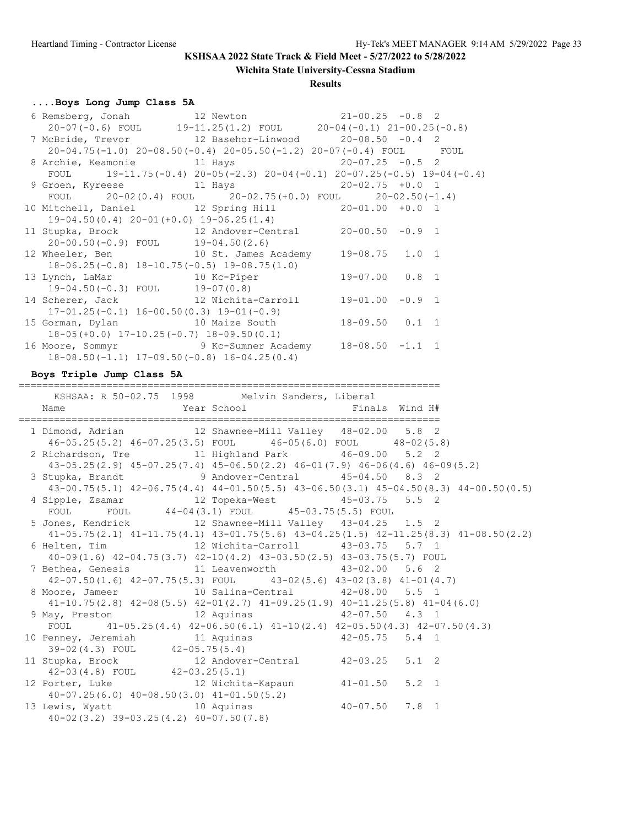**Wichita State University-Cessna Stadium**

### **Results**

# **....Boys Long Jump Class 5A**

| 6 Remsberg, Jonah 12 Newton 21-00.25 -0.8 2                                        |  |  |
|------------------------------------------------------------------------------------|--|--|
| $20-07(-0.6)$ FOUL $19-11.25(1.2)$ FOUL $20-04(-0.1)$ $21-00.25(-0.8)$             |  |  |
| 7 McBride, Trevor 12 Basehor-Linwood 20-08.50 -0.4 2                               |  |  |
| 20-04.75(-1.0) 20-08.50(-0.4) 20-05.50(-1.2) 20-07(-0.4) FOUL FOUL                 |  |  |
| 8 Archie, Keamonie 11 Hays 20-07.25 -0.5 2                                         |  |  |
| FOUL 19-11.75(-0.4) $20-05$ (-2.3) $20-04$ (-0.1) $20-07.25$ (-0.5) $19-04$ (-0.4) |  |  |
| 9 Groen, Kyreese 11 Hays 20-02.75 +0.0 1                                           |  |  |
| FOUL $20-02(0.4)$ FOUL $20-02.75(+0.0)$ FOUL $20-02.50(-1.4)$                      |  |  |
| 10 Mitchell, Daniel 12 Spring Hill 20-01.00 +0.0 1                                 |  |  |
| $19-04.50(0.4)$ $20-01(+0.0)$ $19-06.25(1.4)$                                      |  |  |
| 11 Stupka, Brock 12 Andover-Central 20-00.50 -0.9 1                                |  |  |
| $20-00.50(-0.9)$ FOUL $19-04.50(2.6)$                                              |  |  |
| 12 Wheeler, Ben 10 St. James Academy 19-08.75 1.0 1                                |  |  |
| $18-06.25(-0.8)$ $18-10.75(-0.5)$ $19-08.75(1.0)$                                  |  |  |
|                                                                                    |  |  |
| $19-04.50(-0.3)$ FOUL $19-07(0.8)$                                                 |  |  |
| 14 Scherer, Jack 12 Wichita-Carroll 19-01.00 -0.9 1                                |  |  |
| $17-01.25(-0.1)$ $16-00.50(0.3)$ $19-01(-0.9)$                                     |  |  |
| 15 Gorman, Dylan 10 Maize South 18-09.50 0.1 1                                     |  |  |
| $18-05(+0.0)$ $17-10.25(-0.7)$ $18-09.50(0.1)$                                     |  |  |
| 16 Moore, Sommyr 9 Kc-Sumner Academy 18-08.50 -1.1 1                               |  |  |
| $18-08.50(-1.1)$ $17-09.50(-0.8)$ $16-04.25(0.4)$                                  |  |  |

### **Boys Triple Jump Class 5A**

========================================================================

| KSHSAA: R 50-02.75 1998 Melvin Sanders, Liberal                                                 |  |  |
|-------------------------------------------------------------------------------------------------|--|--|
| Year School <a> Finals Wind<br/> <math display="inline">\mathbb{H}^+</math><br/>Name</a>        |  |  |
|                                                                                                 |  |  |
| 1 Dimond, Adrian 12 Shawnee-Mill Valley 48-02.00 5.8 2                                          |  |  |
| 46-05.25(5.2) 46-07.25(3.5) FOUL 46-05(6.0) FOUL 48-02(5.8)                                     |  |  |
| 2 Richardson, Tre 11 Highland Park 46-09.00 5.2 2                                               |  |  |
| $43-05.25(2.9)$ $45-07.25(7.4)$ $45-06.50(2.2)$ $46-01(7.9)$ $46-06(4.6)$ $46-09(5.2)$          |  |  |
| 3 Stupka, Brandt 9 Andover-Central 45-04.50 8.3 2                                               |  |  |
| 43-00.75(5.1) 42-06.75(4.4) 44-01.50(5.5) 43-06.50(3.1) 45-04.50(8.3) 44-00.50(0.5)             |  |  |
| 4 Sipple, Zsamar 12 Topeka-West 45-03.75 5.5 2<br>FOUL FOUL 44-04(3.1) FOUL 45-03.75(5.5) FOUL  |  |  |
|                                                                                                 |  |  |
| 5 Jones, Kendrick 12 Shawnee-Mill Valley 43-04.25 1.5 2                                         |  |  |
| $41-05.75(2.1)$ $41-11.75(4.1)$ $43-01.75(5.6)$ $43-04.25(1.5)$ $42-11.25(8.3)$ $41-08.50(2.2)$ |  |  |
|                                                                                                 |  |  |
| 40-09 (1.6) 42-04.75 (3.7) 42-10 (4.2) 43-03.50 (2.5) 43-03.75 (5.7) FOUL                       |  |  |
| 7 Bethea, Genesis 11 Leavenworth 43-02.00 5.6 2                                                 |  |  |
| $42-07.50(1.6)$ $42-07.75(5.3)$ FOUL $43-02(5.6)$ $43-02(3.8)$ $41-01(4.7)$                     |  |  |
| 8 Moore, Jameer 10 Salina-Central 42-08.00 5.5 1                                                |  |  |
| $41-10.75(2.8)$ $42-08(5.5)$ $42-01(2.7)$ $41-09.25(1.9)$ $40-11.25(5.8)$ $41-04(6.0)$          |  |  |
| 9 May, Preston 12 Aquinas 42-07.50 4.3 1                                                        |  |  |
| FOUL $41-05.25(4.4)$ $42-06.50(6.1)$ $41-10(2.4)$ $42-05.50(4.3)$ $42-07.50(4.3)$               |  |  |
| 10 Penney, Jeremiah 11 Aquinas 11 Aquinos 42-05.75 5.4 1<br>39-02(4.3) FOUL 42-05.75(5.4)       |  |  |
| 11 Stupka, Brock 12 Andover-Central 42-03.25 5.1 2                                              |  |  |
| $42-03(4.8)$ FOUL $42-03.25(5.1)$                                                               |  |  |
| 12 Porter, Luke 12 Wichita-Kapaun 41-01.50 5.2 1                                                |  |  |
| $40-07.25(6.0)$ $40-08.50(3.0)$ $41-01.50(5.2)$                                                 |  |  |
| 13 Lewis, Wyatt 10 Aquinas 40-07.50 7.8 1                                                       |  |  |
| $40-02(3.2)$ $39-03.25(4.2)$ $40-07.50(7.8)$                                                    |  |  |
|                                                                                                 |  |  |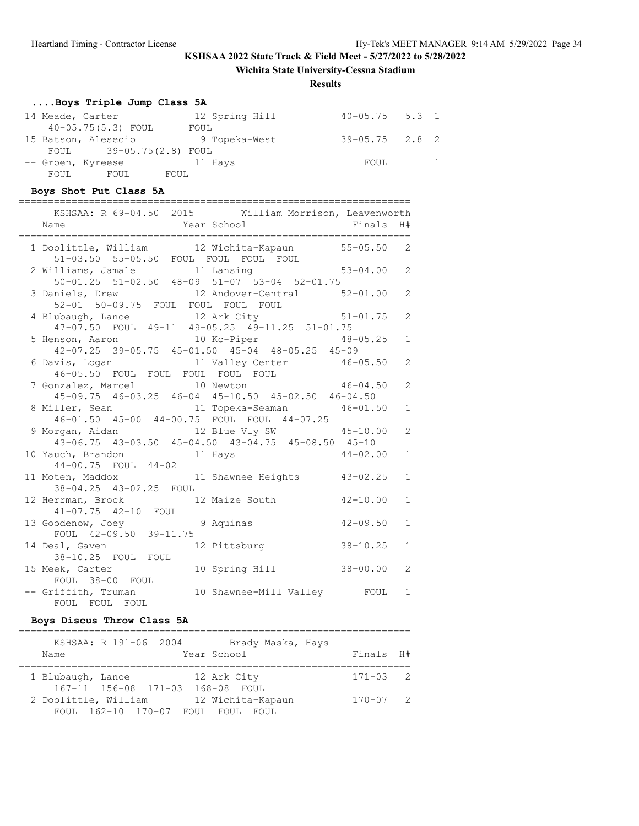**Wichita State University-Cessna Stadium**

### **Results**

# **....Boys Triple Jump Class 5A**

|      | 14 Meade, Carter        |      |      | 12 Spring Hill | $40 - 05.75$ 5.3 1 |  |
|------|-------------------------|------|------|----------------|--------------------|--|
|      | 40-05.75(5.3) FOUL      |      | FOUL |                |                    |  |
|      | 15 Batson, Alesecio     |      |      | 9 Topeka-West  | $39 - 05.75$ 2.8 2 |  |
|      | FOUL 39-05.75(2.8) FOUL |      |      |                |                    |  |
|      | -- Groen, Kyreese       |      |      | 11 Hays        | FOUL               |  |
| FOUL | FOUL                    | FOUL |      |                |                    |  |

## **Boys Shot Put Class 5A**

| KSHSAA: R 69-04.50 2015 William Morrison, Leavenworth<br>Name                                                                     | Year School Finals |              | H#           |
|-----------------------------------------------------------------------------------------------------------------------------------|--------------------|--------------|--------------|
| 1 Doolittle, William 12 Wichita-Kapaun 55-05.50 2                                                                                 |                    |              |              |
| 51-03.50 55-05.50 FOUL FOUL FOUL FOUL<br>2 Williams, Jamale 11 Lansing 53-04.00 2<br>50-01.25 51-02.50 48-09 51-07 53-04 52-01.75 |                    |              |              |
| 3 Daniels, Drew 12 Andover-Central 52-01.00 2<br>52-01 50-09.75 FOUL FOUL FOUL FOUL                                               |                    |              |              |
| 4 Blubaugh, Lance 12 Ark City 51-01.75<br>47-07.50 FOUL 49-11 49-05.25 49-11.25 51-01.75                                          |                    |              | 2            |
| 5 Henson, Aaron 10 Kc-Piper 48-05.25<br>42-07.25 39-05.75 45-01.50 45-04 48-05.25 45-09                                           |                    |              | $\mathbf{1}$ |
| 6 Davis, Logan 11 Valley Center 46-05.50<br>46-05.50 FOUL FOUL FOUL FOUL FOUL                                                     |                    |              | 2            |
| 7 Gonzalez, Marcel 10 Newton 46-04.50<br>45-09.75 46-03.25 46-04 45-10.50 45-02.50 46-04.50                                       |                    |              | 2            |
| 8 Miller, Sean 11 Topeka-Seaman 46-01.50<br>46-01.50 45-00 44-00.75 FOUL FOUL 44-07.25                                            |                    |              | $\mathbf{1}$ |
| 9 Morgan, Aidan 12 Blue Vly SW 45-10.00<br>43-06.75 43-03.50 45-04.50 43-04.75 45-08.50 45-10                                     |                    |              | 2            |
| 10 Yauch, Brandon 11 Hays                                                                                                         |                    | $44 - 02.00$ | $\mathbf{1}$ |
| 44-00.75 FOUL 44-02<br>11 Moten, Maddox 11 Shawnee Heights 43-02.25<br>38-04.25 43-02.25 FOUL                                     |                    |              | $\mathbf{1}$ |
| 12 Herrman, Brock 12 Maize South 42-10.00<br>41-07.75 42-10 FOUL                                                                  |                    |              | $\mathbf{1}$ |
| 13 Goodenow, Joey 9 Aquinas<br>FOUL 42-09.50 39-11.75                                                                             |                    | $42 - 09.50$ | $\mathbf{1}$ |
| 14 Deal, Gaven 12 Pittsburg 38-10.25<br>38-10.25 FOUL FOUL                                                                        |                    |              | $\mathbf{1}$ |
| 15 Meek, Carter<br>FOUL 38-00 FOUL                                                                                                | 10 Spring Hill     | $38 - 00.00$ | 2            |
| -- Griffith, Truman 10 Shawnee-Mill Valley FOUL<br>FOUL FOUL FOUL                                                                 |                    |              | 1            |

## **Boys Discus Throw Class 5A**

| Name | KSHSAA: R 191-06 2004                                 | Brady Maska, Hays<br>Year School    | Finals H#    |  |
|------|-------------------------------------------------------|-------------------------------------|--------------|--|
|      | 1 Blubaugh, Lance<br>$167 - 11$ $156 - 08$ $171 - 03$ | 12 Ark City<br>168-08 FOUL          | $171 - 03$ 2 |  |
|      | 2 Doolittle, William<br>FOUL 162-10 170-07 FOUL       | 12 Wichita-Kapaun<br>FOUL.<br>FOUL. | $170 - 07$ 2 |  |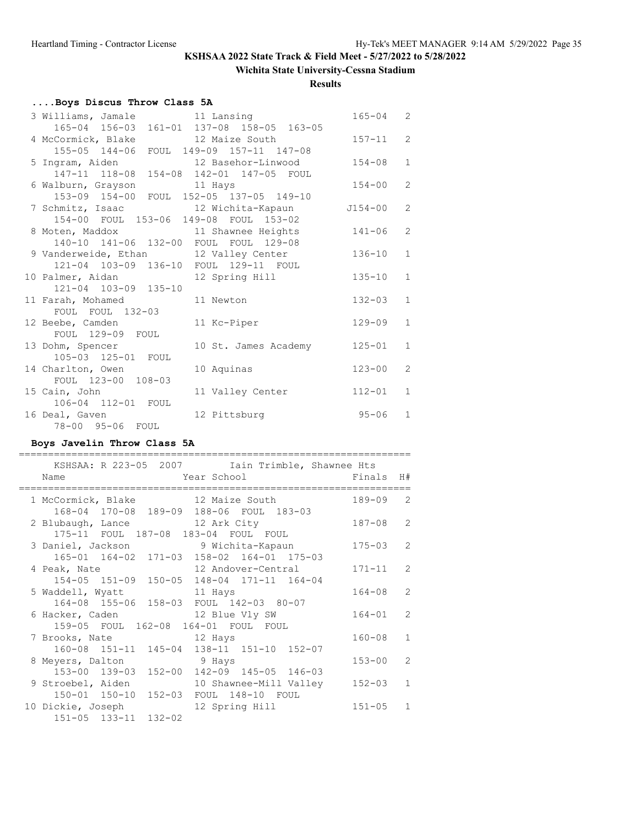## **Wichita State University-Cessna Stadium**

**Results**

# **....Boys Discus Throw Class 5A**

| 3 Williams, Jamale 11 Lansing             |                      | $165 - 04$ | 2              |
|-------------------------------------------|----------------------|------------|----------------|
| 165-04 156-03 161-01 137-08 158-05 163-05 |                      |            |                |
| 4 McCormick, Blake                        | 12 Maize South       | $157 - 11$ | 2              |
| 155-05 144-06 FOUL 149-09 157-11 147-08   |                      |            |                |
| 5 Ingram, Aiden 12 Basehor-Linwood        |                      | $154 - 08$ | $\mathbf{1}$   |
| 147-11 118-08 154-08 142-01 147-05 FOUL   |                      |            |                |
| 6 Walburn, Grayson 11 Hays                |                      | $154 - 00$ | $\overline{2}$ |
| 153-09 154-00 FOUL 152-05 137-05 149-10   |                      |            |                |
| 7 Schmitz, Isaac 12 Wichita-Kapaun        |                      | J154-00    | $\overline{2}$ |
| 154-00 FOUL 153-06 149-08 FOUL 153-02     |                      |            |                |
| 8 Moten, Maddox 11 Shawnee Heights        |                      | $141 - 06$ | 2              |
| 140-10 141-06 132-00 FOUL FOUL 129-08     |                      |            |                |
| 9 Vanderweide, Ethan 12 Valley Center     |                      | $136 - 10$ | $\mathbf{1}$   |
| 121-04 103-09 136-10 FOUL 129-11 FOUL     |                      |            |                |
| 10 Palmer, Aidan                          | 12 Spring Hill       | $135 - 10$ | $\mathbf{1}$   |
| 121-04 103-09 135-10                      |                      |            |                |
| 11 Farah, Mohamed                         | 11 Newton            | $132 - 03$ | $\mathbf{1}$   |
| FOUL FOUL 132-03                          |                      |            |                |
| 12 Beebe, Camden                          | 11 Kc-Piper          | $129 - 09$ | $\mathbf{1}$   |
| FOUL 129-09 FOUL                          |                      |            |                |
| 13 Dohm, Spencer                          | 10 St. James Academy | 125-01     | $\mathbf{1}$   |
| 105-03 125-01 FOUL                        |                      |            |                |
| 14 Charlton, Owen                         | 10 Aquinas           | $123 - 00$ | $\overline{2}$ |
| FOUL 123-00 108-03                        |                      |            |                |
| 15 Cain, John                             | 11 Valley Center     | $112 - 01$ | $\mathbf{1}$   |
| 106-04 112-01 FOUL                        |                      |            |                |
| 16 Deal, Gaven                            | 12 Pittsburg         | $95 - 06$  | $\mathbf{1}$   |
| 78-00 95-06 FOUL                          |                      |            |                |

## **Boys Javelin Throw Class 5A**

|                          |                      | KSHSAA: R 223-05 2007 Iain Trimble, Shawnee Hts |            |                |
|--------------------------|----------------------|-------------------------------------------------|------------|----------------|
| Name                     |                      | Year School                                     | Finals H#  |                |
|                          |                      |                                                 |            |                |
|                          |                      | 1 McCormick, Blake 12 Maize South               | 189-09     | $\mathcal{L}$  |
|                          |                      | 168-04 170-08 189-09 188-06 FOUL 183-03         |            |                |
|                          |                      | 2 Blubaugh, Lance 12 Ark City                   | $187 - 08$ | $\overline{2}$ |
|                          |                      | 175-11 FOUL 187-08 183-04 FOUL FOUL             |            |                |
|                          |                      | 3 Daniel, Jackson 5 9 Wichita-Kapaun            | $175 - 03$ | 2              |
|                          |                      | 165-01 164-02 171-03 158-02 164-01 175-03       |            |                |
| 4 Peak, Nate             |                      | 12 Andover-Central                              | $171 - 11$ | $\mathcal{L}$  |
|                          |                      | 154-05 151-09 150-05 148-04 171-11 164-04       |            |                |
| 5 Waddell, Wyatt 11 Hays |                      |                                                 | $164 - 08$ | $\mathcal{L}$  |
|                          |                      | 164-08 155-06 158-03 FOUL 142-03 80-07          |            |                |
|                          |                      | 6 Hacker, Caden 12 Blue Vly SW                  | $164 - 01$ | $\mathcal{L}$  |
|                          |                      | 159-05 FOUL 162-08 164-01 FOUL FOUL             |            |                |
| 7 Brooks, Nate 12 Hays   |                      |                                                 | $160 - 08$ | $\mathbf{1}$   |
|                          |                      | 160-08 151-11 145-04 138-11 151-10 152-07       |            |                |
| 8 Meyers, Dalton         |                      | 9 Hays                                          | $153 - 00$ | $\mathcal{P}$  |
|                          |                      | 153-00 139-03 152-00 142-09 145-05 146-03       |            |                |
| 9 Stroebel, Aiden        |                      | 10 Shawnee-Mill Valley                          | $152 - 03$ | $\mathbf{1}$   |
|                          | 150-01 150-10 152-03 | FOUL 148-10 FOUL                                |            |                |
| 10 Dickie, Joseph        |                      | 12 Spring Hill                                  | $151 - 05$ | $\mathbf{1}$   |
|                          | 151-05 133-11 132-02 |                                                 |            |                |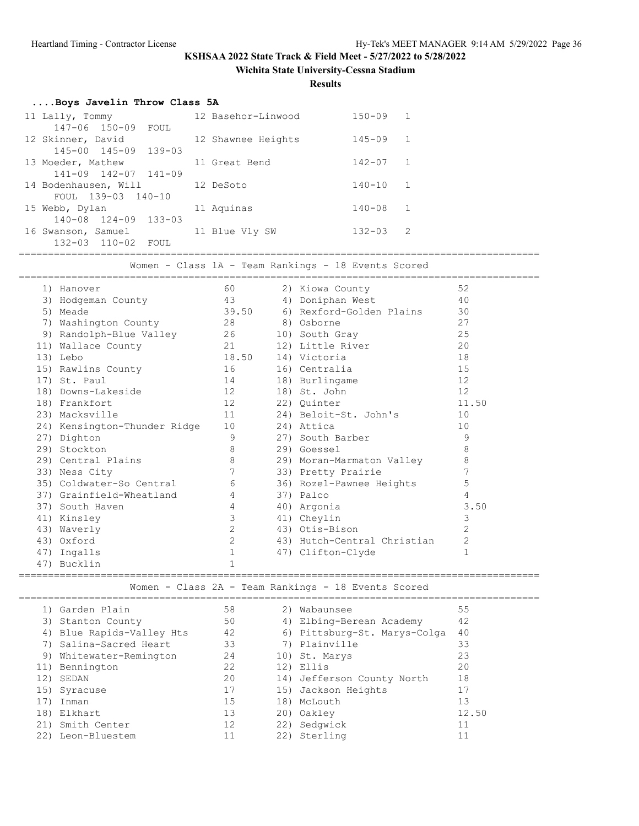**Wichita State University-Cessna Stadium**

**Results**

| Boys Javelin Throw Class 5A      |                    |              |  |
|----------------------------------|--------------------|--------------|--|
| 11 Lally, Tommy                  | 12 Basehor-Linwood | $150 - 09$ 1 |  |
| 147-06 150-09 FOUL               |                    |              |  |
| 12 Skinner, David                | 12 Shawnee Heights | $145 - 09$ 1 |  |
| 145-00 145-09 139-03             |                    |              |  |
| 13 Moeder, Mathew                | 11 Great Bend      | $142 - 07$ 1 |  |
| $141 - 09$ $142 - 07$ $141 - 09$ |                    |              |  |
| 14 Bodenhausen, Will 32 DeSoto   |                    | $140 - 10$ 1 |  |
| FOUL 139-03 140-10               |                    |              |  |
| 15 Webb, Dylan                   | 11 Aquinas         | $140 - 08$ 1 |  |
| $140 - 08$ $124 - 09$ $133 - 03$ |                    |              |  |
| 16 Swanson, Samuel               | 11 Blue Vly SW     | $132 - 03$ 2 |  |
| 132-03 110-02 FOUL               |                    |              |  |
|                                  |                    |              |  |

Women - Class 1A - Team Rankings - 18 Events Scored

|     | 1) Hanover                          | 60              | 2) Kiowa County             | 52             |
|-----|-------------------------------------|-----------------|-----------------------------|----------------|
|     | 3) Hodgeman County                  | 43              | 4) Doniphan West            | 40             |
|     | 5) Meade                            | 39.50           | 6) Rexford-Golden Plains    | 30             |
|     | 7) Washington County (28 8) Osborne |                 |                             | 27             |
|     | 9) Randolph-Blue Valley 26          |                 | 10) South Gray              | 25             |
|     | 21<br>11) Wallace County            |                 | 12) Little River            | 20             |
|     | 13) Lebo                            |                 | 18.50 14) Victoria          | 18             |
|     | 15) Rawlins County                  | 16              | 16) Centralia               | 15             |
|     | 17) St. Paul                        | 14              | 18) Burlingame              | 12             |
|     | 18) Downs-Lakeside                  | 12              | 18) St. John                | 12             |
|     | 18) Frankfort                       |                 | 22) Quinter                 | 11.50          |
|     | 23) Macksville                      | 11              | 24) Beloit-St. John's       | 10             |
|     | 24) Kensington-Thunder Ridge        | 10 <sup>°</sup> | 24) Attica                  | 10             |
|     | 27) Dighton                         | 9               | 27) South Barber            | 9              |
|     | 29) Stockton                        | $\,8\,$         | 29) Goessel                 | 8              |
|     | 29) Central Plains                  | 8               | 29) Moran-Marmaton Valley   | 8              |
|     | 33) Ness City                       | $7\overline{ }$ | 33) Pretty Prairie          | 7              |
|     | 35) Coldwater-So Central            | 6               | 36) Rozel-Pawnee Heights    | 5              |
|     | 37) Grainfield-Wheatland            | $4\overline{ }$ | 37) Palco                   | 4              |
|     | 37) South Haven                     | $\overline{4}$  | 40) Argonia                 | 3.50           |
|     | 41) Kinsley                         | 3               | 41) Cheylin                 | 3              |
|     | 43) Waverly                         | 2               | 43) Otis-Bison              | $\overline{2}$ |
|     | 43) Oxford                          | 2               | 43) Hutch-Central Christian | $\mathbf{2}$   |
|     | 47) Ingalls                         | $\mathbf{1}$    | 47) Clifton-Clyde           | $\mathbf{1}$   |
| 47) | Bucklin                             | $\mathbf{1}$    |                             |                |

========================================================================================= Women - Class 2A - Team Rankings - 18 Events Scored

|     | 1) Garden Plain           | 58 | 2) Wabaunsee                 | 55    |
|-----|---------------------------|----|------------------------------|-------|
|     | 3) Stanton County         | 50 | 4) Elbing-Berean Academy     | 42    |
|     | 4) Blue Rapids-Valley Hts | 42 | 6) Pittsburg-St. Marys-Colga | 40    |
|     | 7) Salina-Sacred Heart    | 33 | 7) Plainville                | 33    |
|     | 9) Whitewater-Remington   | 24 | 10) St. Marys                | 23    |
|     | 11) Bennington            | 22 | 12) Ellis                    | 20    |
| 12) | SEDAN                     | 20 | 14) Jefferson County North   | 18    |
|     | 15) Syracuse              | 17 | 15) Jackson Heights          | 17    |
|     | Inman                     | 15 | 18) McLouth                  | 13    |
| 18) | Elkhart                   | 13 | 20) Oakley                   | 12.50 |
|     | 21) Smith Center          | 12 | 22) Sedqwick                 | 11    |
| 22) | Leon-Bluestem             |    | 22) Sterling                 | 11    |
|     |                           |    |                              |       |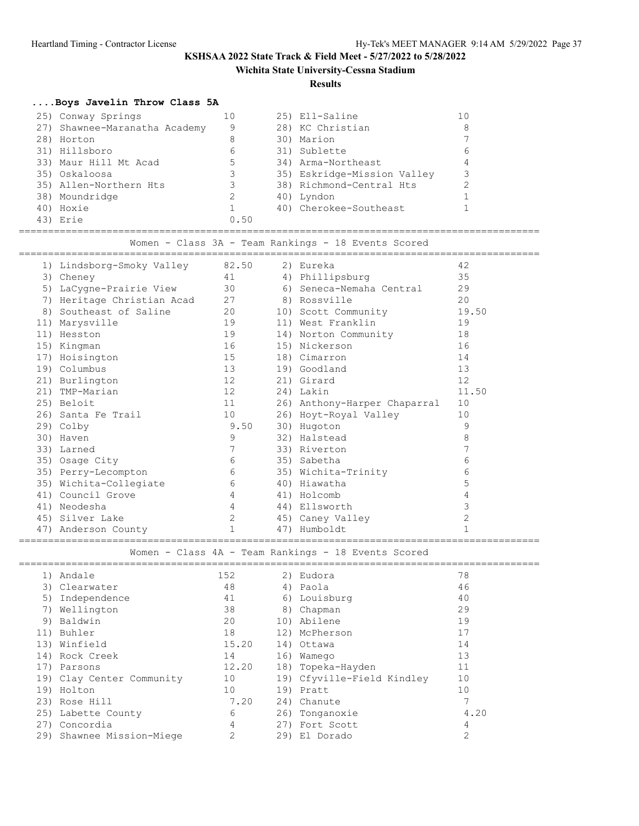## **Wichita State University-Cessna Stadium**

#### **Results**

## **....Boys Javelin Throw Class 5A**

| 25) Conway Springs            |      | 25) Ell-Saline              |   |
|-------------------------------|------|-----------------------------|---|
| 27) Shawnee-Maranatha Academy | 9    | 28) KC Christian            | 8 |
| 28) Horton                    | 8    | 30) Marion                  |   |
| 31) Hillsboro                 | 6    | 31) Sublette                | h |
| 33) Maur Hill Mt Acad         | 5    | 34) Arma-Northeast          |   |
| 35) Oskaloosa                 | 3.   | 35) Eskridge-Mission Valley |   |
| 35) Allen-Northern Hts        |      | 38) Richmond-Central Hts    |   |
| 38) Moundridge                |      | 40) Lyndon                  |   |
| 40) Hoxie                     |      | 40) Cherokee-Southeast      |   |
| 43) Erie                      | 0.50 |                             |   |

========================================================================================= Women - Class 3A - Team Rankings - 18 Events Scored

|     | 1) Lindsborg-Smoky Valley | 82.50          | 2) Eureka                    | 42    |
|-----|---------------------------|----------------|------------------------------|-------|
|     | 3) Cheney                 | 41             | 4) Phillipsburg              | 35    |
| 5)  | LaCygne-Prairie View      | 30             | 6) Seneca-Nemaha Central     | 29    |
| 7)  | Heritage Christian Acad   | 27             | 8) Rossville                 | 20    |
| 8)  | Southeast of Saline       | 20             | 10) Scott Community          | 19.50 |
| 11) | Marysville                | 19             | 11) West Franklin            | 19    |
| 11) | Hesston                   | 19             | 14) Norton Community         | 18    |
| 15) | Kingman                   | 16             | 15) Nickerson                | 16    |
| 17) | Hoisington                | 15             | 18) Cimarron                 | 14    |
|     | 19) Columbus              | 13             | 19) Goodland                 | 13    |
|     | 21) Burlington            | 12             | 21) Girard                   | 12    |
|     | 21) TMP-Marian            | 12             | 24) Lakin                    | 11.50 |
|     | 25) Beloit                | 11             | 26) Anthony-Harper Chaparral | 10    |
|     | 26) Santa Fe Trail        | 10             | 26) Hoyt-Royal Valley        | 10    |
|     | 29) Colby                 | 9.50           | 30) Hugoton                  | 9     |
| 30) | Haven                     | 9              | 32) Halstead                 | 8     |
|     | 33) Larned                | 7              | 33) Riverton                 | 7     |
|     | 35) Osage City            | 6              | 35) Sabetha                  | 6     |
|     | 35) Perry-Lecompton       | 6              | 35) Wichita-Trinity          | 6     |
|     | 35) Wichita-Collegiate    | 6              | 40) Hiawatha                 | 5     |
|     | 41) Council Grove         | $\overline{4}$ | 41) Holcomb                  | 4     |
| 41) | Neodesha                  | 4              | 44) Ellsworth                | 3     |
| 45) | Silver Lake               | 2              | 45) Caney Valley             | 2     |
|     | 47) Anderson County       | $\mathbf{1}$   | 47) Humboldt                 |       |
|     |                           |                |                              |       |

Women - Class 4A - Team Rankings - 18 Events Scored

| 1)  | Andale                    | 152   | 2) Eudora                  | 78             |
|-----|---------------------------|-------|----------------------------|----------------|
|     | 3) Clearwater             | 48    | 4) Paola                   | 46             |
|     | 5) Independence           | 41    | 6) Louisburg               | 40             |
| 7)  | Wellington                | 38    | 8) Chapman                 | 29             |
| 9)  | Baldwin                   | 20    | 10) Abilene                | 19             |
| 11) | Buhler                    | 18    | 12) McPherson              | 17             |
|     | 13) Winfield              | 15.20 | 14) Ottawa                 | 14             |
|     | 14) Rock Creek            | 14    | 16) Wamego                 | 13             |
| 17) | Parsons                   | 12.20 | 18) Topeka-Hayden          | 11             |
|     | 19) Clay Center Community | 10    | 19) Cfyville-Field Kindley | 10             |
| 19) | Holton                    | 10    | 19) Pratt                  | 10             |
|     | 23) Rose Hill             | 7.20  | 24) Chanute                |                |
|     | 25) Labette County        | 6     | 26) Tonganoxie             | 4.20           |
| 27) | Concordia                 | 4     | 27) Fort Scott             | 4              |
|     | 29) Shawnee Mission-Miege | 2     | 29) El Dorado              | $\overline{2}$ |
|     |                           |       |                            |                |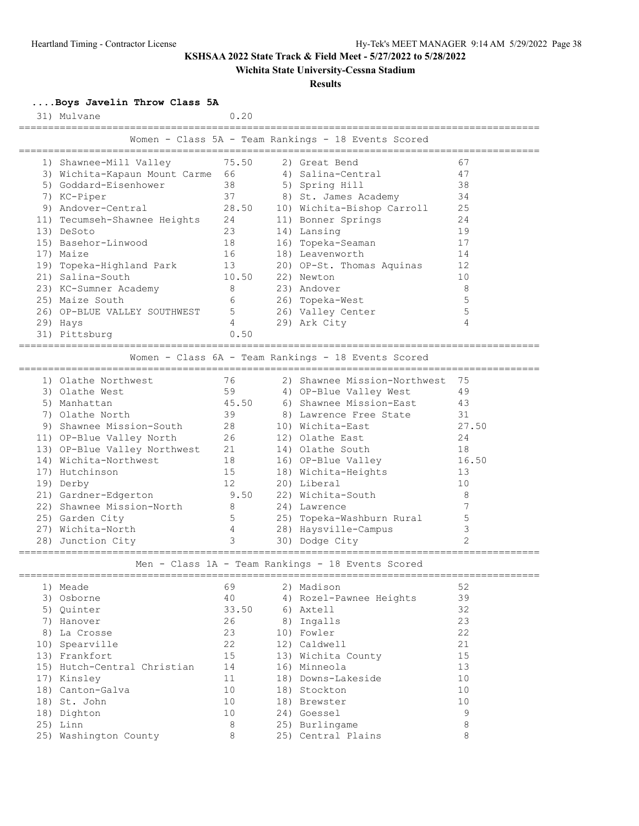## **Wichita State University-Cessna Stadium**

#### **Results**

**....Boys Javelin Throw Class 5A**

| 31) Mulvane                      |                | 0.20  |                                                     |                |
|----------------------------------|----------------|-------|-----------------------------------------------------|----------------|
|                                  |                |       | Women - Class 5A - Team Rankings - 18 Events Scored |                |
| 1) Shawnee-Mill Valley           |                | 75.50 | 2) Great Bend                                       | 67             |
| 3) Wichita-Kapaun Mount Carme 66 |                |       | 4) Salina-Central                                   | 47             |
| 5) Goddard-Eisenhower            | 38             |       | 5) Spring Hill                                      | 38             |
| 7) KC-Piper                      | 37             |       | 8) St. James Academy                                | 34             |
| 9) Andover-Central               |                | 28.50 | 10) Wichita-Bishop Carroll                          | 25             |
| 11) Tecumseh-Shawnee Heights     | 24             |       | 11) Bonner Springs                                  | 24             |
| 13) DeSoto                       | 23             |       | 14) Lansing                                         | 19             |
| 15) Basehor-Linwood              | 18             |       | 16) Topeka-Seaman                                   | 17             |
| 17) Maize                        | 16             |       | 18) Leavenworth                                     | 14             |
| 19) Topeka-Highland Park         | 13             |       | 20) OP-St. Thomas Aquinas                           | 12             |
| 21) Salina-South                 |                | 10.50 | 22) Newton                                          | 10             |
| 23) KC-Sumner Academy            | 8              |       | 23) Andover                                         | 8              |
| 25) Maize South                  | 6              |       | 26) Topeka-West                                     | 5              |
| 26) OP-BLUE VALLEY SOUTHWEST     | 5              |       | 26) Valley Center                                   | 5              |
| 29) Hays                         | 4              |       | 29) Ark City                                        | 4              |
| 31) Pittsburg                    |                | 0.50  |                                                     |                |
|                                  |                |       | Women - Class 6A - Team Rankings - 18 Events Scored |                |
|                                  |                |       |                                                     |                |
| 1) Olathe Northwest              | 76             |       | 2) Shawnee Mission-Northwest                        | 75             |
| 3) Olathe West                   | 59             |       | 4) OP-Blue Valley West                              | 49             |
| 5) Manhattan                     |                | 45.50 | 6) Shawnee Mission-East                             | 43             |
| 7) Olathe North                  | 39             |       | 8) Lawrence Free State                              | 31             |
| 9) Shawnee Mission-South         | 28             |       | 10) Wichita-East                                    | 27.50          |
| 11) OP-Blue Valley North         | 26             |       | 12) Olathe East                                     | 24             |
| 13) OP-Blue Valley Northwest     | 21             |       | 14) Olathe South                                    | 18             |
| 14) Wichita-Northwest            | 18             |       | 16) OP-Blue Valley                                  | 16.50          |
| 17) Hutchinson                   | 15             |       | 18) Wichita-Heights                                 | 13             |
| 19) Derby                        | 12             |       | 20) Liberal                                         | 10             |
| 21) Gardner-Edgerton             |                | 9.50  | 22) Wichita-South                                   | 8              |
| 22) Shawnee Mission-North        | 8              |       | 24) Lawrence                                        | 7              |
| 25) Garden City                  | 5              |       | 25) Topeka-Washburn Rural                           | 5              |
| 27) Wichita-North                | $\overline{4}$ |       | 28) Haysville-Campus                                | 3              |
| 28) Junction City                | 3              |       | 30) Dodge City                                      | $\overline{2}$ |
|                                  |                |       | Men - Class 1A - Team Rankings - 18 Events Scored   |                |
|                                  |                |       |                                                     |                |
| 1) Meade                         | 69             |       | 2) Madison                                          | 52             |
| 3) Osborne                       | 40             |       | 4) Rozel-Pawnee Heights                             | 39             |
| 5) Quinter                       |                | 33.50 | 6) Axtell                                           | 32             |
| 7) Hanover                       | 26             |       | 8) Ingalls                                          | 23             |
| 8) La Crosse                     | 23             |       | 10) Fowler                                          | 22             |
| 10) Spearville                   | 22             |       | 12) Caldwell                                        | 21             |
| 13) Frankfort                    | 15             |       | 13) Wichita County                                  | 15             |
| 15) Hutch-Central Christian      | 14             |       | 16) Minneola                                        | 13             |
| 17) Kinsley                      | 11             |       | 18) Downs-Lakeside                                  | 10             |
| 18) Canton-Galva                 | 10             |       | 18) Stockton                                        | 10             |

 18) St. John 10 18) Brewster 10 18) Dighton 10 24) Goessel 9 25) Linn 8 25) Burlingame 8 25) Washington County 8 25) Central Plains 8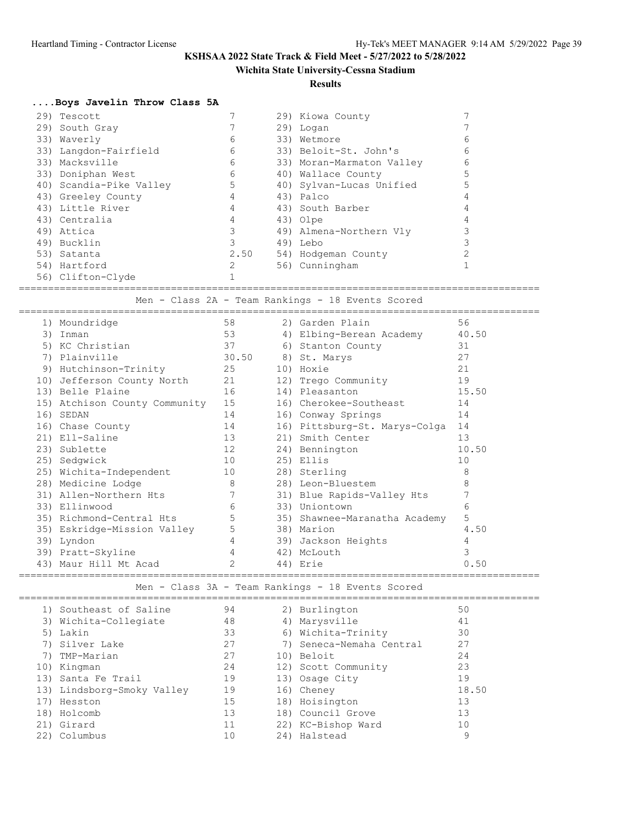## **Wichita State University-Cessna Stadium**

**Results**

## **....Boys Javelin Throw Class 5A**

|  | 29) Tescott             |      | 29) Kiowa County          |   |
|--|-------------------------|------|---------------------------|---|
|  | 29) South Gray          |      | 29) Logan                 |   |
|  | 33) Waverly             | 6    | 33) Wetmore               | 6 |
|  | 33) Langdon-Fairfield   | 6    | 33) Beloit-St. John's     | 6 |
|  | 33) Macksville          | 6    | 33) Moran-Marmaton Valley | 6 |
|  | 33) Doniphan West       | 6    | 40) Wallace County        |   |
|  | 40) Scandia-Pike Valley | 5    | 40) Sylvan-Lucas Unified  |   |
|  | 43) Greeley County      |      | 43) Palco                 |   |
|  | 43) Little River        |      | 43) South Barber          |   |
|  | 43) Centralia           |      | 43) Olpe                  |   |
|  | 49) Attica              |      | 49) Almena-Northern Vly   |   |
|  | 49) Bucklin             |      | 49) Lebo                  |   |
|  | 53) Satanta             | 2.50 | 54) Hodgeman County       |   |
|  | 54) Hartford            |      | 56) Cunningham            |   |
|  | 56) Clifton-Clyde       |      |                           |   |

=========================================================================================

# Men - Class 2A - Team Rankings - 18 Events Scored

|     | 1) Moundridge                 | 58             | 2) Garden Plain               | 56    |
|-----|-------------------------------|----------------|-------------------------------|-------|
| 3)  | Inman                         | 53             | 4) Elbing-Berean Academy      | 40.50 |
| 5)  | KC Christian                  | 37             | 6) Stanton County             | 31    |
| 7)  | Plainville                    | 30.50          | 8) St. Marys                  | 27    |
| 9)  | Hutchinson-Trinity            | 25             | 10) Hoxie                     | 21    |
|     | 10) Jefferson County North    | 21             | 12) Trego Community           | 19    |
|     | 13) Belle Plaine              | 16             | 14) Pleasanton                | 15.50 |
|     | 15) Atchison County Community | 15             | 16) Cherokee-Southeast        | 14    |
| 16) | SEDAN                         | 14             | 16) Conway Springs            | 14    |
|     | 16) Chase County              | 14             | 16) Pittsburg-St. Marys-Colga | 14    |
|     | 21) Ell-Saline                | 13             | 21) Smith Center              | 13    |
|     | 23) Sublette                  | 12             | 24) Bennington                | 10.50 |
|     | 25) Sedqwick                  | 10             | 25) Ellis                     | 10    |
|     | 25) Wichita-Independent       | 10             | 28) Sterling                  | 8     |
|     | 28) Medicine Lodge            | 8              | 28) Leon-Bluestem             | 8     |
|     | 31) Allen-Northern Hts        | 7              | 31) Blue Rapids-Valley Hts    | 7     |
|     | 33) Ellinwood                 | 6              | 33) Uniontown                 | 6     |
|     | 35) Richmond-Central Hts      | 5              | 35) Shawnee-Maranatha Academy | 5     |
|     | 35) Eskridge-Mission Valley   | 5              | 38) Marion                    | 4.50  |
| 39) | Lyndon                        | $\overline{4}$ | 39) Jackson Heights           | 4     |
|     | 39) Pratt-Skyline             | 4              | 42) McLouth                   | 3     |
| 43) | Maur Hill Mt Acad             | 2              | 44) Erie                      | 0.50  |
|     |                               |                |                               |       |

Men - Class 3A - Team Rankings - 18 Events Scored

|     | 1) Southeast of Saline     | 94 | 2) Burlington            | 50    |  |
|-----|----------------------------|----|--------------------------|-------|--|
|     | 3) Wichita-Collegiate      | 48 | 4) Marysville            | 41    |  |
|     | 5) Lakin                   | 33 | 6) Wichita-Trinity       | 30    |  |
|     | 7) Silver Lake             | 27 | 7) Seneca-Nemaha Central | 27    |  |
|     | 7) TMP-Marian              | 27 | 10) Beloit               | 24    |  |
|     | 10) Kingman                | 24 | 12) Scott Community      | 23    |  |
|     | 13) Santa Fe Trail         | 19 | 13) Osage City           | 19    |  |
|     | 13) Lindsborg-Smoky Valley | 19 | 16) Cheney               | 18.50 |  |
|     | 17) Hesston                | 15 | 18) Hoisington           | 13    |  |
|     | 18) Holcomb                | 13 | 18) Council Grove        | 13    |  |
|     | 21) Girard                 | 11 | 22) KC-Bishop Ward       | 10    |  |
| 22) | Columbus                   | 10 | 24) Halstead             | 9     |  |
|     |                            |    |                          |       |  |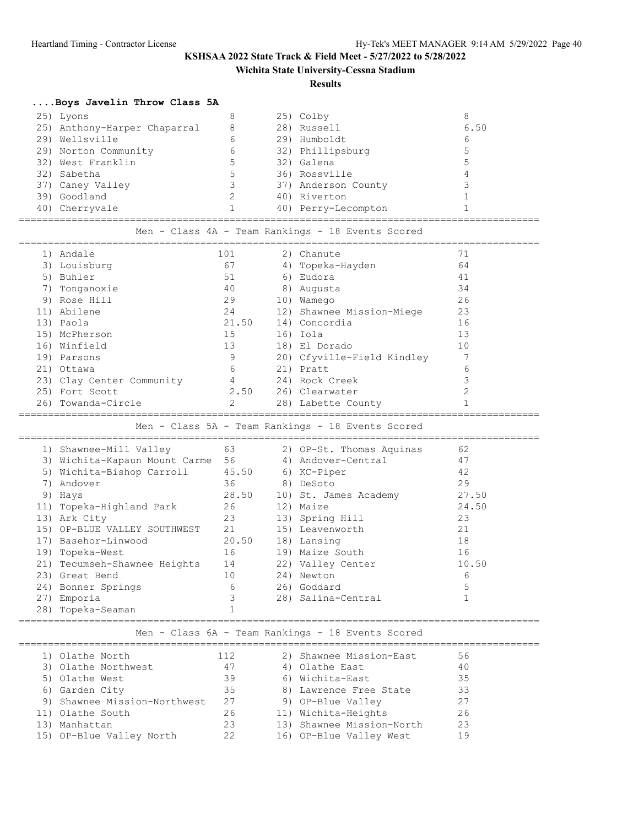**Wichita State University-Cessna Stadium**

### **Results**

# **....Boys Javelin Throw Class 5A**

|                                                   | 25) Lyons                                           | 8                        |  | 25) Colby                                         | 8              |  |  |  |  |  |  |
|---------------------------------------------------|-----------------------------------------------------|--------------------------|--|---------------------------------------------------|----------------|--|--|--|--|--|--|
|                                                   | 25) Anthony-Harper Chaparral                        | 8                        |  | 28) Russell                                       | 6.50           |  |  |  |  |  |  |
|                                                   | 29) Wellsville                                      | 6                        |  | 29) Humboldt                                      | 6              |  |  |  |  |  |  |
|                                                   | 29) Norton Community                                | 6                        |  | 32) Phillipsburg                                  | 5              |  |  |  |  |  |  |
|                                                   | 32) West Franklin                                   | 5                        |  | 32) Galena                                        | 5              |  |  |  |  |  |  |
|                                                   | 32) Sabetha                                         | 5                        |  | 36) Rossville                                     | 4              |  |  |  |  |  |  |
|                                                   | 37) Caney Valley                                    | $\overline{\mathbf{3}}$  |  | 37) Anderson County                               | 3              |  |  |  |  |  |  |
|                                                   | 39) Goodland                                        | $\overline{\phantom{a}}$ |  | 40) Riverton                                      | $\mathbf{1}$   |  |  |  |  |  |  |
|                                                   | 40) Cherryvale                                      | $\mathbf{1}$             |  | 40) Perry-Lecompton                               | $\mathbf{1}$   |  |  |  |  |  |  |
| Men - Class 4A - Team Rankings - 18 Events Scored |                                                     |                          |  |                                                   |                |  |  |  |  |  |  |
|                                                   | 1) Andale                                           | 101                      |  | 2) Chanute                                        | 71             |  |  |  |  |  |  |
|                                                   | 3) Louisburg                                        | 67                       |  | 4) Topeka-Hayden                                  | 64             |  |  |  |  |  |  |
|                                                   | 5) Buhler                                           | 51                       |  | 6) Eudora                                         | 41             |  |  |  |  |  |  |
|                                                   | 7) Tonganoxie                                       | 40                       |  | 8) Augusta                                        | 34             |  |  |  |  |  |  |
|                                                   | 9) Rose Hill                                        | 29                       |  | 10) Wamego                                        | 26             |  |  |  |  |  |  |
|                                                   | 11) Abilene                                         | 24                       |  | 12) Shawnee Mission-Miege                         | 23             |  |  |  |  |  |  |
|                                                   | 13) Paola                                           | 21.50                    |  | 14) Concordia                                     | 16             |  |  |  |  |  |  |
|                                                   | 15) McPherson                                       | 15                       |  | 16) Iola                                          | 13             |  |  |  |  |  |  |
|                                                   | 16) Winfield                                        | 13                       |  | 18) El Dorado                                     | 10             |  |  |  |  |  |  |
|                                                   | 19) Parsons                                         | 9                        |  | 20) Cfyville-Field Kindley                        | 7              |  |  |  |  |  |  |
|                                                   | 21) Ottawa                                          | 6                        |  | 21) Pratt                                         | 6              |  |  |  |  |  |  |
|                                                   | 23) Clay Center Community                           | $\overline{4}$           |  | 24) Rock Creek                                    | 3              |  |  |  |  |  |  |
|                                                   | 25) Fort Scott                                      | 2.50                     |  | 26) Clearwater                                    | $\overline{c}$ |  |  |  |  |  |  |
|                                                   | 26) Towanda-Circle                                  | 2                        |  | 28) Labette County                                | $\mathbf{1}$   |  |  |  |  |  |  |
| Men - Class 5A - Team Rankings - 18 Events Scored |                                                     |                          |  |                                                   |                |  |  |  |  |  |  |
|                                                   |                                                     |                          |  |                                                   |                |  |  |  |  |  |  |
|                                                   | 63<br>1) Shawnee-Mill Valley                        |                          |  | 2) OP-St. Thomas Aquinas                          | 62             |  |  |  |  |  |  |
|                                                   | 3) Wichita-Kapaun Mount Carme 56 4) Andover-Central |                          |  |                                                   | 47             |  |  |  |  |  |  |
|                                                   | 5) Wichita-Bishop Carroll                           |                          |  | 45.50 6) KC-Piper                                 | 42             |  |  |  |  |  |  |
|                                                   | 7) Andover                                          | 36                       |  | 8) DeSoto                                         | 29             |  |  |  |  |  |  |
|                                                   | 9) Hays                                             | 28.50                    |  | 10) St. James Academy                             | 27.50          |  |  |  |  |  |  |
|                                                   | 11) Topeka-Highland Park                            | 26                       |  | 12) Maize                                         | 24.50          |  |  |  |  |  |  |
|                                                   | 13) Ark City                                        | 23                       |  | 13) Spring Hill                                   | 23             |  |  |  |  |  |  |
|                                                   | 15) OP-BLUE VALLEY SOUTHWEST                        | 21                       |  | 15) Leavenworth                                   | 21             |  |  |  |  |  |  |
|                                                   | 17) Basehor-Linwood                                 | 20.50                    |  | 18) Lansing                                       | 18             |  |  |  |  |  |  |
|                                                   | 19) Topeka-West                                     | 16                       |  | 19) Maize South                                   | 16             |  |  |  |  |  |  |
|                                                   | 21) Tecumseh-Shawnee Heights                        | 14                       |  | 22) Valley Center                                 | 10.50          |  |  |  |  |  |  |
|                                                   | 23) Great Bend                                      | 10                       |  | 24) Newton                                        | 6              |  |  |  |  |  |  |
|                                                   | 24) Bonner Springs                                  | 6                        |  | 26) Goddard                                       | 5              |  |  |  |  |  |  |
|                                                   | 27) Emporia                                         | 3                        |  | 28) Salina-Central                                | $\mathbf{1}$   |  |  |  |  |  |  |
|                                                   | 28) Topeka-Seaman                                   | 1                        |  |                                                   |                |  |  |  |  |  |  |
|                                                   |                                                     |                          |  | Men - Class 6A - Team Rankings - 18 Events Scored |                |  |  |  |  |  |  |
|                                                   | 1) Olathe North                                     | 112                      |  | 2) Shawnee Mission-East                           | 56             |  |  |  |  |  |  |
|                                                   | 3) Olathe Northwest                                 | 47                       |  | 4) Olathe East                                    | 40             |  |  |  |  |  |  |
|                                                   | 5) Olathe West                                      | 39                       |  | 6) Wichita-East                                   | 35             |  |  |  |  |  |  |
|                                                   | 6) Garden City                                      | 35                       |  | 8) Lawrence Free State                            | 33             |  |  |  |  |  |  |
|                                                   | 9) Shawnee Mission-Northwest                        | 27                       |  | 9) OP-Blue Valley                                 | 27             |  |  |  |  |  |  |
|                                                   | 11) Olathe South                                    | 26                       |  | 11) Wichita-Heights                               | 26             |  |  |  |  |  |  |
|                                                   | 13) Manhattan                                       | 23                       |  | 13) Shawnee Mission-North                         | 23             |  |  |  |  |  |  |